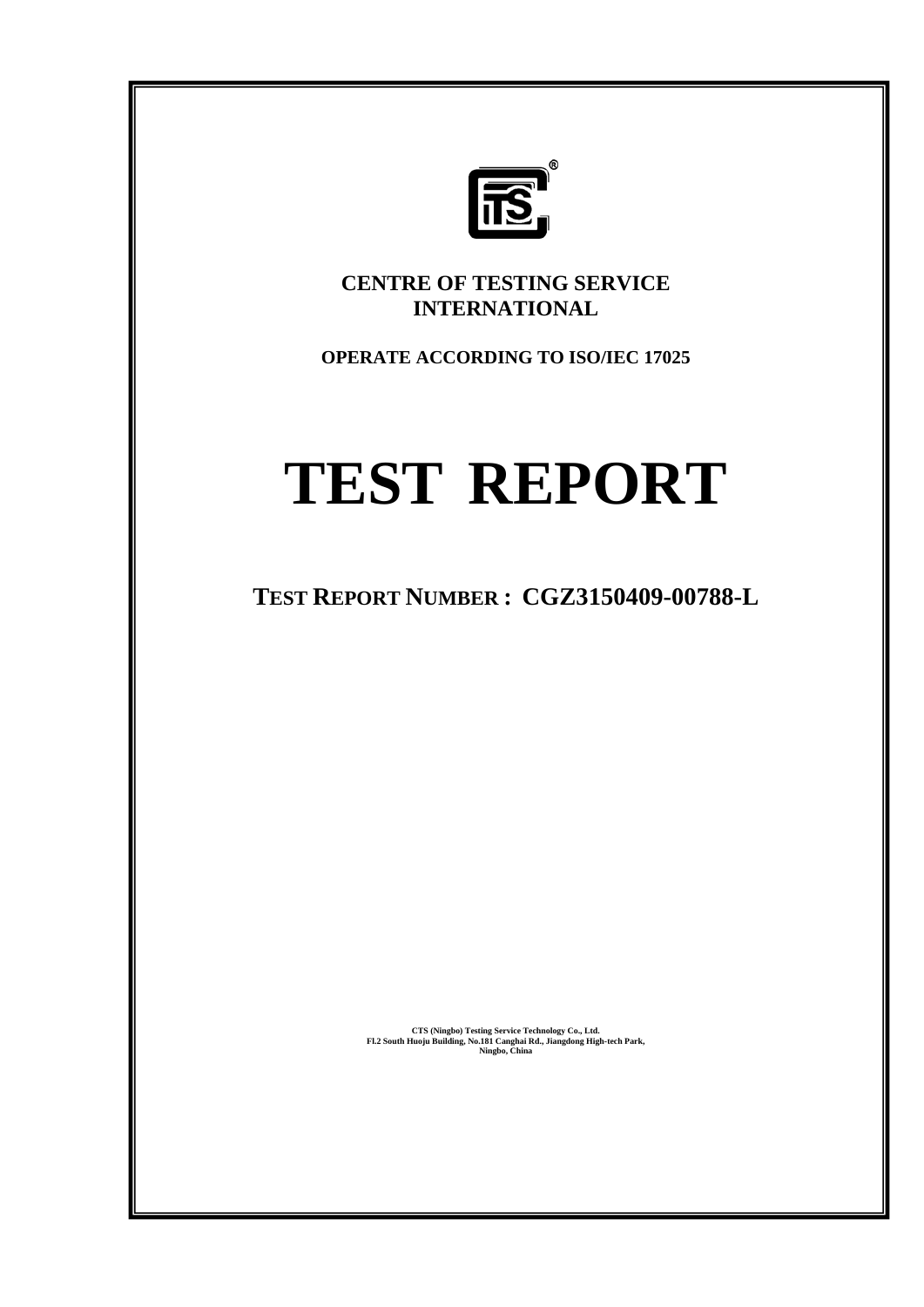

**CENTRE OF TESTING SERVICE INTERNATIONAL** 

**OPERATE ACCORDING TO ISO/IEC 17025** 

# **TEST REPORT**

**TEST REPORT NUMBER : CGZ3150409-00788-L** 

**CTS (Ningbo) Testing Service Technology Co., Ltd. Fl.2 South Huoju Building, No.181 Canghai Rd., Jiangdong High-tech Park, Ningbo, China**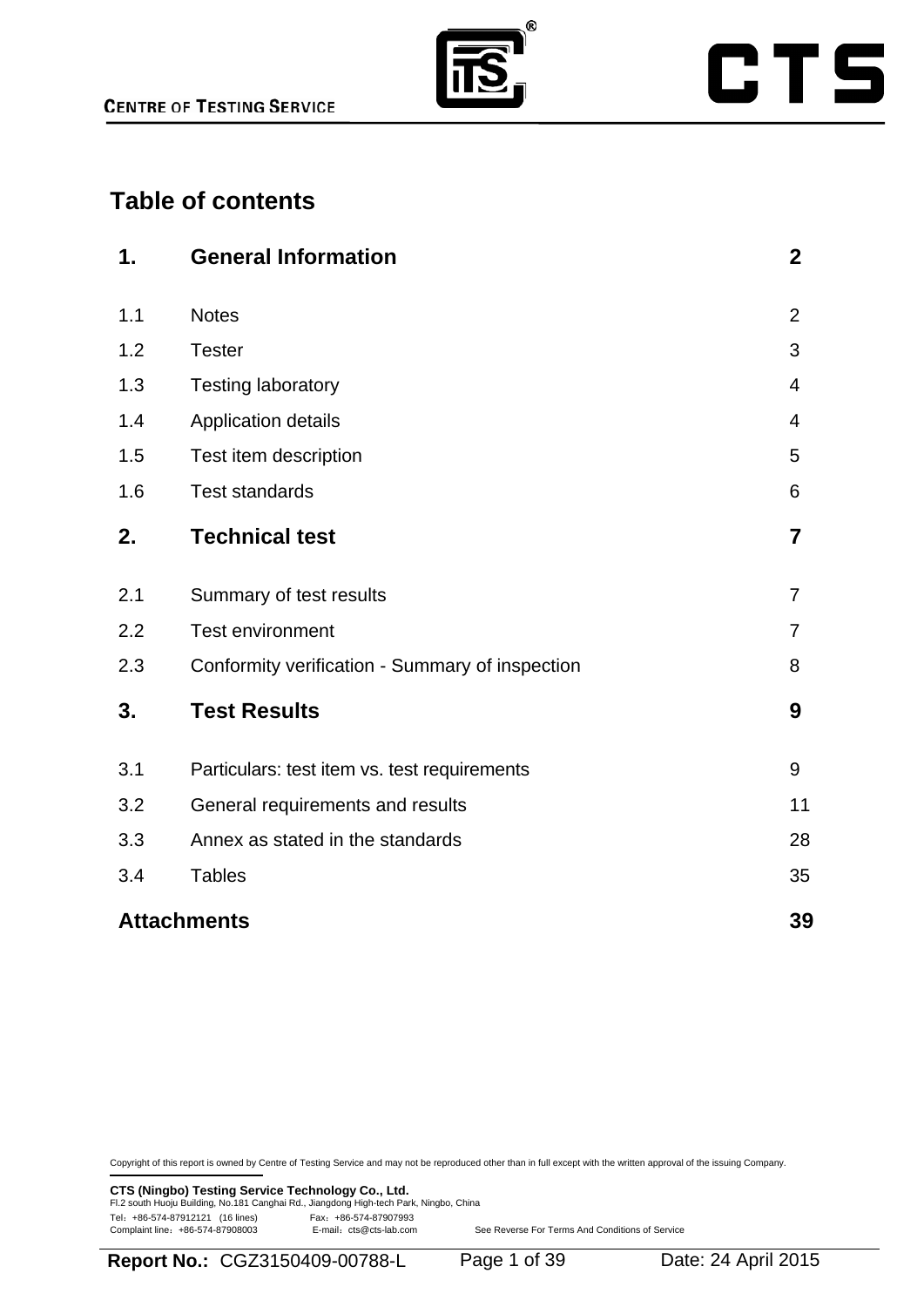

# **CTS**

# **Table of contents**

| 1.  | <b>General Information</b>                      | $\boldsymbol{2}$ |
|-----|-------------------------------------------------|------------------|
| 1.1 | <b>Notes</b>                                    | $\overline{2}$   |
| 1.2 | <b>Tester</b>                                   | 3                |
| 1.3 | <b>Testing laboratory</b>                       | 4                |
| 1.4 | Application details                             | $\overline{4}$   |
| 1.5 | Test item description                           | 5                |
| 1.6 | <b>Test standards</b>                           | 6                |
| 2.  | <b>Technical test</b>                           | $\overline{7}$   |
| 2.1 | Summary of test results                         | $\overline{7}$   |
| 2.2 | <b>Test environment</b>                         | $\overline{7}$   |
| 2.3 | Conformity verification - Summary of inspection | 8                |
| 3.  | <b>Test Results</b>                             | 9                |
| 3.1 | Particulars: test item vs. test requirements    | 9                |
| 3.2 | General requirements and results                | 11               |
| 3.3 | Annex as stated in the standards                | 28               |
| 3.4 | <b>Tables</b>                                   | 35               |
|     | <b>Attachments</b>                              | 39               |

Copyright of this report is owned by Centre of Testing Service and may not be reproduced other than in full except with the written approval of the issuing Company.

**CTS (Ningbo) Testing Service Technology Co., Ltd.**<br>Fl.2 south Huoju Building, No.181 Canghai Rd., Jiangdong High-tech Park, Ningbo, China Tel: +86-574-87912121 (16 lines)<br>Complaint line: +86-574-87908003 E-mail: cts@cts-lab.com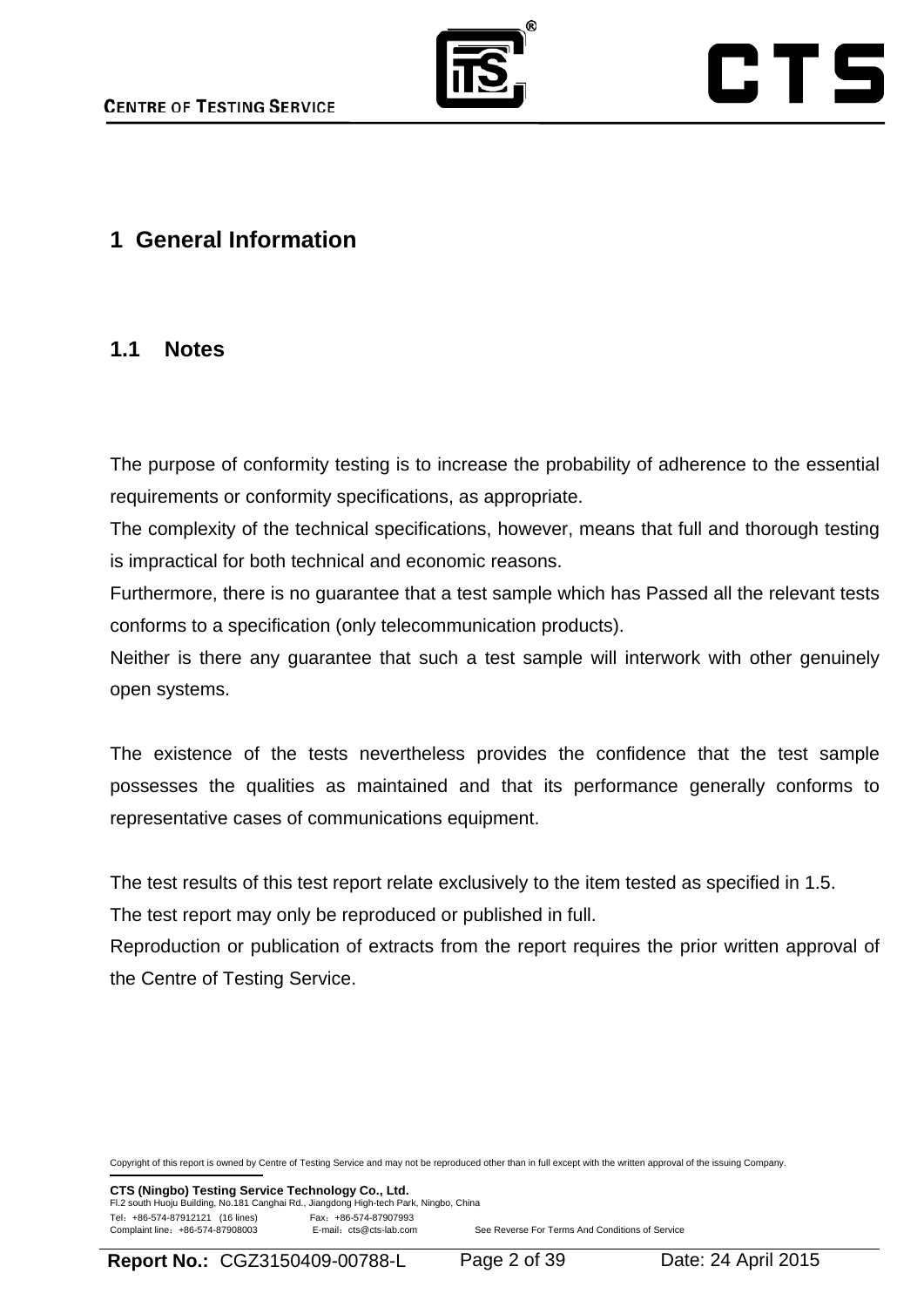

# CTS

# **1 General Information**

### **1.1 Notes**

The purpose of conformity testing is to increase the probability of adherence to the essential requirements or conformity specifications, as appropriate.

The complexity of the technical specifications, however, means that full and thorough testing is impractical for both technical and economic reasons.

Furthermore, there is no guarantee that a test sample which has Passed all the relevant tests conforms to a specification (only telecommunication products).

Neither is there any guarantee that such a test sample will interwork with other genuinely open systems.

The existence of the tests nevertheless provides the confidence that the test sample possesses the qualities as maintained and that its performance generally conforms to representative cases of communications equipment.

The test results of this test report relate exclusively to the item tested as specified in 1.5.

The test report may only be reproduced or published in full.

Reproduction or publication of extracts from the report requires the prior written approval of the Centre of Testing Service.

Copyright of this report is owned by Centre of Testing Service and may not be reproduced other than in full except with the written approval of the issuing Company.

**CTS (Ningbo) Testing Service Technology Co., Ltd.** Fl.2 south Huoju Building, No.181 Canghai Rd., Jiangdong High-tech Park, Ningbo, China Tel:+86-574-87912121 (16 lines) Fax:+86-574-87907993 E-mail: cts@cts-lab.com See Reverse For Terms And Conditions of Service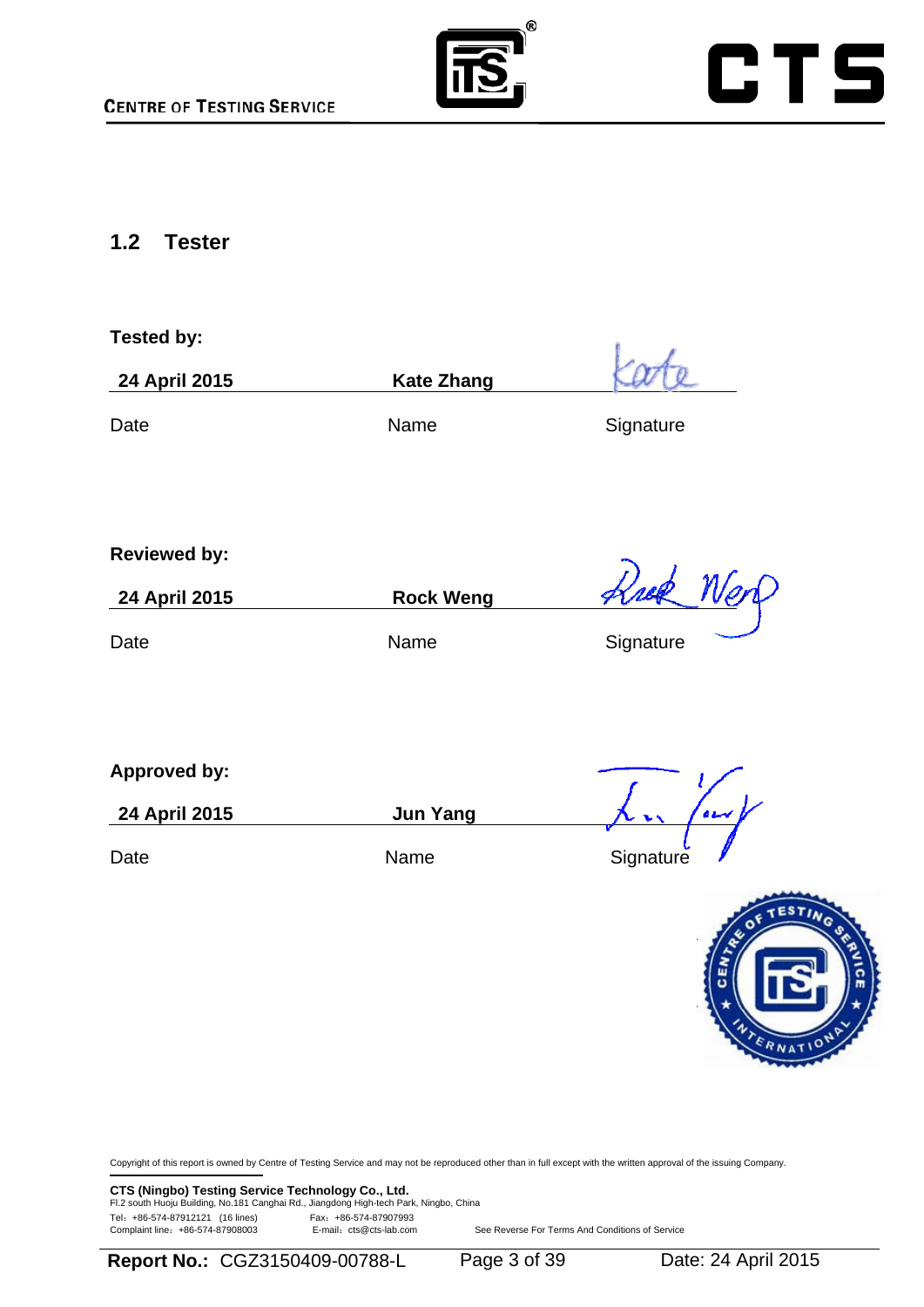



### **1.2 Tester**

| <b>Tested by:</b>   |                   |           |
|---------------------|-------------------|-----------|
| 24 April 2015       | <b>Kate Zhang</b> |           |
| Date                | Name              | Signature |
|                     |                   |           |
| <b>Reviewed by:</b> |                   |           |
| 24 April 2015       | <b>Rock Weng</b>  | Krek Ner  |
| Date                | Name              | Signature |
|                     |                   |           |
|                     |                   |           |
| <b>Approved by:</b> |                   |           |
| 24 April 2015       | <b>Jun Yang</b>   |           |
| Date                | Name              | Signature |
|                     |                   |           |



Copyright of this report is owned by Centre of Testing Service and may not be reproduced other than in full except with the written approval of the issuing Company.

**CTS (Ningbo) Testing Service Technology Co., Ltd.**<br>Fl.2 south Huoju Building, No.181 Canghai Rd., Jiangdong High-tech Park, Ningbo, China Tel: +86-574-87912121 (16 lines) Fax: +86-574-87907993<br>Complaint line: +86-574-87908003 E-mail: cts@cts-lab.com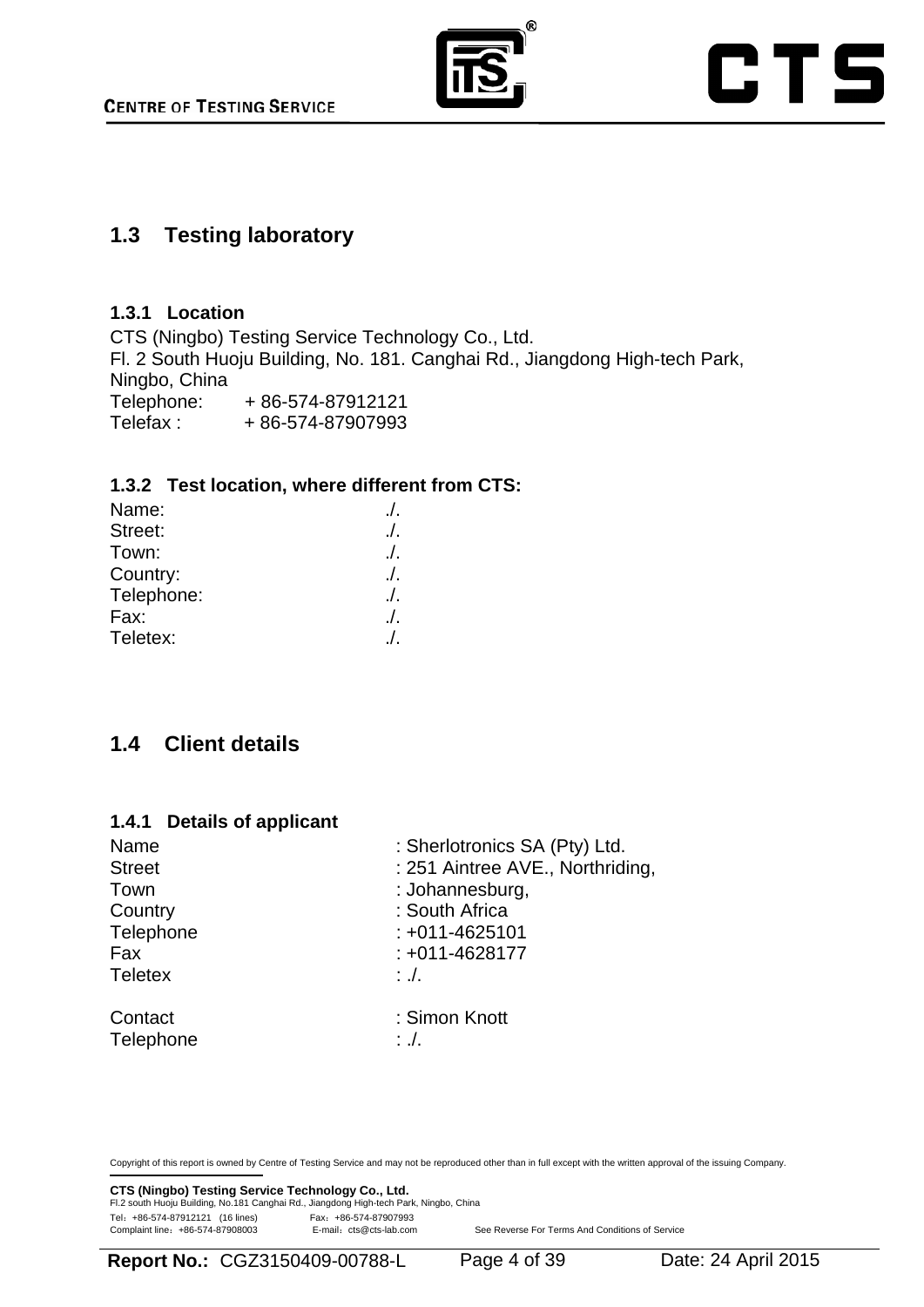

# CTS

### **1.3 Testing laboratory**

#### **1.3.1 Location**

CTS (Ningbo) Testing Service Technology Co., Ltd. Fl. 2 South Huoju Building, No. 181. Canghai Rd., Jiangdong High-tech Park, Ningbo, China Telephone: +86-574-87912121 Telefax : + 86-574-87907993

#### **1.3.2 Test location, where different from CTS:**

| Name:      | $\Lambda$ |
|------------|-----------|
| Street:    | $\Lambda$ |
| Town:      | $\Lambda$ |
| Country:   | $\Lambda$ |
| Telephone: | $\Lambda$ |
| Fax:       | $\Lambda$ |
| Teletex:   | $\prime$  |

# **1.4 Client details**

#### **1.4.1 Details of applicant**

| Name           | : Sherlotronics SA (Pty) Ltd.    |  |
|----------------|----------------------------------|--|
| <b>Street</b>  | : 251 Aintree AVE., Northriding, |  |
| Town           | : Johannesburg,                  |  |
| Country        | : South Africa                   |  |
| Telephone      | $: +011 - 4625101$               |  |
| Fax            | $: +011 - 4628177$               |  |
| <b>Teletex</b> | $: \mathcal{L}$                  |  |
| Contact        | : Simon Knott                    |  |
| Telephone      | $:.$ .                           |  |

Copyright of this report is owned by Centre of Testing Service and may not be reproduced other than in full except with the written approval of the issuing Company.

**CTS (Ningbo) Testing Service Technology Co., Ltd.**<br>Fl.2 south Huoju Building, No.181 Canghai Rd., Jiangdong High-tech Park, Ningbo, China Tel: +86-574-87912121 (16 lines)<br>Complaint line: +86-574-87908003 E-mail: cts@cts-lab.com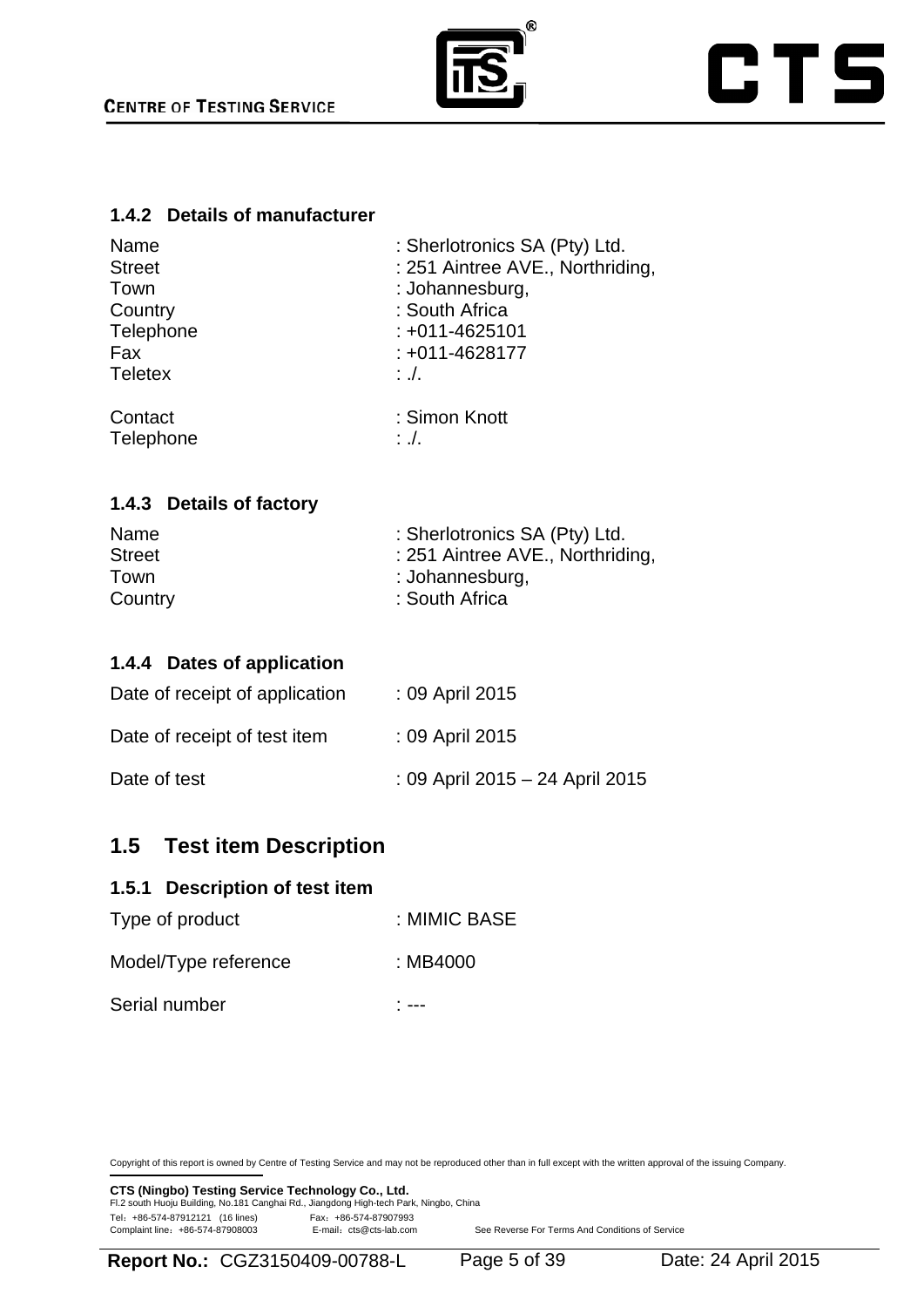

# **CTS**

#### **1.4.2 Details of manufacturer**

| Name           | : Sherlotronics SA (Pty) Ltd.    |  |
|----------------|----------------------------------|--|
| <b>Street</b>  | : 251 Aintree AVE., Northriding, |  |
| Town           | : Johannesburg,                  |  |
| Country        | : South Africa                   |  |
| Telephone      | $: +011 - 4625101$               |  |
| Fax            | : +011-4628177                   |  |
| <b>Teletex</b> | $\therefore$ .                   |  |
| Contact        | : Simon Knott                    |  |
| Telephone      | $:.$ .                           |  |

#### **1.4.3 Details of factory**

| Name          | : Sherlotronics SA (Pty) Ltd.    |
|---------------|----------------------------------|
| <b>Street</b> | : 251 Aintree AVE., Northriding, |
| Town          | : Johannesburg,                  |
| Country       | : South Africa                   |

#### **1.4.4 Dates of application**

| Date of receipt of application | : 09 April 2015                 |
|--------------------------------|---------------------------------|
| Date of receipt of test item   | : 09 April 2015                 |
| Date of test                   | : 09 April 2015 - 24 April 2015 |

# **1.5 Test item Description**

#### **1.5.1 Description of test item**

| Serial number        | ---          |
|----------------------|--------------|
| Model/Type reference | : MB4000     |
| Type of product      | : MIMIC BASE |

Copyright of this report is owned by Centre of Testing Service and may not be reproduced other than in full except with the written approval of the issuing Company.

**CTS (Ningbo) Testing Service Technology Co., Ltd.**<br>Fl.2 south Huoju Building, No.181 Canghai Rd., Jiangdong High-tech Park, Ningbo, China Tel: +86-574-87912121 (16 lines) Fax: +86-574-87907993<br>Complaint line: +86-574-87908003 E-mail: cts@cts-lab.com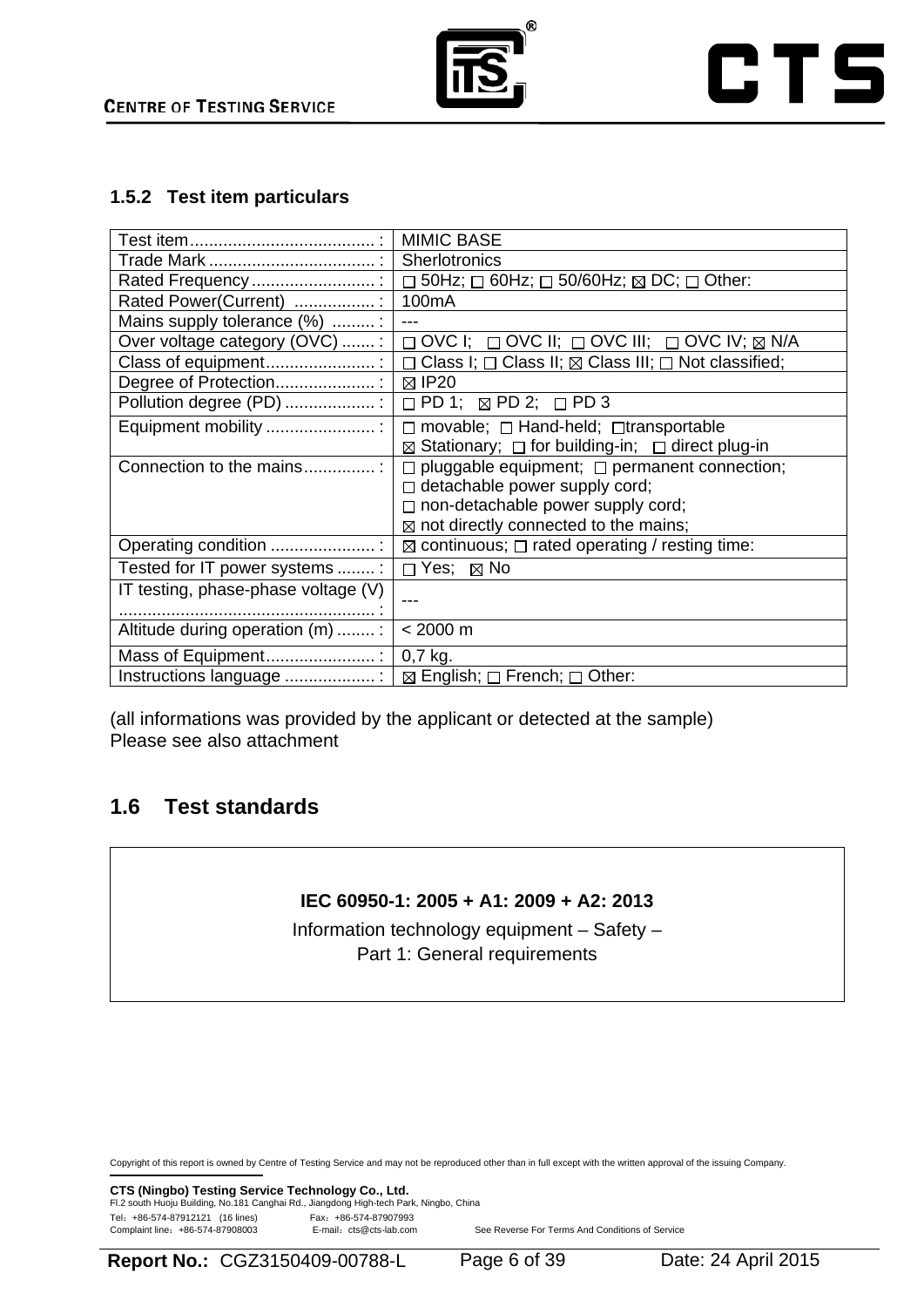

#### **1.5.2 Test item particulars**

|                                     | <b>MIMIC BASE</b>                                                                      |
|-------------------------------------|----------------------------------------------------------------------------------------|
|                                     | Sherlotronics                                                                          |
| Rated Frequency                     | $\Box$ 50Hz; $\Box$ 60Hz; $\Box$ 50/60Hz; $\boxtimes$ DC; $\Box$ Other:                |
| Rated Power(Current) :              | 100 <sub>m</sub> A                                                                     |
| Mains supply tolerance (%) :        |                                                                                        |
| Over voltage category (OVC) :       | $\Box$ OVC I; $\Box$ OVC II; $\Box$ OVC III; $\Box$ OVC IV; $\overline{\boxtimes}$ N/A |
| Class of equipment:                 | $\Box$ Class I; $\Box$ Class II; $\boxtimes$ Class III; $\Box$ Not classified;         |
|                                     | $\boxtimes$ IP20                                                                       |
| Pollution degree (PD) :             | $\Box$ PD 1; $\boxtimes$ PD 2; $\Box$ PD 3                                             |
| Equipment mobility :                | $\Box$ movable; $\Box$ Hand-held; $\Box$ transportable                                 |
|                                     | $\boxtimes$ Stationary; $\Box$ for building-in; $\Box$ direct plug-in                  |
| Connection to the mains             | $\Box$ pluggable equipment; $\Box$ permanent connection;                               |
|                                     | $\Box$ detachable power supply cord;                                                   |
|                                     | $\Box$ non-detachable power supply cord;                                               |
|                                     | $\boxtimes$ not directly connected to the mains;                                       |
| Operating condition                 | $\boxtimes$ continuous; $\Box$ rated operating / resting time:                         |
| Tested for IT power systems:        | $\Box$ Yes; $\boxtimes$ No                                                             |
| IT testing, phase-phase voltage (V) |                                                                                        |
|                                     |                                                                                        |
| Altitude during operation (m)  :    | $< 2000 \text{ m}$                                                                     |
|                                     | $0,7$ kg.                                                                              |
|                                     | $\boxtimes$ English; $\Box$ French; $\Box$ Other:                                      |

(all informations was provided by the applicant or detected at the sample) Please see also attachment

# **1.6 Test standards**

#### **IEC 60950-1: 2005 + A1: 2009 + A2: 2013**

Information technology equipment – Safety – Part 1: General requirements

Copyright of this report is owned by Centre of Testing Service and may not be reproduced other than in full except with the written approval of the issuing Company.

**CTS (Ningbo) Testing Service Technology Co., Ltd.**<br>Fl.2 south Huoju Building, No.181 Canghai Rd., Jiangdong High-tech Park, Ningbo, China Tel: +86-574-87912121 (16 lines)<br>Complaint line: +86-574-87908003 E-mail: cts@cts-lab.com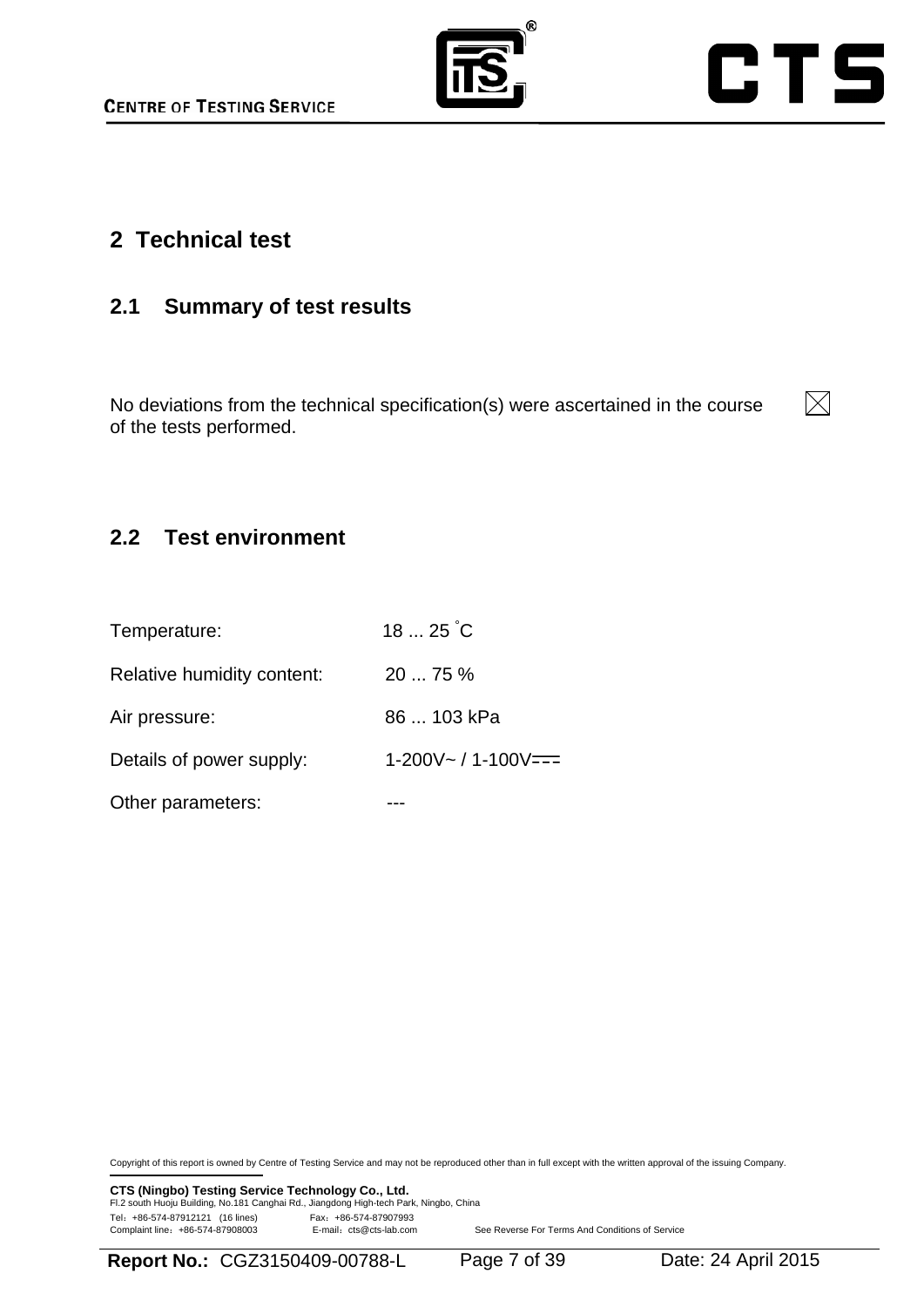



# **2 Technical test**

# **2.1 Summary of test results**

No deviations from the technical specification(s) were ascertained in the course of the tests performed.



# **2.2 Test environment**

Other parameters: The Contract of the Contract of the Contract of the Contract of the Contract of the Contract o

| Temperature:               | $1825^{\circ}$ C        |
|----------------------------|-------------------------|
| Relative humidity content: | 2075%                   |
| Air pressure:              | 86  103 kPa             |
| Details of power supply:   | $1-200V - 11-100V == 1$ |
|                            |                         |

Copyright of this report is owned by Centre of Testing Service and may not be reproduced other than in full except with the written approval of the issuing Company.

**CTS (Ningbo) Testing Service Technology Co., Ltd.**<br>Fl.2 south Huoju Building, No.181 Canghai Rd., Jiangdong High-tech Park, Ningbo, China Tel: +86-574-87912121 (16 lines) Fax: +86-574-87907993<br>Complaint line: +86-574-87908003 E-mail: cts@cts-lab.com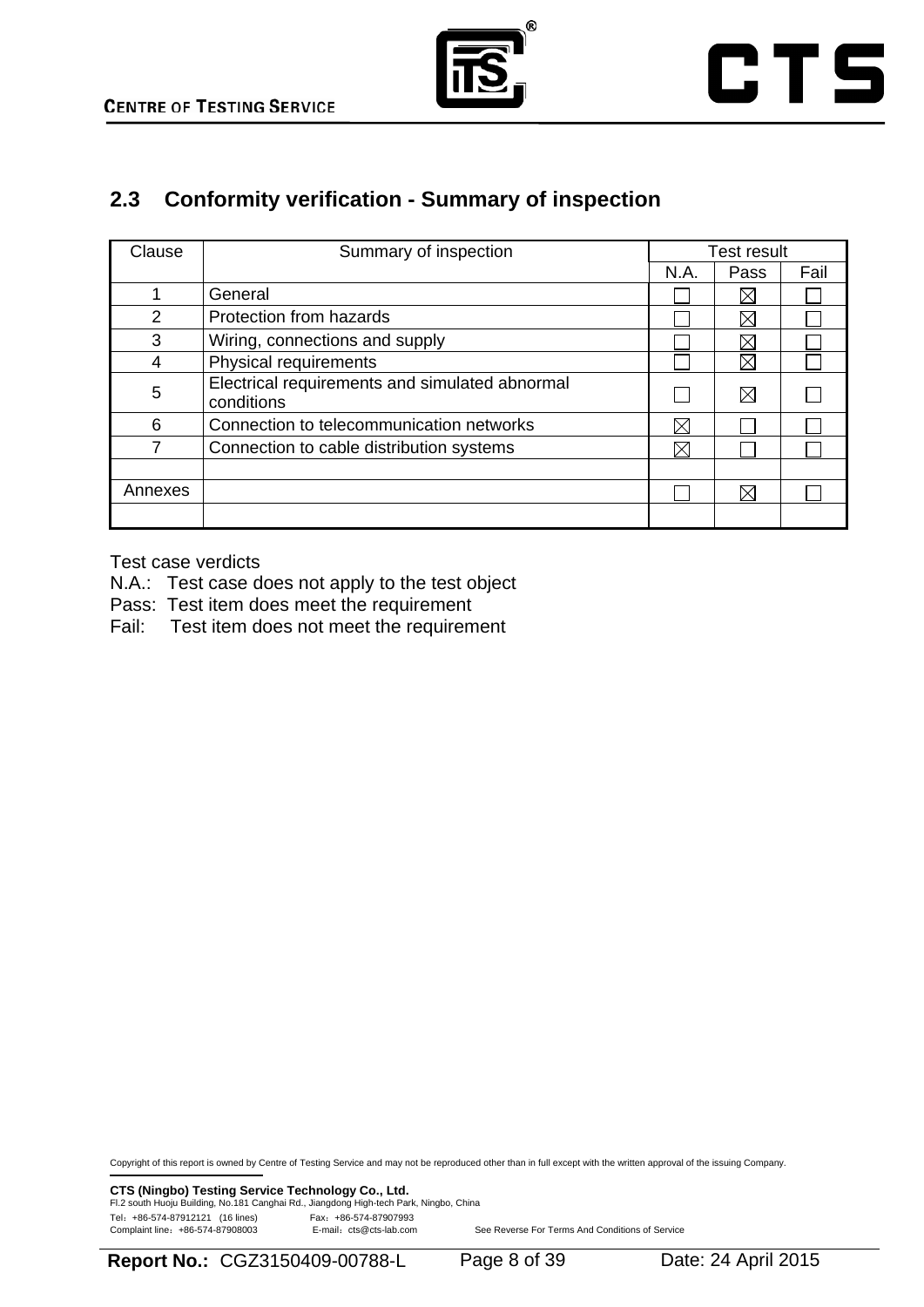



# **2.3 Conformity verification - Summary of inspection**

| Clause  | Summary of inspection                                        |             | <b>Test result</b> |      |
|---------|--------------------------------------------------------------|-------------|--------------------|------|
|         |                                                              | N.A.        | Pass               | Fail |
|         | General                                                      |             | ⋉                  |      |
| 2       | Protection from hazards                                      |             | $\boxtimes$        |      |
| 3       | Wiring, connections and supply                               |             |                    |      |
| 4       | Physical requirements                                        |             | IX                 |      |
| 5       | Electrical requirements and simulated abnormal<br>conditions |             | $\boxtimes$        |      |
| 6       | Connection to telecommunication networks                     | $\boxtimes$ |                    |      |
|         | Connection to cable distribution systems                     | $\boxtimes$ |                    |      |
|         |                                                              |             |                    |      |
| Annexes |                                                              |             | ⊠                  |      |
|         |                                                              |             |                    |      |

Test case verdicts

- N.A.: Test case does not apply to the test object
- Pass: Test item does meet the requirement
- Fail: Test item does not meet the requirement

Copyright of this report is owned by Centre of Testing Service and may not be reproduced other than in full except with the written approval of the issuing Company.

**CTS (Ningbo) Testing Service Technology Co., Ltd.**<br>Fl.2 south Huoju Building, No.181 Canghai Rd., Jiangdong High-tech Park, Ningbo, China Tel: +86-574-87912121 (16 lines) Fax: +86-574-87907993<br>Complaint line: +86-574-87908003 E-mail: cts@cts-lab.com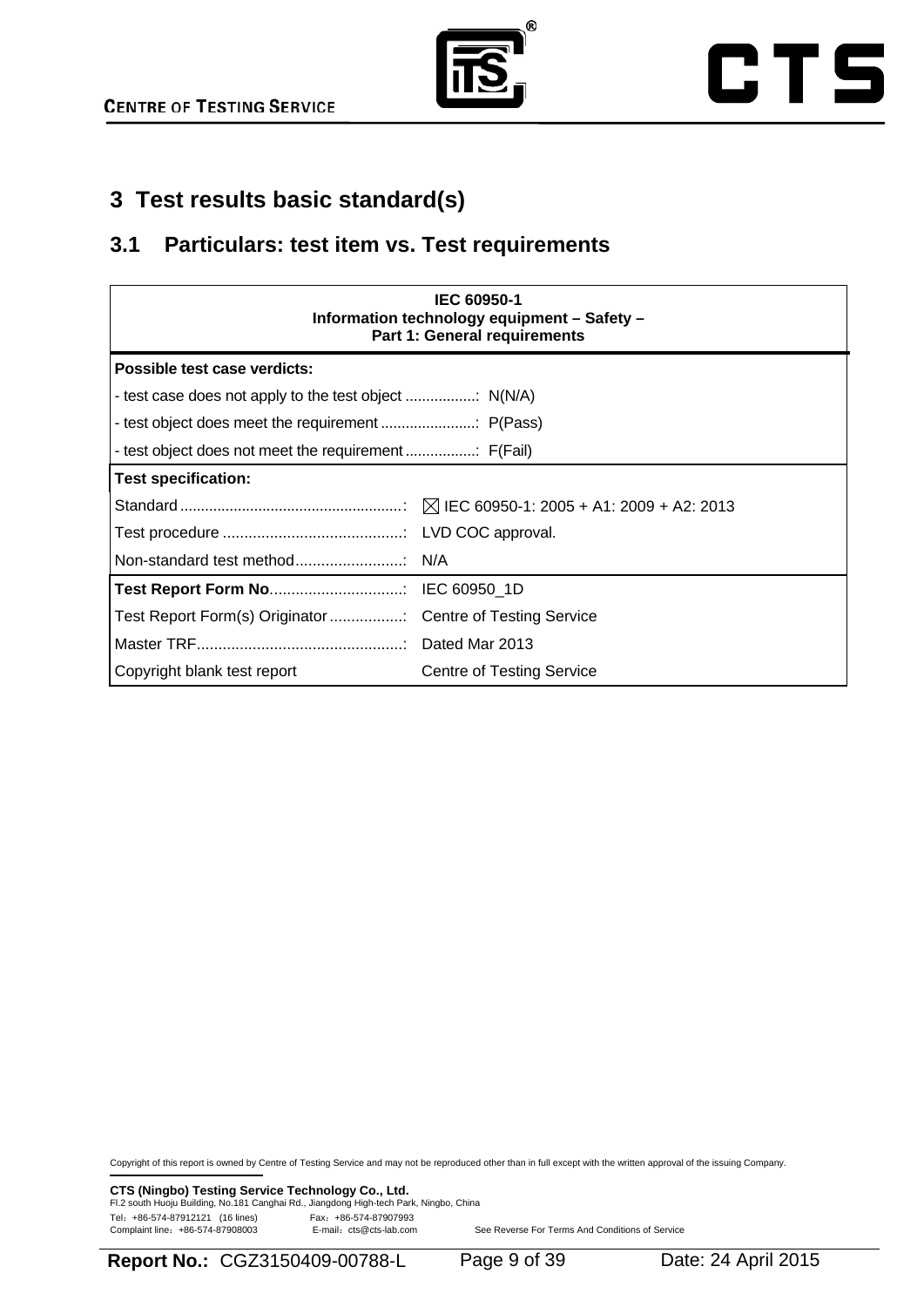



# **3 Test results basic standard(s)**

### **3.1 Particulars: test item vs. Test requirements**

| <b>IEC 60950-1</b><br>Information technology equipment - Safety -<br><b>Part 1: General requirements</b> |                                  |  |  |
|----------------------------------------------------------------------------------------------------------|----------------------------------|--|--|
| Possible test case verdicts:                                                                             |                                  |  |  |
|                                                                                                          |                                  |  |  |
|                                                                                                          |                                  |  |  |
|                                                                                                          |                                  |  |  |
| <b>Test specification:</b>                                                                               |                                  |  |  |
|                                                                                                          |                                  |  |  |
|                                                                                                          |                                  |  |  |
|                                                                                                          |                                  |  |  |
|                                                                                                          |                                  |  |  |
| Test Report Form(s) Originator  Centre of Testing Service                                                |                                  |  |  |
|                                                                                                          |                                  |  |  |
| Copyright blank test report                                                                              | <b>Centre of Testing Service</b> |  |  |

Copyright of this report is owned by Centre of Testing Service and may not be reproduced other than in full except with the written approval of the issuing Company.

**CTS (Ningbo) Testing Service Technology Co., Ltd.**<br>Fl.2 south Huoju Building, No.181 Canghai Rd., Jiangdong High-tech Park, Ningbo, China Tel: +86-574-87912121 (16 lines)<br>Complaint line: +86-574-87908003 E-mail: cts@cts-lab.com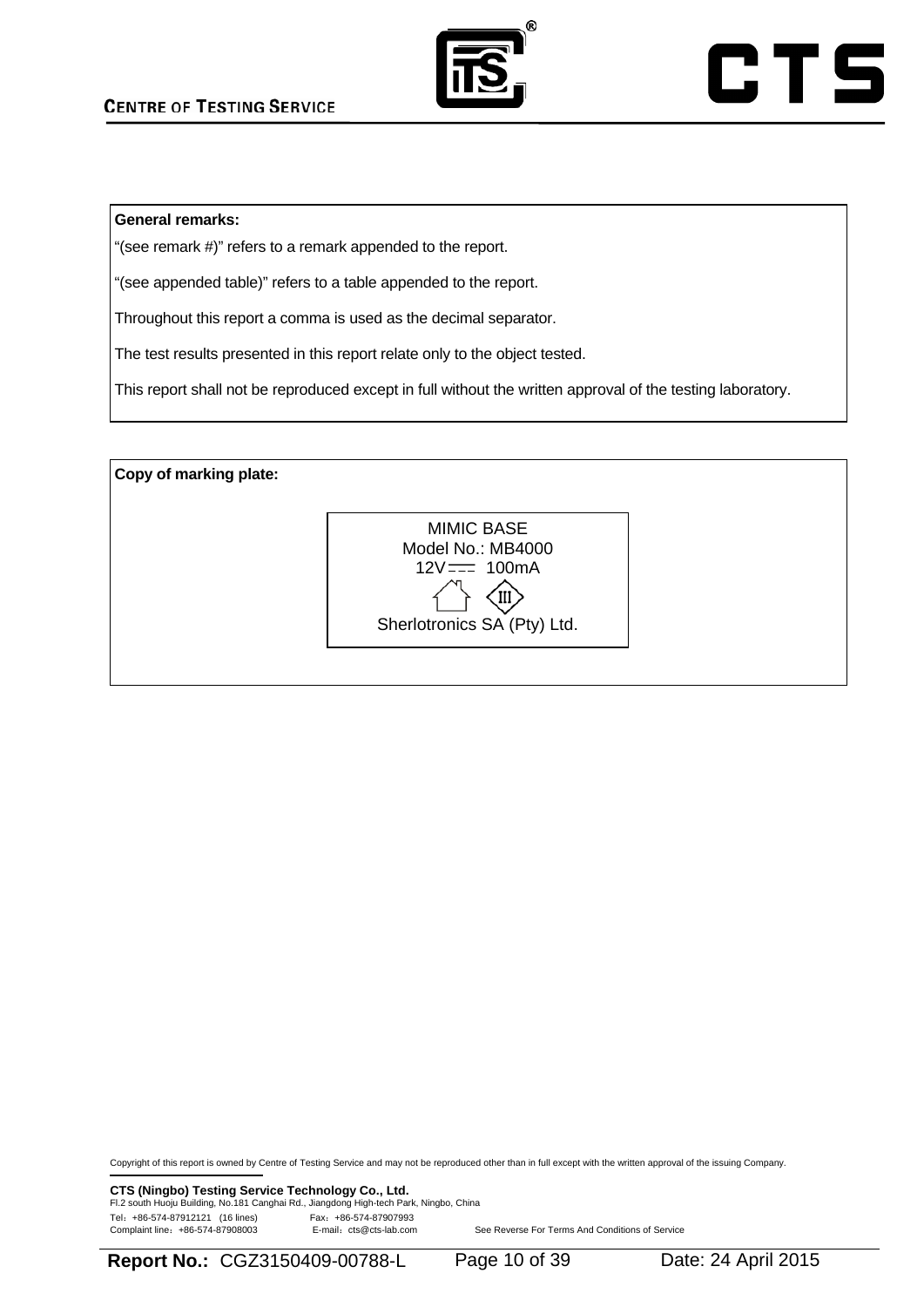



#### **General remarks:**

"(see remark #)" refers to a remark appended to the report.

"(see appended table)" refers to a table appended to the report.

Throughout this report a comma is used as the decimal separator.

The test results presented in this report relate only to the object tested.

This report shall not be reproduced except in full without the written approval of the testing laboratory.

**Copy of marking plate:**  MIMIC BASE Model No.: MB4000  $12V = -100mA$  $\left\{\begin{matrix} \downarrow \\ \downarrow \end{matrix}\right\}$ <br>Sherlotronics SA (Pty) Ltd.

Copyright of this report is owned by Centre of Testing Service and may not be reproduced other than in full except with the written approval of the issuing Company.

**CTS (Ningbo) Testing Service Technology Co., Ltd.**<br>Fl.2 south Huoju Building, No.181 Canghai Rd., Jiangdong High-tech Park, Ningbo, China Tel: +86-574-87912121 (16 lines)<br>Complaint line: +86-574-87908003 E-mail: cts@cts-lab.com

**Report No.:** CGZ3150409-00788-L Page 10 of 39 Date: 24 April 2015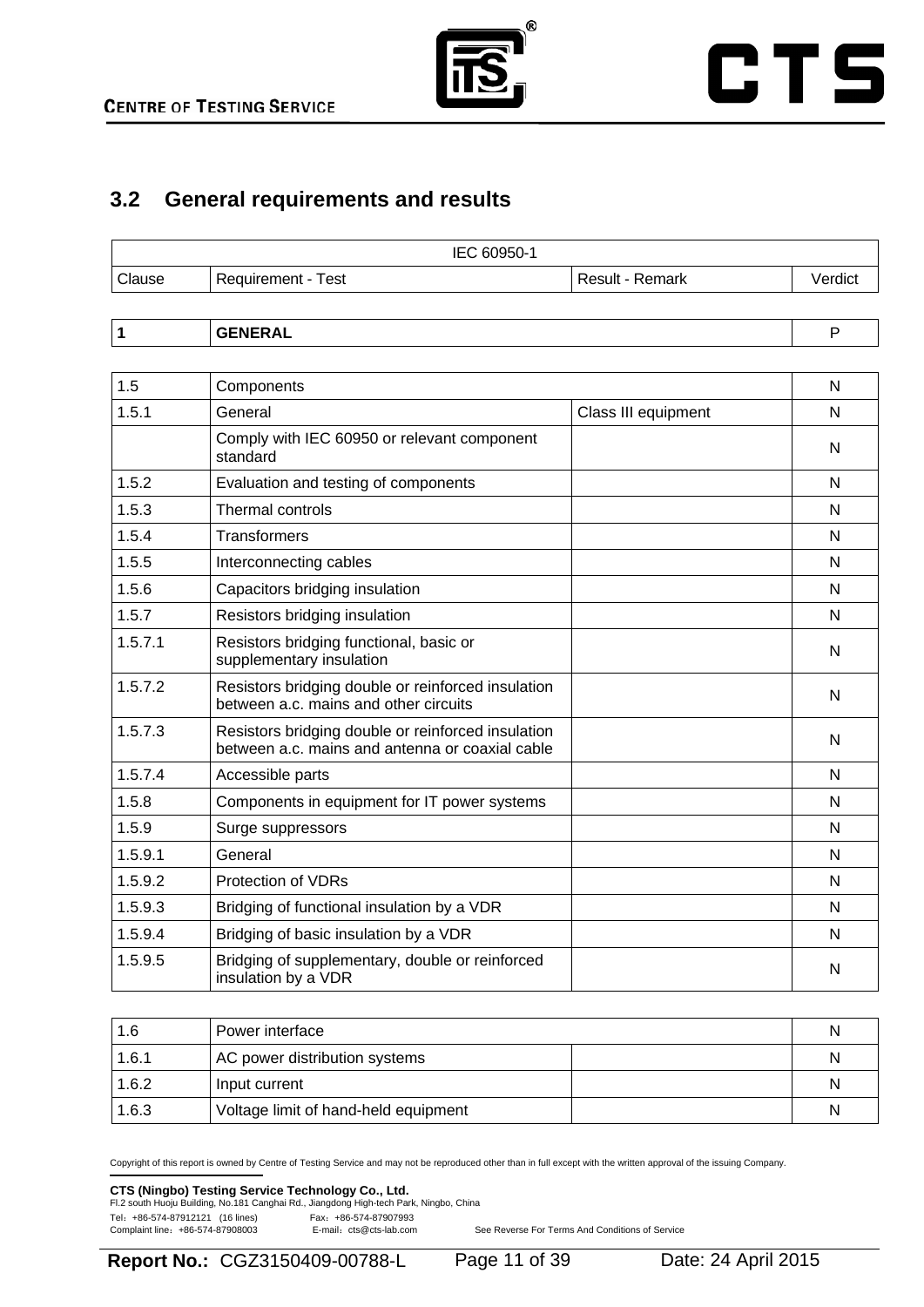

# **CTS**

# **3.2 General requirements and results**

|        | IEC 60950-1                  |                        |         |
|--------|------------------------------|------------------------|---------|
| Clause | <b>Test</b><br>Requirement - | <b>Result - Remark</b> | /erdict |
|        |                              |                        |         |

| $\cdots$ |  |
|----------|--|
|----------|--|

| 1.5     | Components                                                                                            |                     | N |
|---------|-------------------------------------------------------------------------------------------------------|---------------------|---|
| 1.5.1   | General                                                                                               | Class III equipment | N |
|         | Comply with IEC 60950 or relevant component<br>standard                                               |                     | N |
| 1.5.2   | Evaluation and testing of components                                                                  |                     | N |
| 1.5.3   | Thermal controls                                                                                      |                     | N |
| 1.5.4   | <b>Transformers</b>                                                                                   |                     | N |
| 1.5.5   | Interconnecting cables                                                                                |                     | N |
| 1.5.6   | Capacitors bridging insulation                                                                        |                     | N |
| 1.5.7   | Resistors bridging insulation                                                                         |                     | N |
| 1.5.7.1 | Resistors bridging functional, basic or<br>supplementary insulation                                   |                     | N |
| 1.5.7.2 | Resistors bridging double or reinforced insulation<br>between a.c. mains and other circuits           |                     | N |
| 1.5.7.3 | Resistors bridging double or reinforced insulation<br>between a.c. mains and antenna or coaxial cable |                     | N |
| 1.5.7.4 | Accessible parts                                                                                      |                     | N |
| 1.5.8   | Components in equipment for IT power systems                                                          |                     | N |
| 1.5.9   | Surge suppressors                                                                                     |                     | N |
| 1.5.9.1 | General                                                                                               |                     | N |
| 1.5.9.2 | <b>Protection of VDRs</b>                                                                             |                     | N |
| 1.5.9.3 | Bridging of functional insulation by a VDR                                                            |                     | N |
| 1.5.9.4 | Bridging of basic insulation by a VDR                                                                 |                     | N |
| 1.5.9.5 | Bridging of supplementary, double or reinforced<br>insulation by a VDR                                |                     | N |

| 1.6   | Power interface                      | N |
|-------|--------------------------------------|---|
| 1.6.1 | AC power distribution systems        | N |
| 1.6.2 | Input current                        | N |
| 1.6.3 | Voltage limit of hand-held equipment | N |

Copyright of this report is owned by Centre of Testing Service and may not be reproduced other than in full except with the written approval of the issuing Company.

# **CTS (Ningbo) Testing Service Technology Co., Ltd.**<br>Fl.2 south Huoju Building, No.181 Canghai Rd., Jiangdong High-tech Park, Ningbo, China

Tel: +86-574-87912121 (16 lines)<br>Complaint line: +86-574-87908003 E-mail: cts@cts-lab.com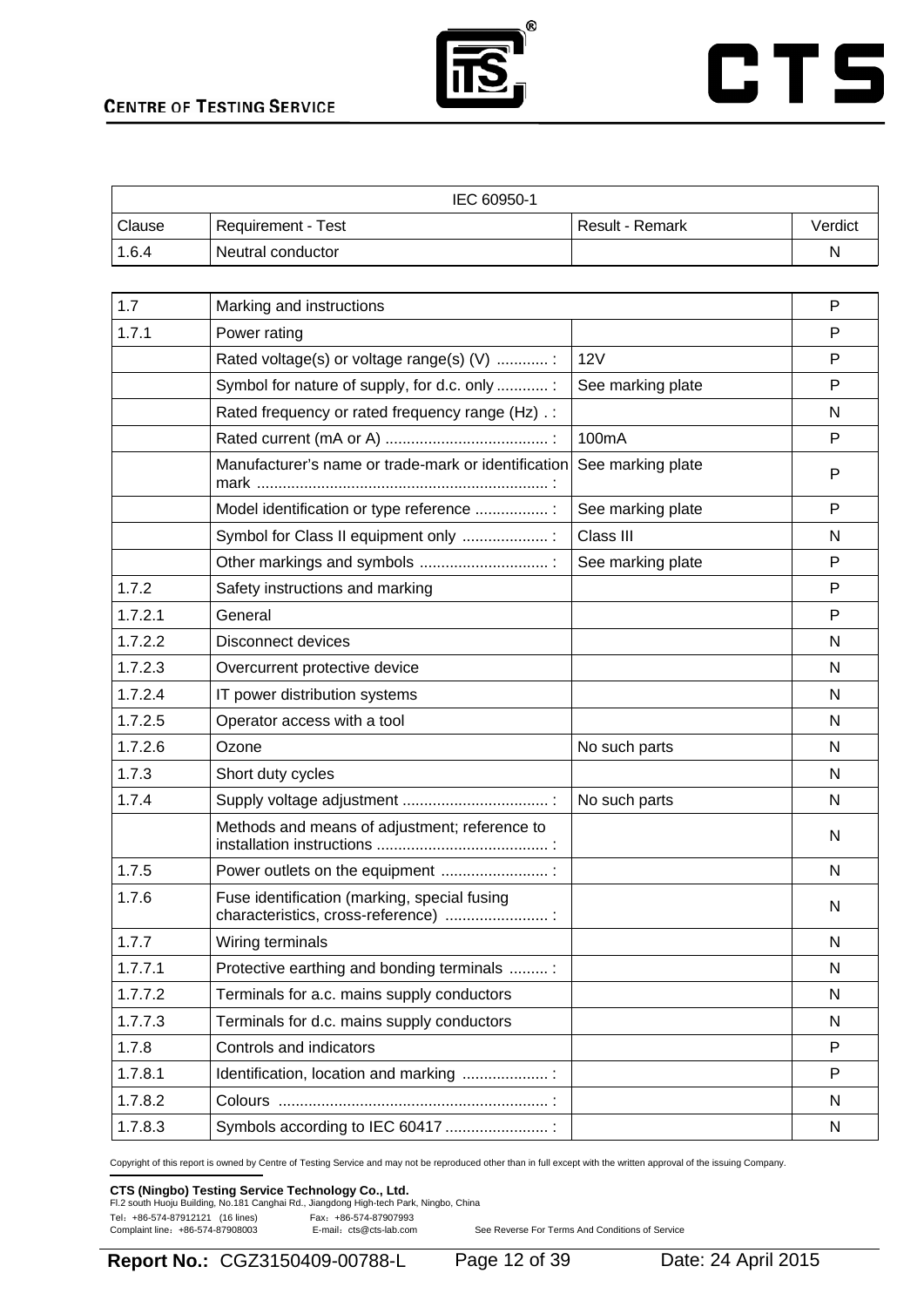



|                     | IEC 60950-1               |                   |         |
|---------------------|---------------------------|-------------------|---------|
| <sup>1</sup> Clause | <b>Requirement - Test</b> | l Result - Remark | Verdict |
| 1.6.4               | Neutral conductor         |                   | N       |

| 1.7     | Marking and instructions                                                            |                   | P |
|---------|-------------------------------------------------------------------------------------|-------------------|---|
| 1.7.1   | Power rating                                                                        |                   | P |
|         | Rated voltage(s) or voltage range(s) (V) :                                          | 12V               | Р |
|         | Symbol for nature of supply, for d.c. only :                                        | See marking plate | P |
|         | Rated frequency or rated frequency range (Hz) .:                                    |                   | N |
|         |                                                                                     | 100mA             | P |
|         | Manufacturer's name or trade-mark or identification                                 | See marking plate | P |
|         | Model identification or type reference  :                                           | See marking plate | P |
|         | Symbol for Class II equipment only  :                                               | Class III         | N |
|         | Other markings and symbols                                                          | See marking plate | P |
| 1.7.2   | Safety instructions and marking                                                     |                   | P |
| 1.7.2.1 | General                                                                             |                   | P |
| 1.7.2.2 | Disconnect devices                                                                  |                   | N |
| 1.7.2.3 | Overcurrent protective device                                                       |                   | N |
| 1.7.2.4 | IT power distribution systems                                                       |                   | N |
| 1.7.2.5 | Operator access with a tool                                                         |                   | N |
| 1.7.2.6 | Ozone                                                                               | No such parts     | N |
| 1.7.3   | Short duty cycles                                                                   |                   | N |
| 1.7.4   |                                                                                     | No such parts     | N |
|         | Methods and means of adjustment; reference to                                       |                   | N |
| 1.7.5   | Power outlets on the equipment                                                      |                   | N |
| 1.7.6   | Fuse identification (marking, special fusing<br>characteristics, cross-reference) : |                   | N |
| 1.7.7   | Wiring terminals                                                                    |                   | N |
| 1.7.7.1 | Protective earthing and bonding terminals                                           |                   | N |
| 1.7.7.2 | Terminals for a.c. mains supply conductors                                          |                   | N |
| 1.7.7.3 | Terminals for d.c. mains supply conductors                                          |                   | N |
| 1.7.8   | Controls and indicators                                                             |                   | P |
| 1.7.8.1 | Identification, location and marking                                                |                   | P |
| 1.7.8.2 |                                                                                     |                   | N |
| 1.7.8.3 | Symbols according to IEC 60417                                                      |                   | N |

Copyright of this report is owned by Centre of Testing Service and may not be reproduced other than in full except with the written approval of the issuing Company.

### **CTS (Ningbo) Testing Service Technology Co., Ltd.**<br>Fl.2 south Huoju Building, No.181 Canghai Rd., Jiangdong High-tech Park, Ningbo, China

Tel: +86-574-87912121 (16 lines) Fax: +86-574-87907993<br>Complaint line: +86-574-87908003 E-mail: cts@cts-lab.com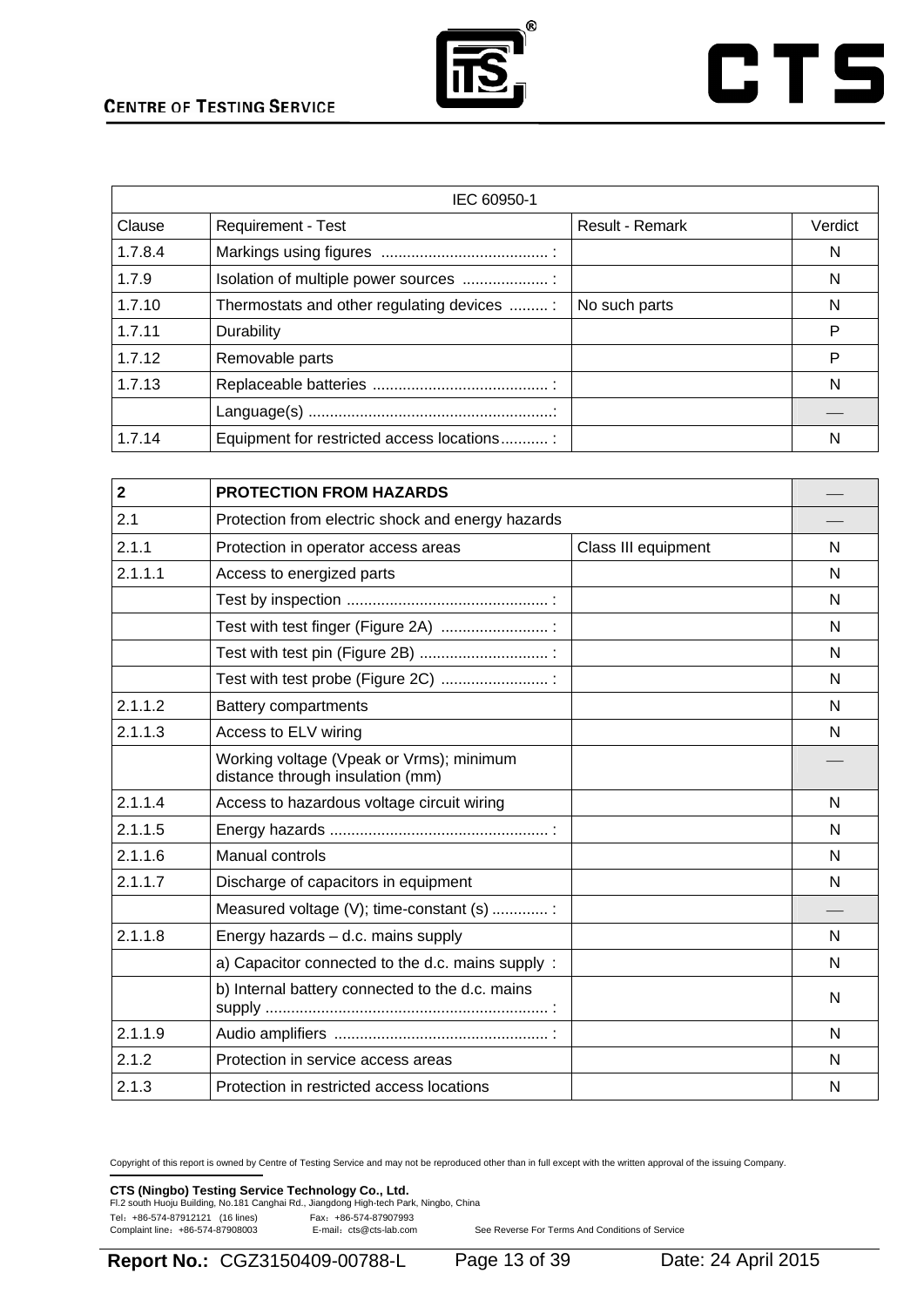

# **CTS**

|         | IEC 60950-1                                |                        |         |
|---------|--------------------------------------------|------------------------|---------|
| Clause  | <b>Requirement - Test</b>                  | <b>Result - Remark</b> | Verdict |
| 1.7.8.4 |                                            |                        | N       |
| 1.7.9   | Isolation of multiple power sources        |                        | N       |
| 1.7.10  | Thermostats and other regulating devices   | No such parts          | N       |
| 1.7.11  | <b>Durability</b>                          |                        | P       |
| 1.7.12  | Removable parts                            |                        | P       |
| 1.7.13  |                                            |                        | N       |
|         |                                            |                        |         |
| 1.7.14  | Equipment for restricted access locations: |                        | N       |

| $\overline{2}$ | <b>PROTECTION FROM HAZARDS</b>                                               |                     |   |
|----------------|------------------------------------------------------------------------------|---------------------|---|
| 2.1            | Protection from electric shock and energy hazards                            |                     |   |
| 2.1.1          | Protection in operator access areas                                          | Class III equipment | N |
| 2.1.1.1        | Access to energized parts                                                    |                     | N |
|                |                                                                              |                     | N |
|                | Test with test finger (Figure 2A)                                            |                     | N |
|                |                                                                              |                     | N |
|                | Test with test probe (Figure 2C)  :                                          |                     | N |
| 2.1.1.2        | <b>Battery compartments</b>                                                  |                     | N |
| 2.1.1.3        | Access to ELV wiring                                                         |                     | N |
|                | Working voltage (Vpeak or Vrms); minimum<br>distance through insulation (mm) |                     |   |
| 2.1.1.4        | Access to hazardous voltage circuit wiring                                   |                     | N |
| 2.1.1.5        |                                                                              |                     | N |
| 2.1.1.6        | Manual controls                                                              |                     | N |
| 2.1.1.7        | Discharge of capacitors in equipment                                         |                     | N |
|                | Measured voltage (V); time-constant (s)                                      |                     |   |
| 2.1.1.8        | Energy hazards - d.c. mains supply                                           |                     | N |
|                | a) Capacitor connected to the d.c. mains supply :                            |                     | N |
|                | b) Internal battery connected to the d.c. mains                              |                     | N |
| 2.1.1.9        |                                                                              |                     | N |
| 2.1.2          | Protection in service access areas                                           |                     | N |
| 2.1.3          | Protection in restricted access locations                                    |                     | N |

Copyright of this report is owned by Centre of Testing Service and may not be reproduced other than in full except with the written approval of the issuing Company.

**CTS (Ningbo) Testing Service Technology Co., Ltd.**<br>Fl.2 south Huoju Building, No.181 Canghai Rd., Jiangdong High-tech Park, Ningbo, China Tel: +86-574-87912121 (16 lines) Fax: +86-574-87907993<br>Complaint line: +86-574-87908003 E-mail: cts@cts-lab.com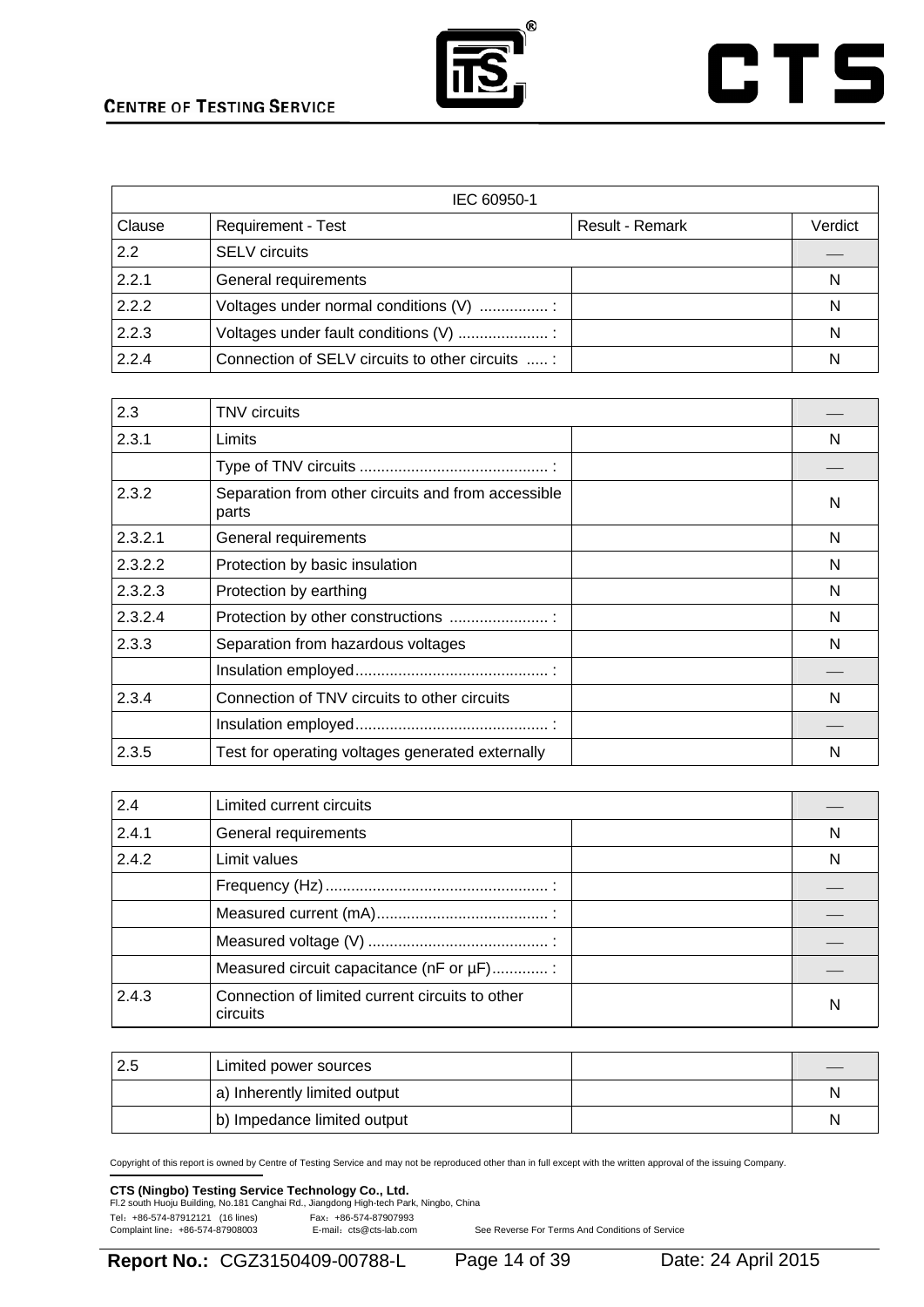

# **CTS**

| IEC 60950-1 |                                                  |                 |         |
|-------------|--------------------------------------------------|-----------------|---------|
| Clause      | Requirement - Test                               | Result - Remark | Verdict |
| 2.2         | <b>SELV</b> circuits                             |                 |         |
| 2.2.1       | General requirements                             |                 | N       |
| 2.2.2       | Voltages under normal conditions (V)             |                 | N       |
| 2.2.3       | Voltages under fault conditions (V)              |                 | N       |
| 2.2.4       | Connection of SELV circuits to other circuits  : |                 | N       |

| 2.3     | <b>TNV</b> circuits                                         |   |
|---------|-------------------------------------------------------------|---|
| 2.3.1   | Limits                                                      | N |
|         |                                                             |   |
| 2.3.2   | Separation from other circuits and from accessible<br>parts | N |
| 2.3.2.1 | General requirements                                        | N |
| 2.3.2.2 | Protection by basic insulation                              | N |
| 2.3.2.3 | Protection by earthing                                      | N |
| 2.3.2.4 | Protection by other constructions                           | N |
| 2.3.3   | Separation from hazardous voltages                          | N |
|         |                                                             |   |
| 2.3.4   | Connection of TNV circuits to other circuits                | N |
|         |                                                             |   |
| 2.3.5   | Test for operating voltages generated externally            | N |

| 2.4   | Limited current circuits                                    |   |
|-------|-------------------------------------------------------------|---|
| 2.4.1 | General requirements                                        | N |
| 2.4.2 | Limit values                                                | N |
|       |                                                             |   |
|       |                                                             |   |
|       |                                                             |   |
|       | Measured circuit capacitance (nF or µF):                    |   |
| 2.4.3 | Connection of limited current circuits to other<br>circuits | N |

| Limited power sources        |   |
|------------------------------|---|
| a) Inherently limited output | N |
| b) Impedance limited output  | N |

Copyright of this report is owned by Centre of Testing Service and may not be reproduced other than in full except with the written approval of the issuing Company.

# **CTS (Ningbo) Testing Service Technology Co., Ltd.**<br>Fl.2 south Huoju Building, No.181 Canghai Rd., Jiangdong High-tech Park, Ningbo, China

Tel: +86-574-87912121 (16 lines) Fax: +86-574-87907993<br>Complaint line: +86-574-87908003 E-mail: cts@cts-lab.com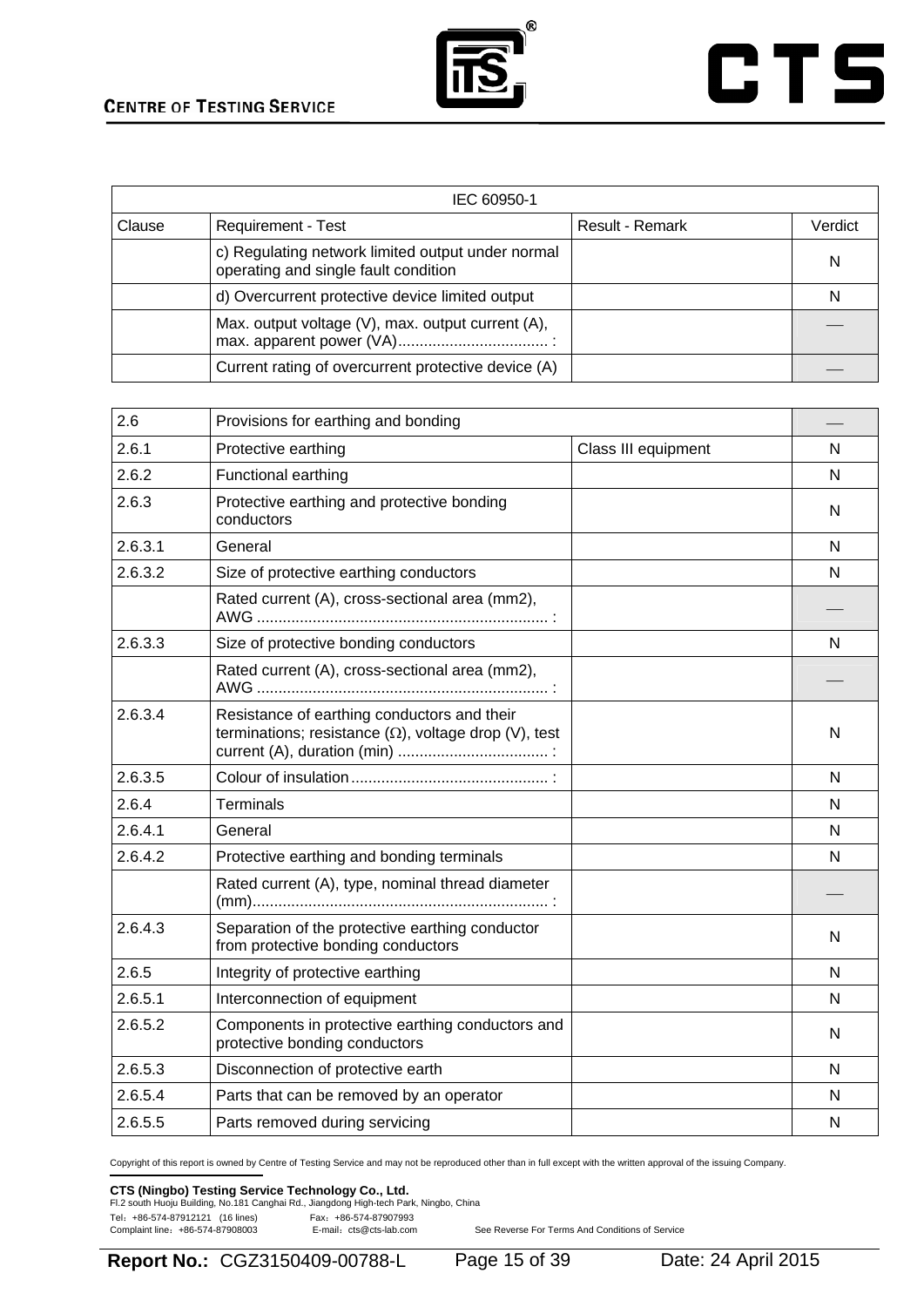



|        | IEC 60950-1                                                                               |                 |         |  |
|--------|-------------------------------------------------------------------------------------------|-----------------|---------|--|
| Clause | <b>Requirement - Test</b>                                                                 | Result - Remark | Verdict |  |
|        | c) Regulating network limited output under normal<br>operating and single fault condition |                 | N       |  |
|        | d) Overcurrent protective device limited output                                           |                 | N       |  |
|        | Max. output voltage (V), max. output current (A),                                         |                 |         |  |
|        | Current rating of overcurrent protective device (A)                                       |                 |         |  |

| 2.6     | Provisions for earthing and bonding                                                                         |                     |   |
|---------|-------------------------------------------------------------------------------------------------------------|---------------------|---|
| 2.6.1   | Protective earthing                                                                                         | Class III equipment | N |
| 2.6.2   | Functional earthing                                                                                         |                     | N |
| 2.6.3   | Protective earthing and protective bonding<br>conductors                                                    |                     | N |
| 2.6.3.1 | General                                                                                                     |                     | N |
| 2.6.3.2 | Size of protective earthing conductors                                                                      |                     | N |
|         | Rated current (A), cross-sectional area (mm2),                                                              |                     |   |
| 2.6.3.3 | Size of protective bonding conductors                                                                       |                     | N |
|         | Rated current (A), cross-sectional area (mm2),                                                              |                     |   |
| 2.6.3.4 | Resistance of earthing conductors and their<br>terminations; resistance $(\Omega)$ , voltage drop (V), test |                     | N |
| 2.6.3.5 |                                                                                                             |                     | N |
| 2.6.4   | <b>Terminals</b>                                                                                            |                     | N |
| 2.6.4.1 | General                                                                                                     |                     | N |
| 2.6.4.2 | Protective earthing and bonding terminals                                                                   |                     | N |
|         | Rated current (A), type, nominal thread diameter                                                            |                     |   |
| 2.6.4.3 | Separation of the protective earthing conductor<br>from protective bonding conductors                       |                     | N |
| 2.6.5   | Integrity of protective earthing                                                                            |                     | N |
| 2.6.5.1 | Interconnection of equipment                                                                                |                     | N |
| 2.6.5.2 | Components in protective earthing conductors and<br>protective bonding conductors                           |                     | N |
| 2.6.5.3 | Disconnection of protective earth                                                                           |                     | N |
| 2.6.5.4 | Parts that can be removed by an operator                                                                    |                     | N |
| 2.6.5.5 | Parts removed during servicing                                                                              |                     | N |

Copyright of this report is owned by Centre of Testing Service and may not be reproduced other than in full except with the written approval of the issuing Company.

### **CTS (Ningbo) Testing Service Technology Co., Ltd.**<br>Fl.2 south Huoju Building, No.181 Canghai Rd., Jiangdong High-tech Park, Ningbo, China

Tel: +86-574-87912121 (16 lines) Fax: +86-574-87907993<br>Complaint line: +86-574-87908003 E-mail: cts@cts-lab.com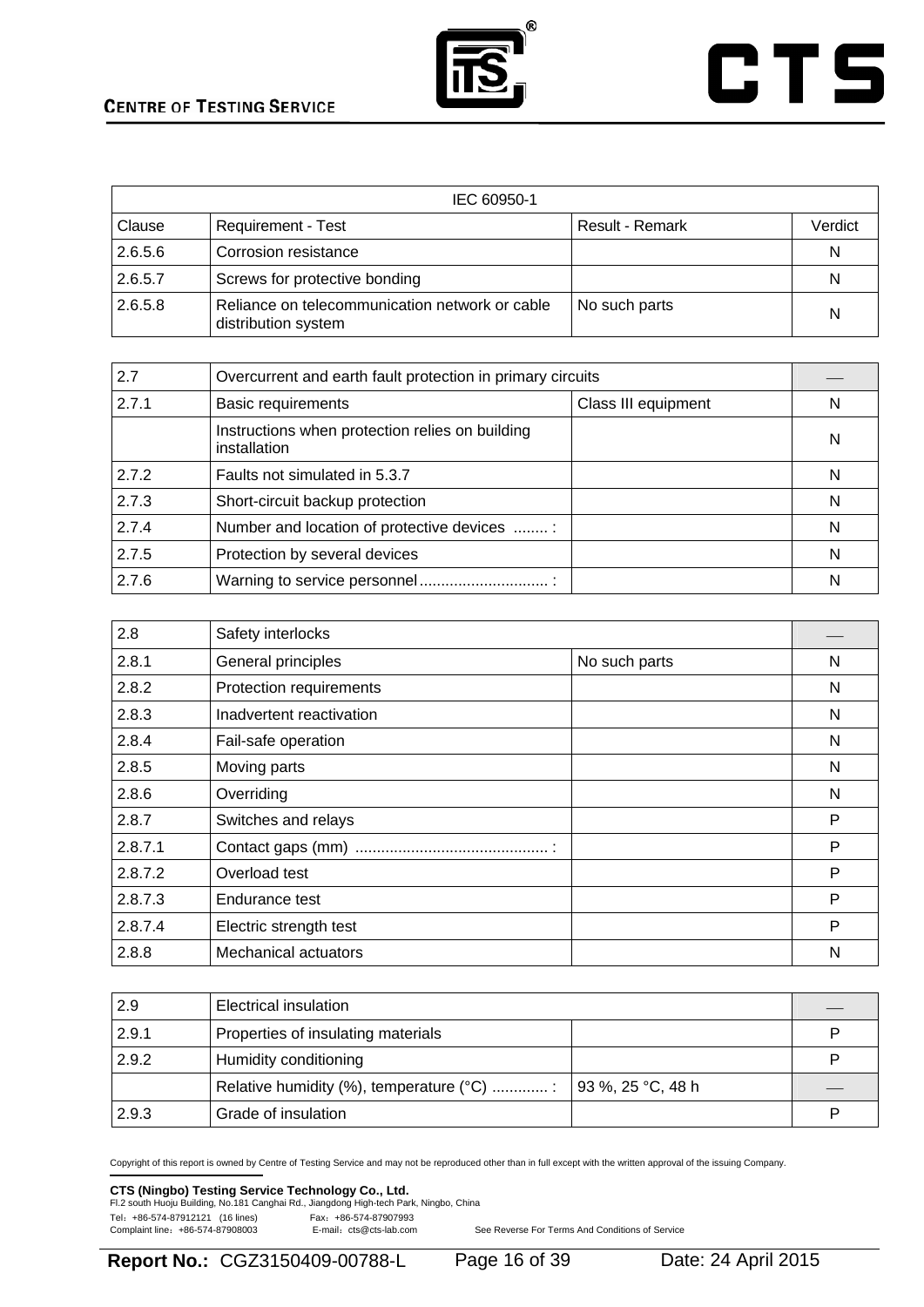

# **CTS**

| IEC 60950-1 |                                                                       |                 |         |
|-------------|-----------------------------------------------------------------------|-----------------|---------|
| Clause      | <b>Requirement - Test</b>                                             | Result - Remark | Verdict |
| 2.6.5.6     | Corrosion resistance                                                  |                 | N       |
| 2.6.5.7     | Screws for protective bonding                                         |                 | N       |
| 2.6.5.8     | Reliance on telecommunication network or cable<br>distribution system | No such parts   | N       |

| 2.7   | Overcurrent and earth fault protection in primary circuits      |                     |   |
|-------|-----------------------------------------------------------------|---------------------|---|
| 2.7.1 | <b>Basic requirements</b>                                       | Class III equipment | N |
|       | Instructions when protection relies on building<br>installation |                     | N |
| 2.7.2 | Faults not simulated in 5.3.7                                   |                     | N |
| 2.7.3 | Short-circuit backup protection                                 |                     | N |
| 2.7.4 | Number and location of protective devices :                     |                     | N |
| 2.7.5 | Protection by several devices                                   |                     | N |
| 2.7.6 |                                                                 |                     | N |

| 2.8     | Safety interlocks           |               |   |
|---------|-----------------------------|---------------|---|
| 2.8.1   | General principles          | No such parts | N |
| 2.8.2   | Protection requirements     |               | N |
| 2.8.3   | Inadvertent reactivation    |               | N |
| 2.8.4   | Fail-safe operation         |               | N |
| 2.8.5   | Moving parts                |               | N |
| 2.8.6   | Overriding                  |               | N |
| 2.8.7   | Switches and relays         |               | P |
| 2.8.7.1 |                             |               | P |
| 2.8.7.2 | Overload test               |               | P |
| 2.8.7.3 | Endurance test              |               | P |
| 2.8.7.4 | Electric strength test      |               | P |
| 2.8.8   | <b>Mechanical actuators</b> |               | N |

| 2.9   | Electrical insulation                                                              |  |   |
|-------|------------------------------------------------------------------------------------|--|---|
| 2.9.1 | Properties of insulating materials                                                 |  | P |
| 2.9.2 | Humidity conditioning                                                              |  | Þ |
|       | Relative humidity (%), temperature ( $^{\circ}$ C) :   93 %, 25 $^{\circ}$ C, 48 h |  |   |
| 2.9.3 | Grade of insulation                                                                |  | Þ |

Copyright of this report is owned by Centre of Testing Service and may not be reproduced other than in full except with the written approval of the issuing Company.

# **CTS (Ningbo) Testing Service Technology Co., Ltd.**<br>Fl.2 south Huoju Building, No.181 Canghai Rd., Jiangdong High-tech Park, Ningbo, China

Tel: +86-574-87912121 (16 lines) Fax: +86-574-87907993<br>Complaint line: +86-574-87908003 E-mail: cts@cts-lab.com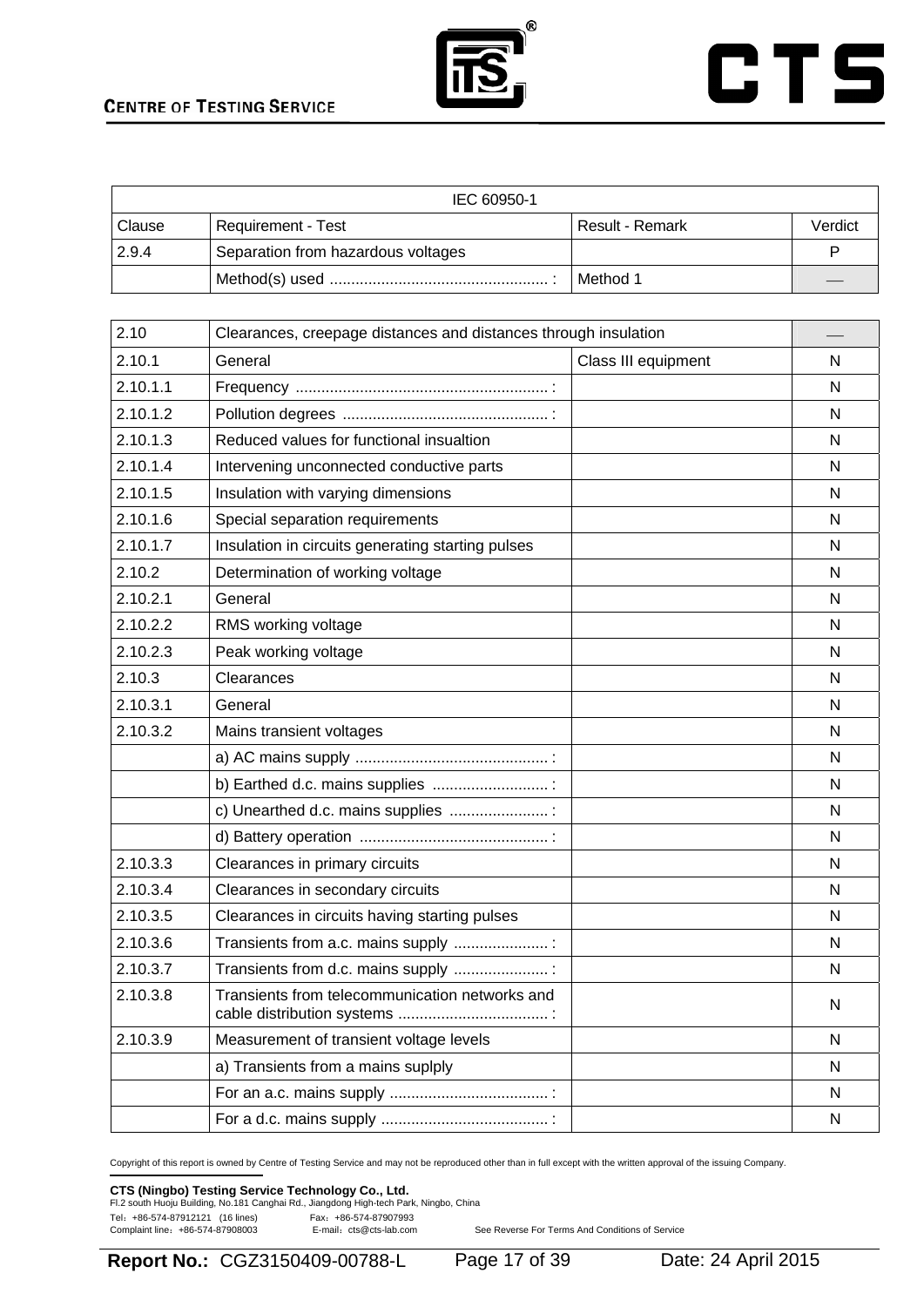



| IEC 60950-1 |                                    |                 |         |
|-------------|------------------------------------|-----------------|---------|
| Clause      | <b>Requirement - Test</b>          | Result - Remark | Verdict |
| 2.9.4       | Separation from hazardous voltages |                 |         |
|             |                                    | I Method 1      |         |

| 2.10     | Clearances, creepage distances and distances through insulation |                     |              |
|----------|-----------------------------------------------------------------|---------------------|--------------|
| 2.10.1   | General                                                         | Class III equipment | N            |
| 2.10.1.1 |                                                                 |                     | N            |
| 2.10.1.2 |                                                                 |                     | N            |
| 2.10.1.3 | Reduced values for functional insualtion                        |                     | N            |
| 2.10.1.4 | Intervening unconnected conductive parts                        |                     | N            |
| 2.10.1.5 | Insulation with varying dimensions                              |                     | N            |
| 2.10.1.6 | Special separation requirements                                 |                     | N            |
| 2.10.1.7 | Insulation in circuits generating starting pulses               |                     | N            |
| 2.10.2   | Determination of working voltage                                |                     | N            |
| 2.10.2.1 | General                                                         |                     | N            |
| 2.10.2.2 | RMS working voltage                                             |                     | N            |
| 2.10.2.3 | Peak working voltage                                            |                     | N            |
| 2.10.3   | Clearances                                                      |                     | N            |
| 2.10.3.1 | General                                                         |                     | N            |
| 2.10.3.2 | Mains transient voltages                                        |                     | N            |
|          |                                                                 |                     | N            |
|          | b) Earthed d.c. mains supplies                                  |                     | N            |
|          | c) Unearthed d.c. mains supplies :                              |                     | N            |
|          |                                                                 |                     | $\mathsf{N}$ |
| 2.10.3.3 | Clearances in primary circuits                                  |                     | N            |
| 2.10.3.4 | Clearances in secondary circuits                                |                     | N            |
| 2.10.3.5 | Clearances in circuits having starting pulses                   |                     | N            |
| 2.10.3.6 | Transients from a.c. mains supply                               |                     | N            |
| 2.10.3.7 | Transients from d.c. mains supply :                             |                     | N            |
| 2.10.3.8 | Transients from telecommunication networks and                  |                     | N            |
| 2.10.3.9 | Measurement of transient voltage levels                         |                     | N            |
|          | a) Transients from a mains suplply                              |                     | N            |
|          |                                                                 |                     | ${\sf N}$    |
|          |                                                                 |                     | $\mathsf{N}$ |

Copyright of this report is owned by Centre of Testing Service and may not be reproduced other than in full except with the written approval of the issuing Company.

### **CTS (Ningbo) Testing Service Technology Co., Ltd.**<br>Fl.2 south Huoju Building, No.181 Canghai Rd., Jiangdong High-tech Park, Ningbo, China

Tel: +86-574-87912121 (16 lines) Fax: +86-574-87907993<br>Complaint line: +86-574-87908003 E-mail: cts@cts-lab.com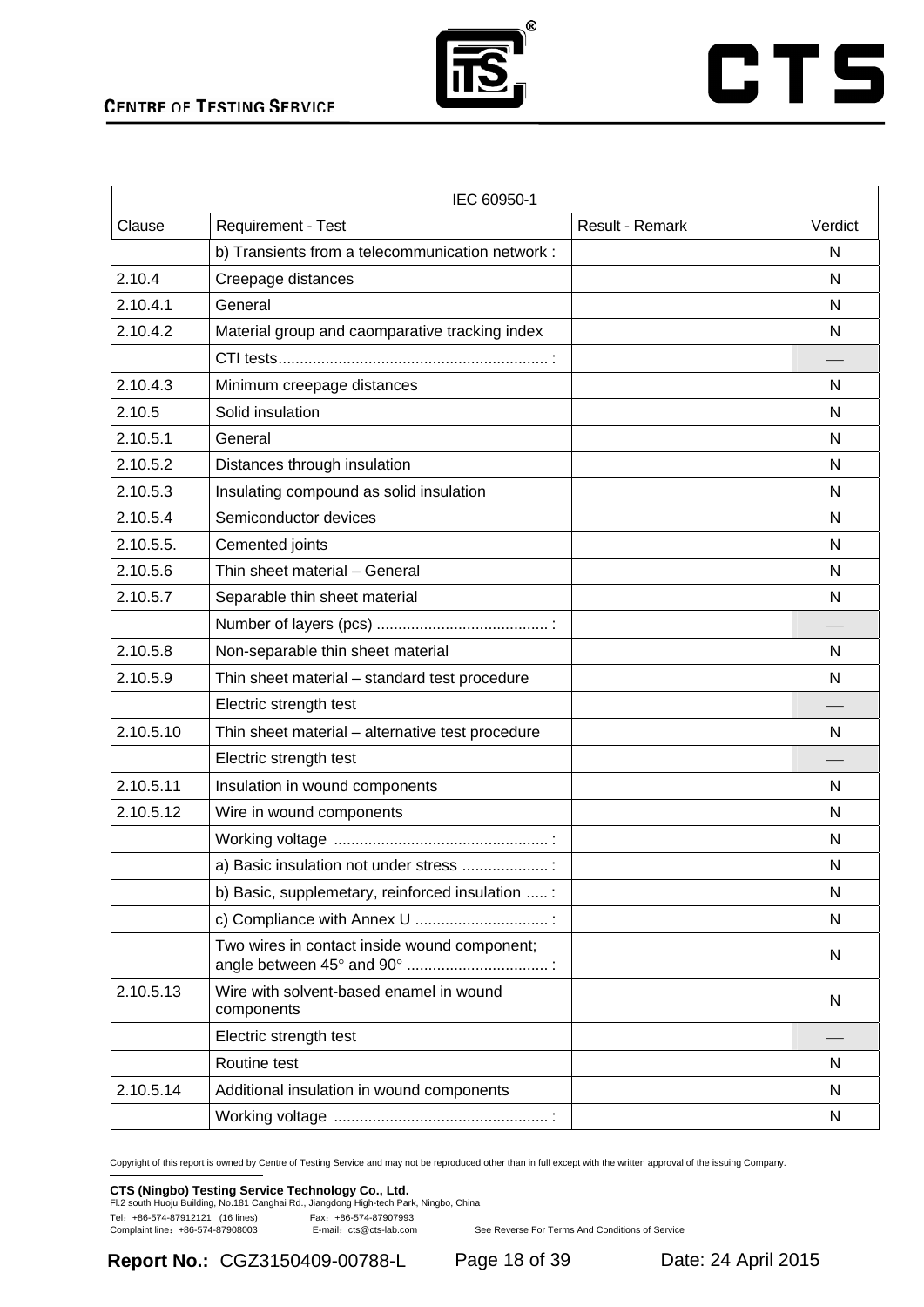

# **CTS**

|           | IEC 60950-1                                           |                 |         |
|-----------|-------------------------------------------------------|-----------------|---------|
| Clause    | Requirement - Test                                    | Result - Remark | Verdict |
|           | b) Transients from a telecommunication network :      |                 | N       |
| 2.10.4    | Creepage distances                                    |                 | N       |
| 2.10.4.1  | General                                               |                 | N       |
| 2.10.4.2  | Material group and caomparative tracking index        |                 | N       |
|           |                                                       |                 |         |
| 2.10.4.3  | Minimum creepage distances                            |                 | N       |
| 2.10.5    | Solid insulation                                      |                 | N       |
| 2.10.5.1  | General                                               |                 | N       |
| 2.10.5.2  | Distances through insulation                          |                 | N       |
| 2.10.5.3  | Insulating compound as solid insulation               |                 | N       |
| 2.10.5.4  | Semiconductor devices                                 |                 | N       |
| 2.10.5.5. | Cemented joints                                       |                 | N       |
| 2.10.5.6  | Thin sheet material - General                         |                 | N       |
| 2.10.5.7  | Separable thin sheet material                         |                 | N       |
|           |                                                       |                 |         |
| 2.10.5.8  | Non-separable thin sheet material                     |                 | N       |
| 2.10.5.9  | Thin sheet material - standard test procedure         |                 | N       |
|           | Electric strength test                                |                 |         |
| 2.10.5.10 | Thin sheet material - alternative test procedure      |                 | N       |
|           | Electric strength test                                |                 |         |
| 2.10.5.11 | Insulation in wound components                        |                 | N       |
| 2.10.5.12 | Wire in wound components                              |                 | N       |
|           |                                                       |                 | N       |
|           | a) Basic insulation not under stress                  |                 | N       |
|           | b) Basic, supplemetary, reinforced insulation :       |                 | N       |
|           |                                                       |                 | N       |
|           | Two wires in contact inside wound component;          |                 | N       |
| 2.10.5.13 | Wire with solvent-based enamel in wound<br>components |                 | N       |
|           | Electric strength test                                |                 |         |
|           | Routine test                                          |                 | N       |
| 2.10.5.14 | Additional insulation in wound components             |                 | N       |
|           |                                                       |                 | N       |

Copyright of this report is owned by Centre of Testing Service and may not be reproduced other than in full except with the written approval of the issuing Company.

### **CTS (Ningbo) Testing Service Technology Co., Ltd.**<br>Fl.2 south Huoju Building, No.181 Canghai Rd., Jiangdong High-tech Park, Ningbo, China

Tel: +86-574-87912121 (16 lines) Fax: +86-574-87907993<br>Complaint line: +86-574-87908003 E-mail: cts@cts-lab.com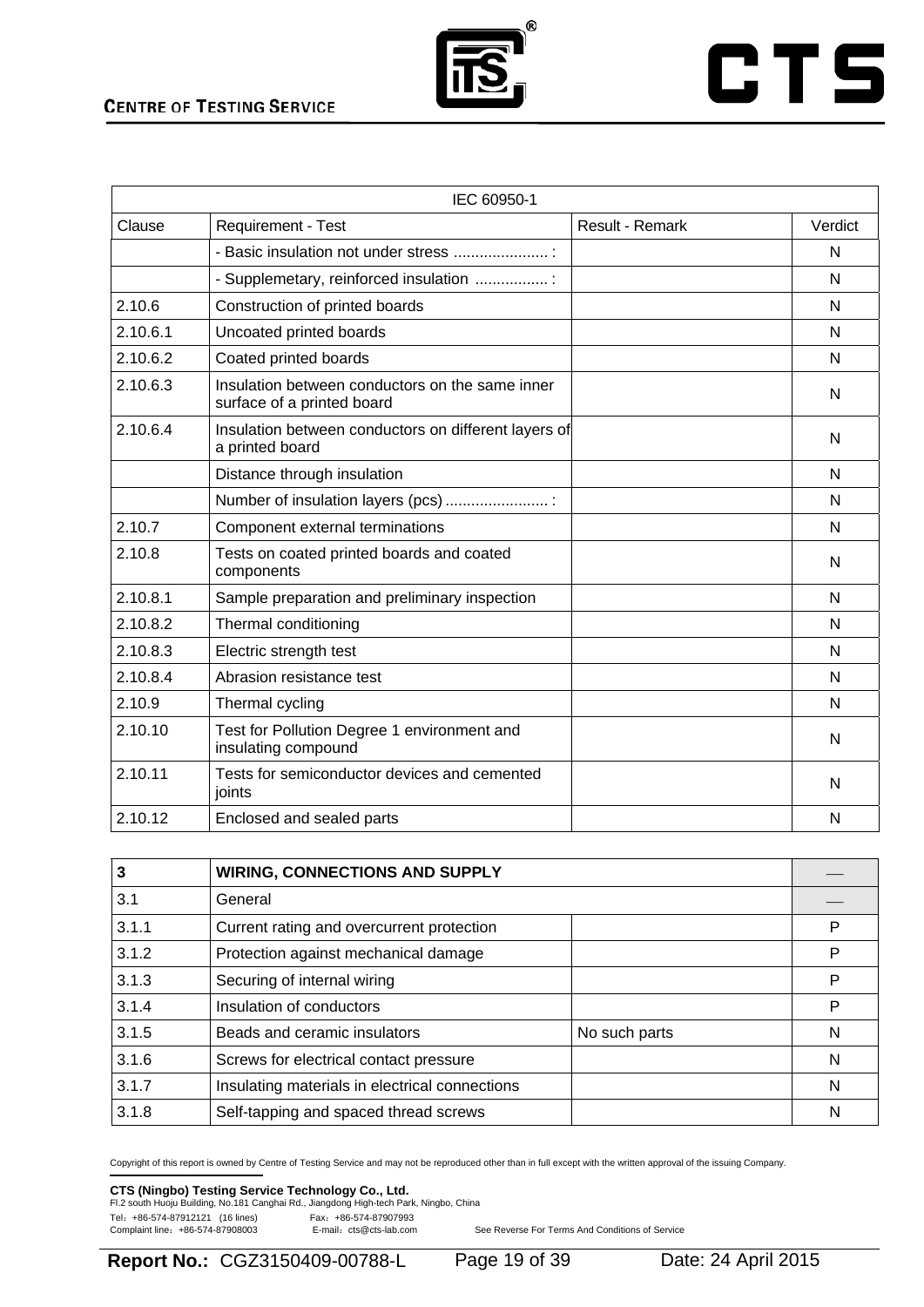

# **CTS**

|          | IEC 60950-1                                                                   |                        |         |
|----------|-------------------------------------------------------------------------------|------------------------|---------|
| Clause   | Requirement - Test                                                            | <b>Result - Remark</b> | Verdict |
|          | - Basic insulation not under stress  :                                        |                        | N       |
|          | - Supplemetary, reinforced insulation :                                       |                        | N       |
| 2.10.6   | Construction of printed boards                                                |                        | N       |
| 2.10.6.1 | Uncoated printed boards                                                       |                        | N       |
| 2.10.6.2 | Coated printed boards                                                         |                        | N       |
| 2.10.6.3 | Insulation between conductors on the same inner<br>surface of a printed board |                        | N       |
| 2.10.6.4 | Insulation between conductors on different layers of<br>a printed board       |                        | N       |
|          | Distance through insulation                                                   |                        | N       |
|          | Number of insulation layers (pcs)                                             |                        | N       |
| 2.10.7   | Component external terminations                                               |                        | N       |
| 2.10.8   | Tests on coated printed boards and coated<br>components                       |                        | N       |
| 2.10.8.1 | Sample preparation and preliminary inspection                                 |                        | N       |
| 2.10.8.2 | Thermal conditioning                                                          |                        | N       |
| 2.10.8.3 | Electric strength test                                                        |                        | N       |
| 2.10.8.4 | Abrasion resistance test                                                      |                        | N       |
| 2.10.9   | Thermal cycling                                                               |                        | N       |
| 2.10.10  | Test for Pollution Degree 1 environment and<br>insulating compound            |                        | N       |
| 2.10.11  | Tests for semiconductor devices and cemented<br>joints                        |                        | N       |
| 2.10.12  | Enclosed and sealed parts                                                     |                        | N       |

| 3     | <b>WIRING, CONNECTIONS AND SUPPLY</b>          |   |
|-------|------------------------------------------------|---|
| 3.1   | General                                        |   |
| 3.1.1 | Current rating and overcurrent protection      | P |
| 3.1.2 | Protection against mechanical damage           | P |
| 3.1.3 | Securing of internal wiring                    | P |
| 3.1.4 | Insulation of conductors                       | P |
| 3.1.5 | Beads and ceramic insulators<br>No such parts  | N |
| 3.1.6 | Screws for electrical contact pressure         | N |
| 3.1.7 | Insulating materials in electrical connections | N |
| 3.1.8 | Self-tapping and spaced thread screws          | N |

Copyright of this report is owned by Centre of Testing Service and may not be reproduced other than in full except with the written approval of the issuing Company.

### **CTS (Ningbo) Testing Service Technology Co., Ltd.**<br>Fl.2 south Huoju Building, No.181 Canghai Rd., Jiangdong High-tech Park, Ningbo, China

Tel: +86-574-87912121 (16 lines) Fax: +86-574-87907993<br>Complaint line: +86-574-87908003 E-mail: cts@cts-lab.com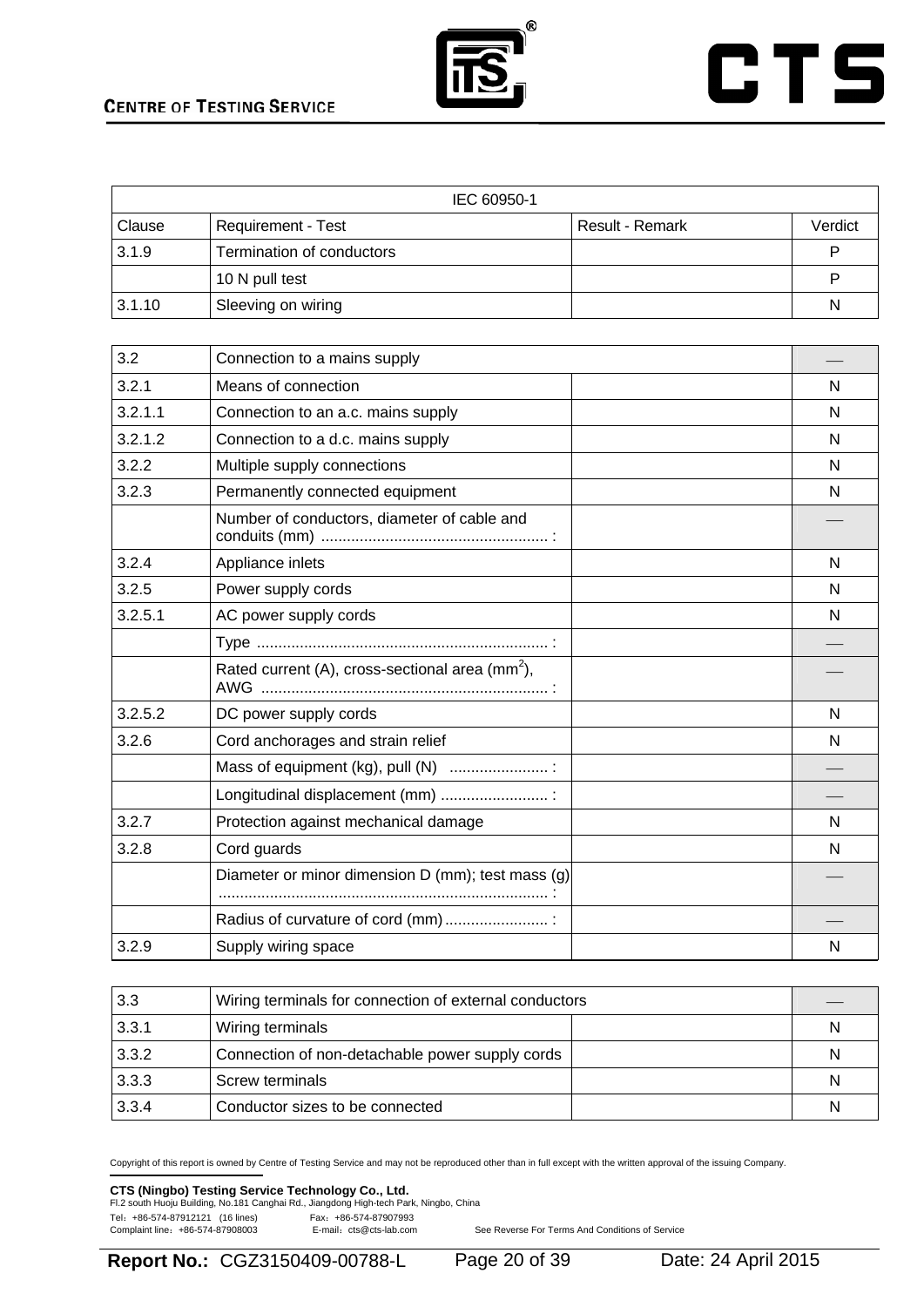

# **CTS**

| IEC 60950-1 |                           |                 |         |
|-------------|---------------------------|-----------------|---------|
| Clause      | <b>Requirement - Test</b> | Result - Remark | Verdict |
| 3.1.9       | Termination of conductors |                 |         |
|             | 10 N pull test            |                 |         |
| 3.1.10      | Sleeving on wiring        |                 | N       |

| 3.2     | Connection to a mains supply                                |   |
|---------|-------------------------------------------------------------|---|
| 3.2.1   | Means of connection                                         | N |
| 3.2.1.1 | Connection to an a.c. mains supply                          | N |
| 3.2.1.2 | Connection to a d.c. mains supply                           | N |
| 3.2.2   | Multiple supply connections                                 | N |
| 3.2.3   | Permanently connected equipment                             | N |
|         | Number of conductors, diameter of cable and                 |   |
| 3.2.4   | Appliance inlets                                            | N |
| 3.2.5   | Power supply cords                                          | N |
| 3.2.5.1 | AC power supply cords                                       | N |
|         |                                                             |   |
|         | Rated current (A), cross-sectional area (mm <sup>2</sup> ), |   |
| 3.2.5.2 | DC power supply cords                                       | N |
| 3.2.6   | Cord anchorages and strain relief                           | N |
|         | Mass of equipment (kg), pull (N)  :                         |   |
|         | Longitudinal displacement (mm)                              |   |
| 3.2.7   | Protection against mechanical damage                        | N |
| 3.2.8   | Cord guards                                                 | N |
|         | Diameter or minor dimension D (mm); test mass (g)           |   |
|         | Radius of curvature of cord (mm)  :                         |   |
| 3.2.9   | Supply wiring space                                         | N |

| 3.3   | Wiring terminals for connection of external conductors |   |
|-------|--------------------------------------------------------|---|
| 3.3.1 | Wiring terminals                                       | N |
| 3.3.2 | Connection of non-detachable power supply cords        | N |
| 3.3.3 | Screw terminals                                        | N |
| 3.3.4 | Conductor sizes to be connected                        | N |

Copyright of this report is owned by Centre of Testing Service and may not be reproduced other than in full except with the written approval of the issuing Company.

### **CTS (Ningbo) Testing Service Technology Co., Ltd.**<br>Fl.2 south Huoju Building, No.181 Canghai Rd., Jiangdong High-tech Park, Ningbo, China

Tel: +86-574-87912121 (16 lines) Fax: +86-574-87907993<br>Complaint line: +86-574-87908003 E-mail: cts@cts-lab.com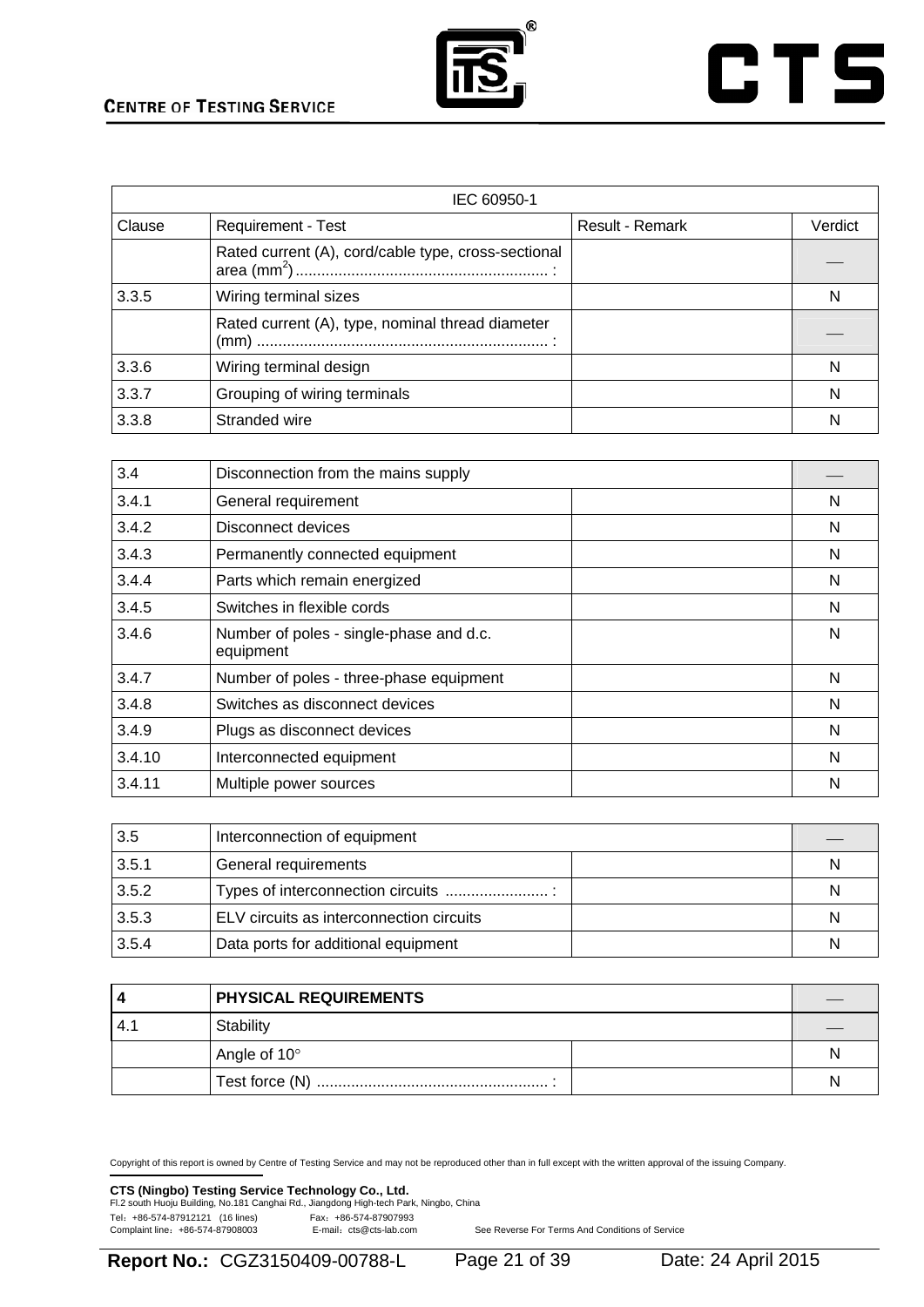

# **CTS**

|        | IEC 60950-1                                         |                        |         |  |  |
|--------|-----------------------------------------------------|------------------------|---------|--|--|
| Clause | <b>Requirement - Test</b>                           | <b>Result - Remark</b> | Verdict |  |  |
|        | Rated current (A), cord/cable type, cross-sectional |                        |         |  |  |
| 3.3.5  | Wiring terminal sizes                               |                        | N       |  |  |
|        | Rated current (A), type, nominal thread diameter    |                        |         |  |  |
| 3.3.6  | Wiring terminal design                              |                        | N       |  |  |
| 3.3.7  | Grouping of wiring terminals                        |                        | N       |  |  |
| 3.3.8  | Stranded wire                                       |                        | N       |  |  |

| 3.4    | Disconnection from the mains supply                  |   |
|--------|------------------------------------------------------|---|
| 3.4.1  | General requirement                                  | N |
| 3.4.2  | Disconnect devices                                   | N |
| 3.4.3  | Permanently connected equipment                      | N |
| 3.4.4  | Parts which remain energized                         | N |
| 3.4.5  | Switches in flexible cords                           | N |
| 3.4.6  | Number of poles - single-phase and d.c.<br>equipment | N |
| 3.4.7  | Number of poles - three-phase equipment              | N |
| 3.4.8  | Switches as disconnect devices                       | N |
| 3.4.9  | Plugs as disconnect devices                          | N |
| 3.4.10 | Interconnected equipment                             | N |
| 3.4.11 | Multiple power sources                               | N |

| 3.5   | Interconnection of equipment             |   |
|-------|------------------------------------------|---|
| 3.5.1 | General requirements                     | N |
| 3.5.2 | Types of interconnection circuits        | N |
| 3.5.3 | ELV circuits as interconnection circuits | N |
| 3.5.4 | Data ports for additional equipment      | N |

|     | <b>PHYSICAL REQUIREMENTS</b> |  |   |
|-----|------------------------------|--|---|
| 44. | Stability                    |  |   |
|     | Angle of 10°                 |  | N |
|     |                              |  | N |

Copyright of this report is owned by Centre of Testing Service and may not be reproduced other than in full except with the written approval of the issuing Company.

#### **CTS (Ningbo) Testing Service Technology Co., Ltd.**

|                                  | Fl.2 south Huoju Building, No.181 Canghai Rd., Jiangdong High-tech Park, Ningbo, China |  |
|----------------------------------|----------------------------------------------------------------------------------------|--|
| Tel: +86-574-87912121 (16 lines) | Fax: +86-574-87907993                                                                  |  |
| Complaint line: +86-574-87908003 | E-mail: cts@cts-lab.com                                                                |  |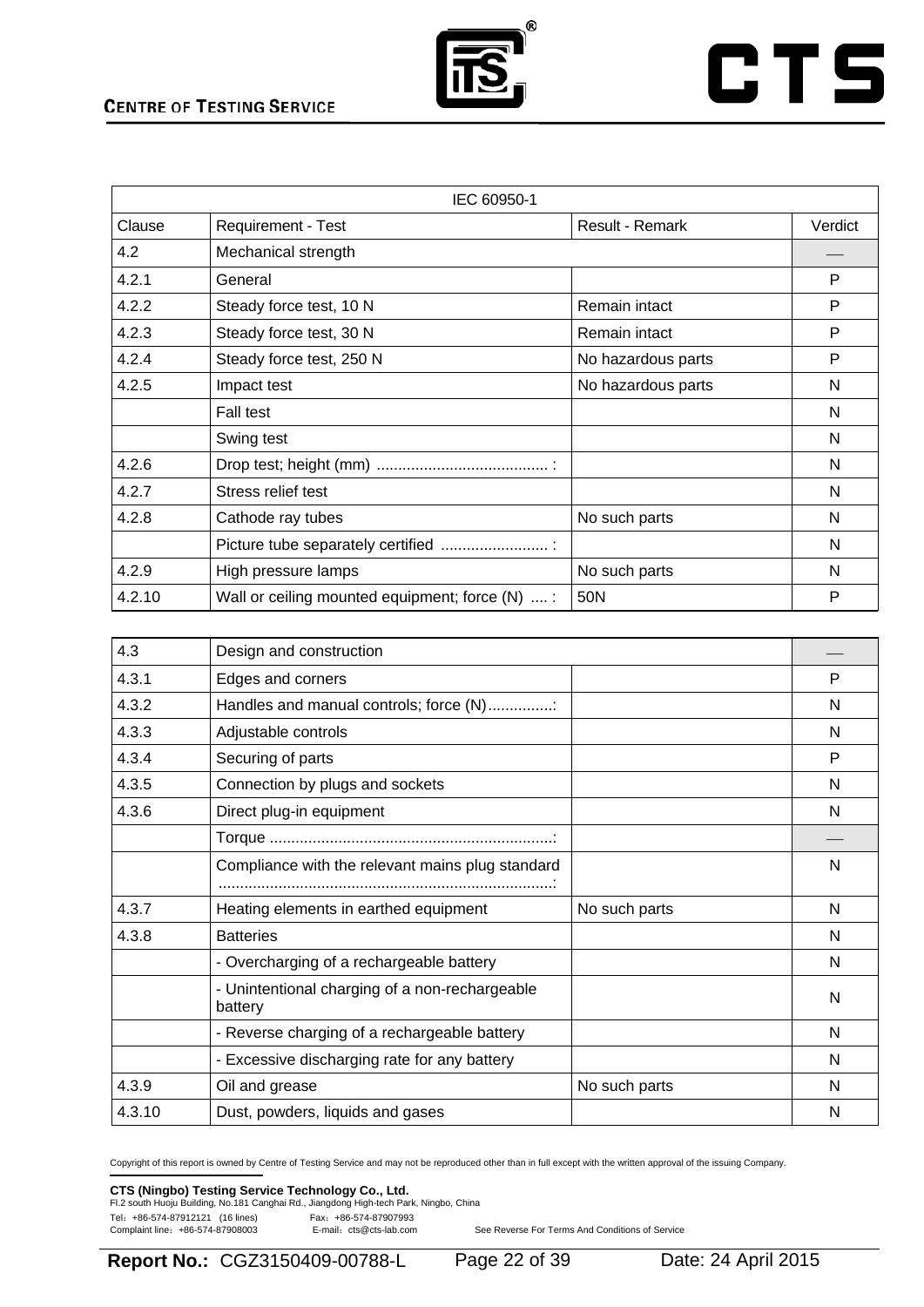

# **CTS**

|        | IEC 60950-1                                     |                    |         |  |  |
|--------|-------------------------------------------------|--------------------|---------|--|--|
| Clause | <b>Requirement - Test</b>                       | Result - Remark    | Verdict |  |  |
| 4.2    | Mechanical strength                             |                    |         |  |  |
| 4.2.1  | General                                         |                    | P       |  |  |
| 4.2.2  | Steady force test, 10 N                         | Remain intact      | P       |  |  |
| 4.2.3  | Steady force test, 30 N                         | Remain intact      | P       |  |  |
| 4.2.4  | Steady force test, 250 N                        | No hazardous parts | P       |  |  |
| 4.2.5  | Impact test                                     | No hazardous parts | N       |  |  |
|        | Fall test                                       |                    | N       |  |  |
|        | Swing test                                      |                    | N       |  |  |
| 4.2.6  |                                                 |                    | N       |  |  |
| 4.2.7  | Stress relief test                              |                    | N       |  |  |
| 4.2.8  | Cathode ray tubes                               | No such parts      | N       |  |  |
|        | Picture tube separately certified               |                    | N       |  |  |
| 4.2.9  | High pressure lamps                             | No such parts      | N       |  |  |
| 4.2.10 | Wall or ceiling mounted equipment; force (N)  : | 50N                | P       |  |  |

| 4.3    | Design and construction                                   |               |   |
|--------|-----------------------------------------------------------|---------------|---|
| 4.3.1  | Edges and corners                                         |               | P |
| 4.3.2  | Handles and manual controls; force (N):                   |               | N |
| 4.3.3  | Adjustable controls                                       |               | N |
| 4.3.4  | Securing of parts                                         |               | P |
| 4.3.5  | Connection by plugs and sockets                           |               | N |
| 4.3.6  | Direct plug-in equipment                                  |               | N |
|        |                                                           |               |   |
|        | Compliance with the relevant mains plug standard          |               | N |
| 4.3.7  | Heating elements in earthed equipment                     | No such parts | N |
| 4.3.8  | <b>Batteries</b>                                          |               | N |
|        | - Overcharging of a rechargeable battery                  |               | N |
|        | - Unintentional charging of a non-rechargeable<br>battery |               | N |
|        | - Reverse charging of a rechargeable battery              |               | N |
|        | - Excessive discharging rate for any battery              |               | N |
| 4.3.9  | Oil and grease                                            | No such parts | N |
| 4.3.10 | Dust, powders, liquids and gases                          |               | N |

Copyright of this report is owned by Centre of Testing Service and may not be reproduced other than in full except with the written approval of the issuing Company.

### **CTS (Ningbo) Testing Service Technology Co., Ltd.**<br>Fl.2 south Huoju Building, No.181 Canghai Rd., Jiangdong High-tech Park, Ningbo, China

Tel: +86-574-87912121 (16 lines) Fax: +86-574-87907993<br>Complaint line: +86-574-87908003 E-mail: cts@cts-lab.com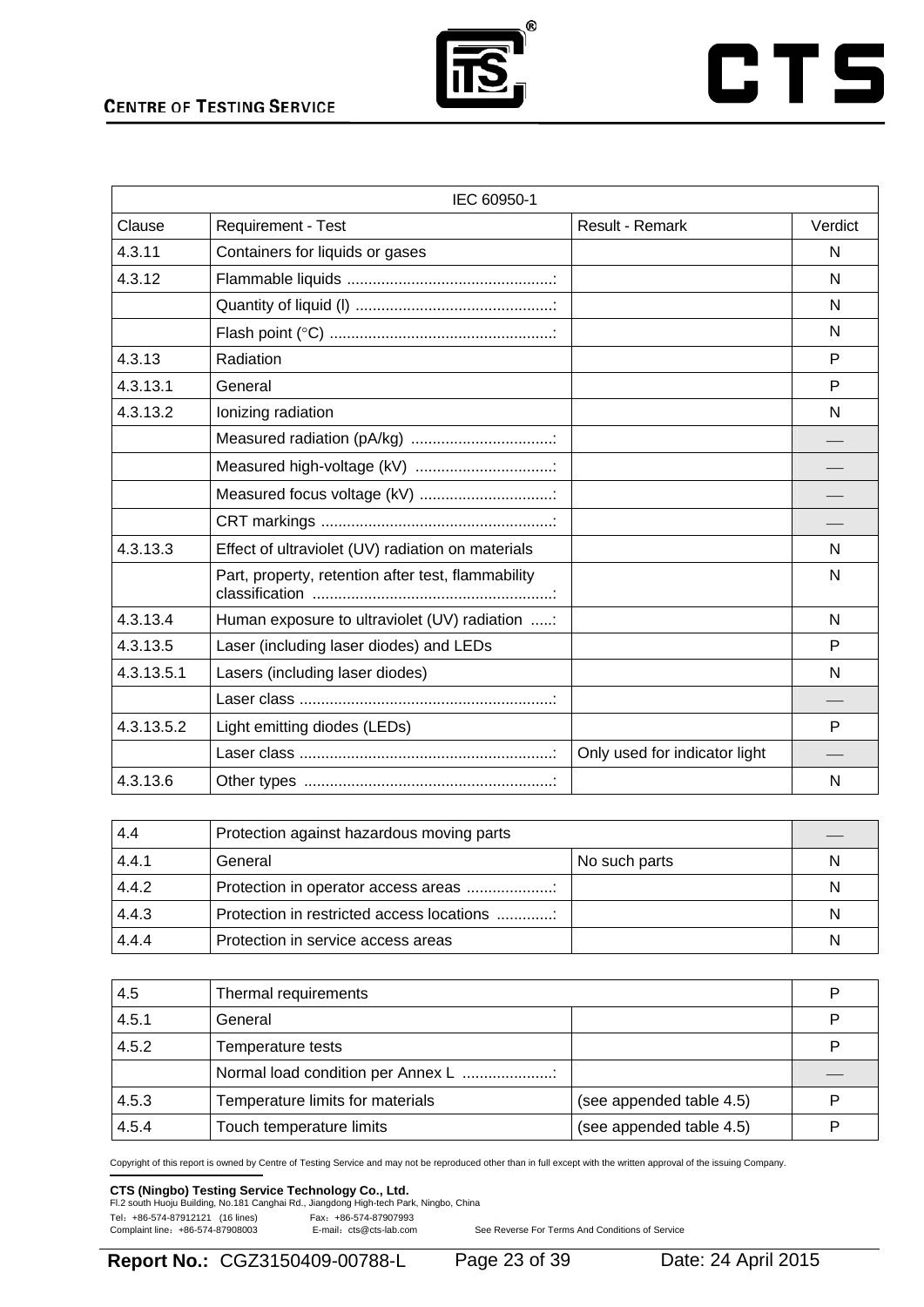

# **CTS**

| IEC 60950-1 |                                                    |                               |         |  |
|-------------|----------------------------------------------------|-------------------------------|---------|--|
| Clause      | Requirement - Test                                 | Result - Remark               | Verdict |  |
| 4.3.11      | Containers for liquids or gases                    |                               | N       |  |
| 4.3.12      |                                                    |                               | N       |  |
|             |                                                    |                               | N       |  |
|             |                                                    |                               | N       |  |
| 4.3.13      | Radiation                                          |                               | P       |  |
| 4.3.13.1    | General                                            |                               | P       |  |
| 4.3.13.2    | Ionizing radiation                                 |                               | N       |  |
|             | Measured radiation (pA/kg)                         |                               |         |  |
|             | Measured high-voltage (kV)                         |                               |         |  |
|             | Measured focus voltage (kV)                        |                               |         |  |
|             |                                                    |                               |         |  |
| 4.3.13.3    | Effect of ultraviolet (UV) radiation on materials  |                               | N       |  |
|             | Part, property, retention after test, flammability |                               | N       |  |
| 4.3.13.4    | Human exposure to ultraviolet (UV) radiation :     |                               | N       |  |
| 4.3.13.5    | Laser (including laser diodes) and LEDs            |                               | P       |  |
| 4.3.13.5.1  | Lasers (including laser diodes)                    |                               | N       |  |
|             |                                                    |                               |         |  |
| 4.3.13.5.2  | Light emitting diodes (LEDs)                       |                               | P       |  |
|             |                                                    | Only used for indicator light |         |  |
| 4.3.13.6    |                                                    |                               | N       |  |

| 4.4   | Protection against hazardous moving parts |               |   |
|-------|-------------------------------------------|---------------|---|
| 4.4.1 | General                                   | No such parts | N |
| 4.4.2 | Protection in operator access areas       |               | N |
| 4.4.3 | Protection in restricted access locations |               | N |
| 4.4.4 | Protection in service access areas        |               | N |

| 4.5   | Thermal requirements              |                          | P |
|-------|-----------------------------------|--------------------------|---|
| 4.5.1 | General                           |                          | P |
| 4.5.2 | Temperature tests                 |                          | P |
|       | Normal load condition per Annex L |                          |   |
| 4.5.3 | Temperature limits for materials  | (see appended table 4.5) | P |
| 4.5.4 | Touch temperature limits          | (see appended table 4.5) | Þ |

Copyright of this report is owned by Centre of Testing Service and may not be reproduced other than in full except with the written approval of the issuing Company.

# **CTS (Ningbo) Testing Service Technology Co., Ltd.**<br>Fl.2 south Huoju Building, No.181 Canghai Rd., Jiangdong High-tech Park, Ningbo, China

Tel: +86-574-87912121 (16 lines) Fax: +86-574-87907993<br>Complaint line: +86-574-87908003 E-mail: cts@cts-lab.com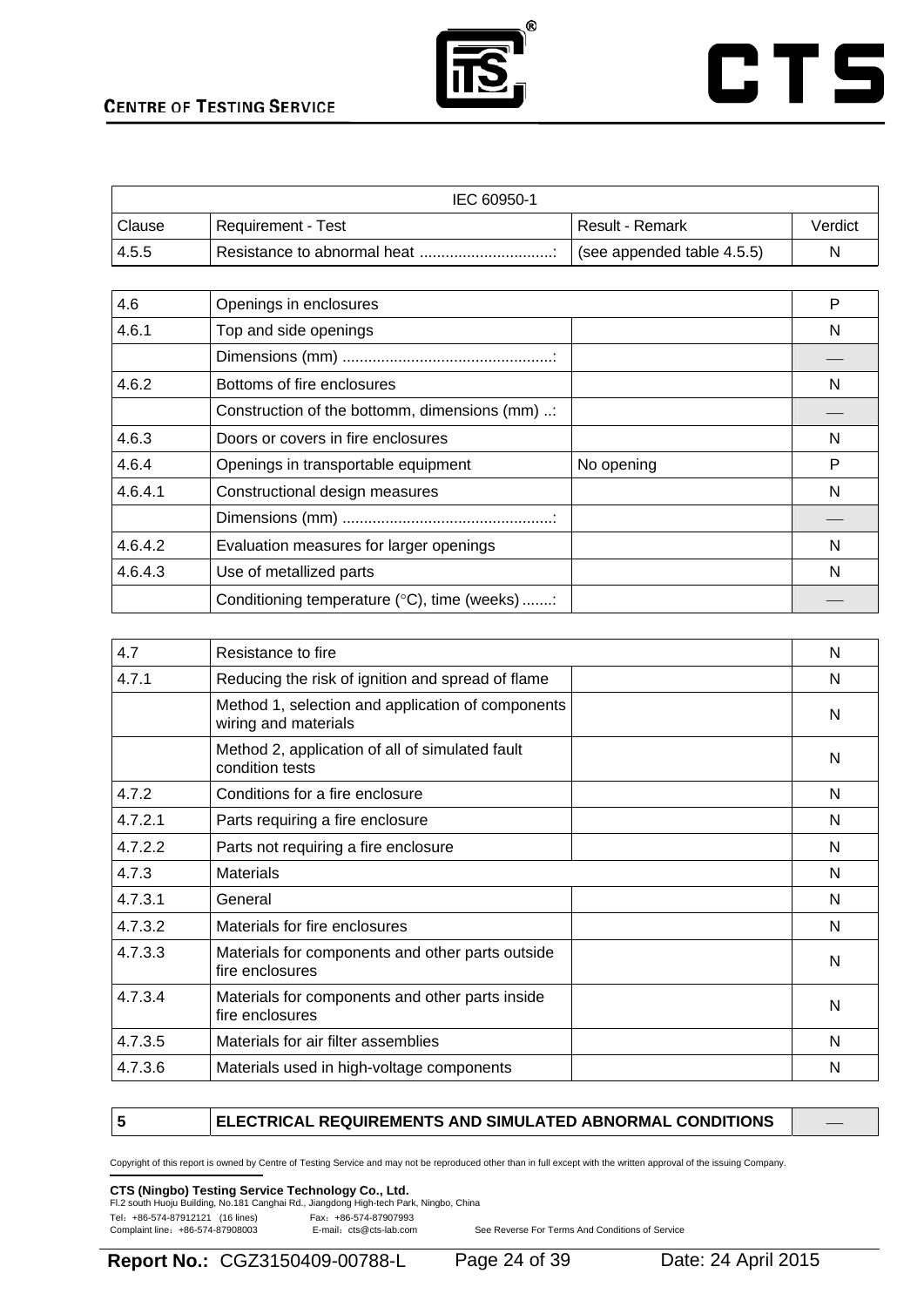



| IEC 60950-1 |                    |                            |         |
|-------------|--------------------|----------------------------|---------|
| Clause      | Requirement - Test | Result - Remark            | Verdict |
| l 4.5.5     |                    | (see appended table 4.5.5) | N       |

| 4.6     | Openings in enclosures                         |            | P |
|---------|------------------------------------------------|------------|---|
| 4.6.1   | Top and side openings                          |            | N |
|         |                                                |            |   |
| 4.6.2   | Bottoms of fire enclosures                     |            | N |
|         | Construction of the bottomm, dimensions (mm) : |            |   |
| 4.6.3   | Doors or covers in fire enclosures             |            | N |
| 4.6.4   | Openings in transportable equipment            | No opening | Р |
| 4.6.4.1 | Constructional design measures                 |            | N |
|         |                                                |            |   |
| 4.6.4.2 | Evaluation measures for larger openings        |            | N |
| 4.6.4.3 | Use of metallized parts                        |            | N |
|         | Conditioning temperature (°C), time (weeks) :  |            |   |

| 4.7     | Resistance to fire                                                        | N |
|---------|---------------------------------------------------------------------------|---|
| 4.7.1   | Reducing the risk of ignition and spread of flame                         | N |
|         | Method 1, selection and application of components<br>wiring and materials | N |
|         | Method 2, application of all of simulated fault<br>condition tests        | N |
| 4.7.2   | Conditions for a fire enclosure                                           | N |
| 4.7.2.1 | Parts requiring a fire enclosure                                          | N |
| 4.7.2.2 | Parts not requiring a fire enclosure                                      | N |
| 4.7.3   | <b>Materials</b>                                                          | N |
| 4.7.3.1 | General                                                                   | N |
| 4.7.3.2 | Materials for fire enclosures                                             | N |
| 4.7.3.3 | Materials for components and other parts outside<br>fire enclosures       | N |
| 4.7.3.4 | Materials for components and other parts inside<br>fire enclosures        | N |
| 4.7.3.5 | Materials for air filter assemblies                                       | N |
| 4.7.3.6 | Materials used in high-voltage components                                 | N |

#### **5** ELECTRICAL REQUIREMENTS AND SIMULATED ABNORMAL CONDITIONS

Copyright of this report is owned by Centre of Testing Service and may not be reproduced other than in full except with the written approval of the issuing Company.

### **CTS (Ningbo) Testing Service Technology Co., Ltd.**<br>Fl.2 south Huoju Building, No.181 Canghai Rd., Jiangdong High-tech Park, Ningbo, China

Tel: +86-574-87912121 (16 lines) Fax: +86-574-87907993<br>Complaint line: +86-574-87908003 E-mail: cts@cts-lab.com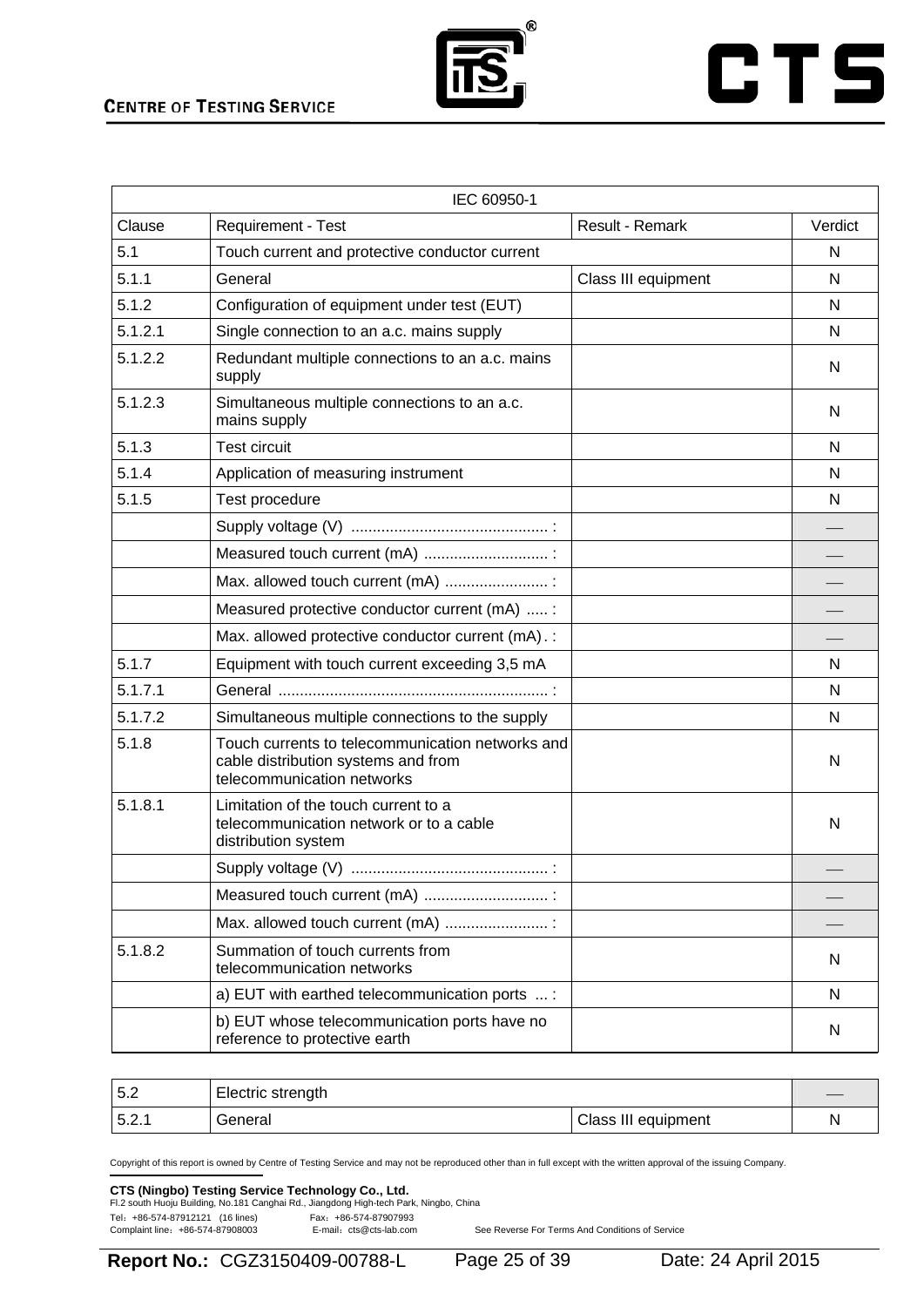

# **CTS**

| IEC 60950-1 |                                                                                                                       |                     |         |  |
|-------------|-----------------------------------------------------------------------------------------------------------------------|---------------------|---------|--|
| Clause      | Requirement - Test                                                                                                    | Result - Remark     | Verdict |  |
| 5.1         | Touch current and protective conductor current                                                                        |                     | N       |  |
| 5.1.1       | General                                                                                                               | Class III equipment | N       |  |
| 5.1.2       | Configuration of equipment under test (EUT)                                                                           |                     | N       |  |
| 5.1.2.1     | Single connection to an a.c. mains supply                                                                             |                     | N       |  |
| 5.1.2.2     | Redundant multiple connections to an a.c. mains<br>supply                                                             |                     | N       |  |
| 5.1.2.3     | Simultaneous multiple connections to an a.c.<br>mains supply                                                          |                     | N       |  |
| 5.1.3       | <b>Test circuit</b>                                                                                                   |                     | N       |  |
| 5.1.4       | Application of measuring instrument                                                                                   |                     | N       |  |
| 5.1.5       | Test procedure                                                                                                        |                     | N       |  |
|             |                                                                                                                       |                     |         |  |
|             | Measured touch current (mA)                                                                                           |                     |         |  |
|             | Max. allowed touch current (mA)  :                                                                                    |                     |         |  |
|             | Measured protective conductor current (mA)  :                                                                         |                     |         |  |
|             | Max. allowed protective conductor current (mA). :                                                                     |                     |         |  |
| 5.1.7       | Equipment with touch current exceeding 3,5 mA                                                                         |                     | N       |  |
| 5.1.7.1     |                                                                                                                       |                     | N       |  |
| 5.1.7.2     | Simultaneous multiple connections to the supply                                                                       |                     | N       |  |
| 5.1.8       | Touch currents to telecommunication networks and<br>cable distribution systems and from<br>telecommunication networks |                     | N       |  |
| 5.1.8.1     | Limitation of the touch current to a<br>telecommunication network or to a cable<br>distribution system                |                     | N       |  |
|             |                                                                                                                       |                     |         |  |
|             | Measured touch current (mA)                                                                                           |                     |         |  |
|             | Max. allowed touch current (mA)                                                                                       |                     |         |  |
| 5.1.8.2     | Summation of touch currents from<br>telecommunication networks                                                        |                     | N       |  |
|             | a) EUT with earthed telecommunication ports  :                                                                        |                     | N       |  |
|             | b) EUT whose telecommunication ports have no<br>reference to protective earth                                         |                     | N       |  |

| 5.2  | $-$<br>Electric strength |                     |  |
|------|--------------------------|---------------------|--|
| 5.2. | General                  | Class III equipment |  |

Copyright of this report is owned by Centre of Testing Service and may not be reproduced other than in full except with the written approval of the issuing Company.

### **CTS (Ningbo) Testing Service Technology Co., Ltd.**<br>Fl.2 south Huoju Building, No.181 Canghai Rd., Jiangdong High-tech Park, Ningbo, China

Tel: +86-574-87912121 (16 lines) Fax: +86-574-87907993<br>Complaint line: +86-574-87908003 E-mail: cts@cts-lab.com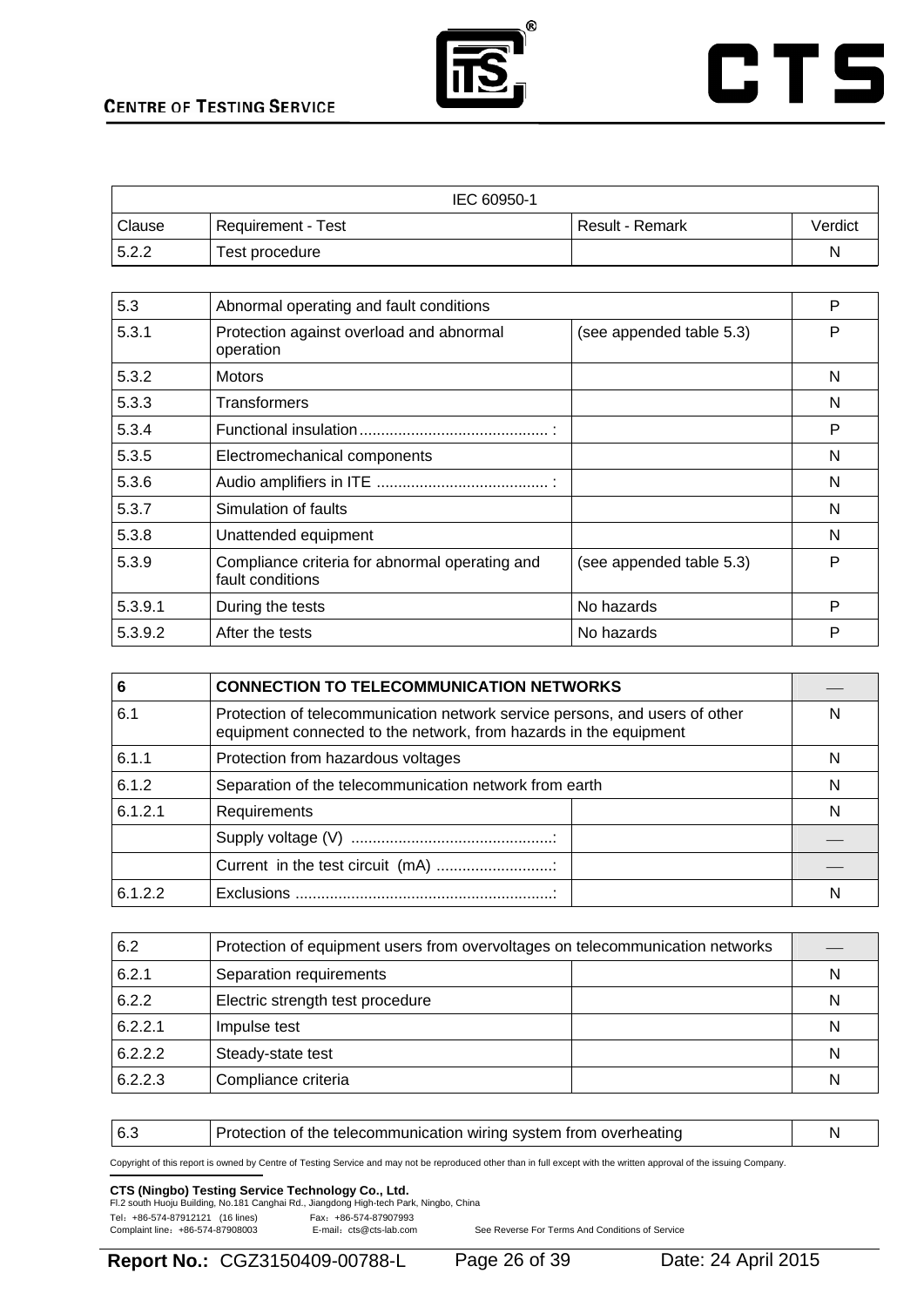



| IEC 60950-1   |                    |                   |         |  |
|---------------|--------------------|-------------------|---------|--|
| <b>Clause</b> | Requirement - Test | l Result - Remark | Verdict |  |
| 5.2.2         | Test procedure     |                   | N       |  |

| 5.3     | Abnormal operating and fault conditions                            |                          | P |
|---------|--------------------------------------------------------------------|--------------------------|---|
| 5.3.1   | Protection against overload and abnormal<br>operation              | (see appended table 5.3) | P |
| 5.3.2   | <b>Motors</b>                                                      |                          | N |
| 5.3.3   | <b>Transformers</b>                                                |                          | N |
| 5.3.4   |                                                                    |                          | P |
| 5.3.5   | Electromechanical components                                       |                          | N |
| 5.3.6   |                                                                    |                          | N |
| 5.3.7   | Simulation of faults                                               |                          | N |
| 5.3.8   | Unattended equipment                                               |                          | N |
| 5.3.9   | Compliance criteria for abnormal operating and<br>fault conditions | (see appended table 5.3) | P |
| 5.3.9.1 | During the tests                                                   | No hazards               | P |
| 5.3.9.2 | After the tests                                                    | No hazards               | P |

| 6       | <b>CONNECTION TO TELECOMMUNICATION NETWORKS</b>                                                                                                  |  |
|---------|--------------------------------------------------------------------------------------------------------------------------------------------------|--|
| 6.1     | Protection of telecommunication network service persons, and users of other<br>equipment connected to the network, from hazards in the equipment |  |
| 6.1.1   | Protection from hazardous voltages                                                                                                               |  |
| 6.1.2   | Separation of the telecommunication network from earth                                                                                           |  |
| 6.1.2.1 | Requirements                                                                                                                                     |  |
|         |                                                                                                                                                  |  |
|         |                                                                                                                                                  |  |
| 6.1.2.2 |                                                                                                                                                  |  |

| 6.2     | Protection of equipment users from overvoltages on telecommunication networks |  |   |
|---------|-------------------------------------------------------------------------------|--|---|
| 6.2.1   | Separation requirements                                                       |  | N |
| 6.2.2   | Electric strength test procedure                                              |  | N |
| 6.2.2.1 | Impulse test                                                                  |  | N |
| 6.2.2.2 | Steady-state test                                                             |  | N |
| 6.2.2.3 | Compliance criteria                                                           |  | N |

6.3 **Protection of the telecommunication wiring system from overheating** N

Copyright of this report is owned by Centre of Testing Service and may not be reproduced other than in full except with the written approval of the issuing Company.

# **CTS (Ningbo) Testing Service Technology Co., Ltd.**<br>Fl.2 south Huoju Building, No.181 Canghai Rd., Jiangdong High-tech Park, Ningbo, China

Tel: +86-574-87912121 (16 lines) Fax: +86-574-87907993<br>Complaint line: +86-574-87908003 E-mail: cts@cts-lab.com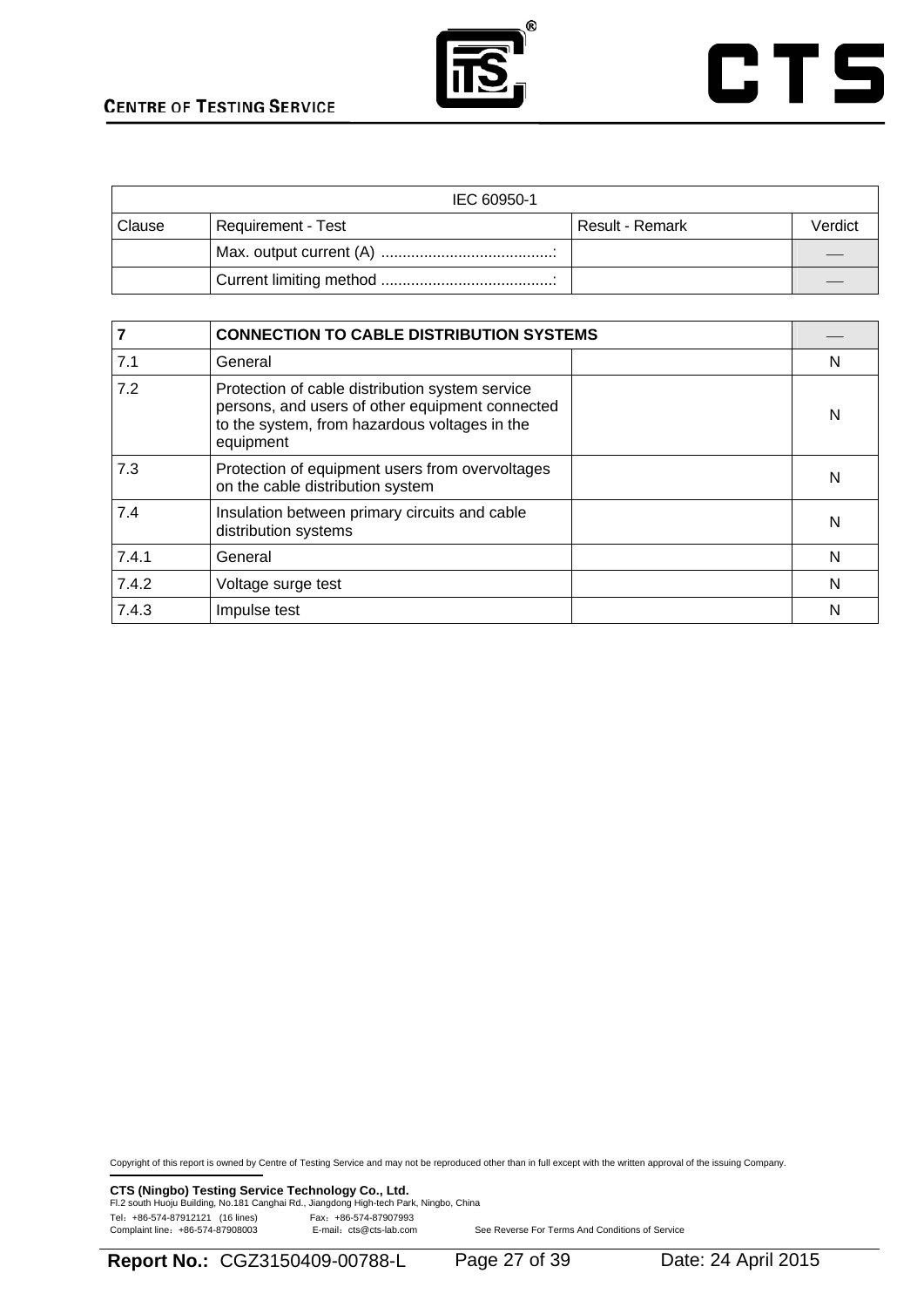



| IEC 60950-1 |                                         |  |         |  |
|-------------|-----------------------------------------|--|---------|--|
| Clause      | Requirement - Test<br>l Result - Remark |  | Verdict |  |
|             |                                         |  |         |  |
|             |                                         |  |         |  |

|       | <b>CONNECTION TO CABLE DISTRIBUTION SYSTEMS</b>                                                                                                                  |   |
|-------|------------------------------------------------------------------------------------------------------------------------------------------------------------------|---|
| 7.1   | General                                                                                                                                                          | N |
| 7.2   | Protection of cable distribution system service<br>persons, and users of other equipment connected<br>to the system, from hazardous voltages in the<br>equipment | N |
| 7.3   | Protection of equipment users from overvoltages<br>on the cable distribution system                                                                              | N |
| 7.4   | Insulation between primary circuits and cable<br>distribution systems                                                                                            | N |
| 7.4.1 | General                                                                                                                                                          | N |
| 7.4.2 | Voltage surge test                                                                                                                                               | N |
| 7.4.3 | Impulse test                                                                                                                                                     | N |

Copyright of this report is owned by Centre of Testing Service and may not be reproduced other than in full except with the written approval of the issuing Company.

**CTS (Ningbo) Testing Service Technology Co., Ltd.**<br>Fl.2 south Huoju Building, No.181 Canghai Rd., Jiangdong High-tech Park, Ningbo, China Tel: +86-574-87912121 (16 lines) Fax: +86-574-87907993<br>Complaint line: +86-574-87908003 E-mail: cts@cts-lab.com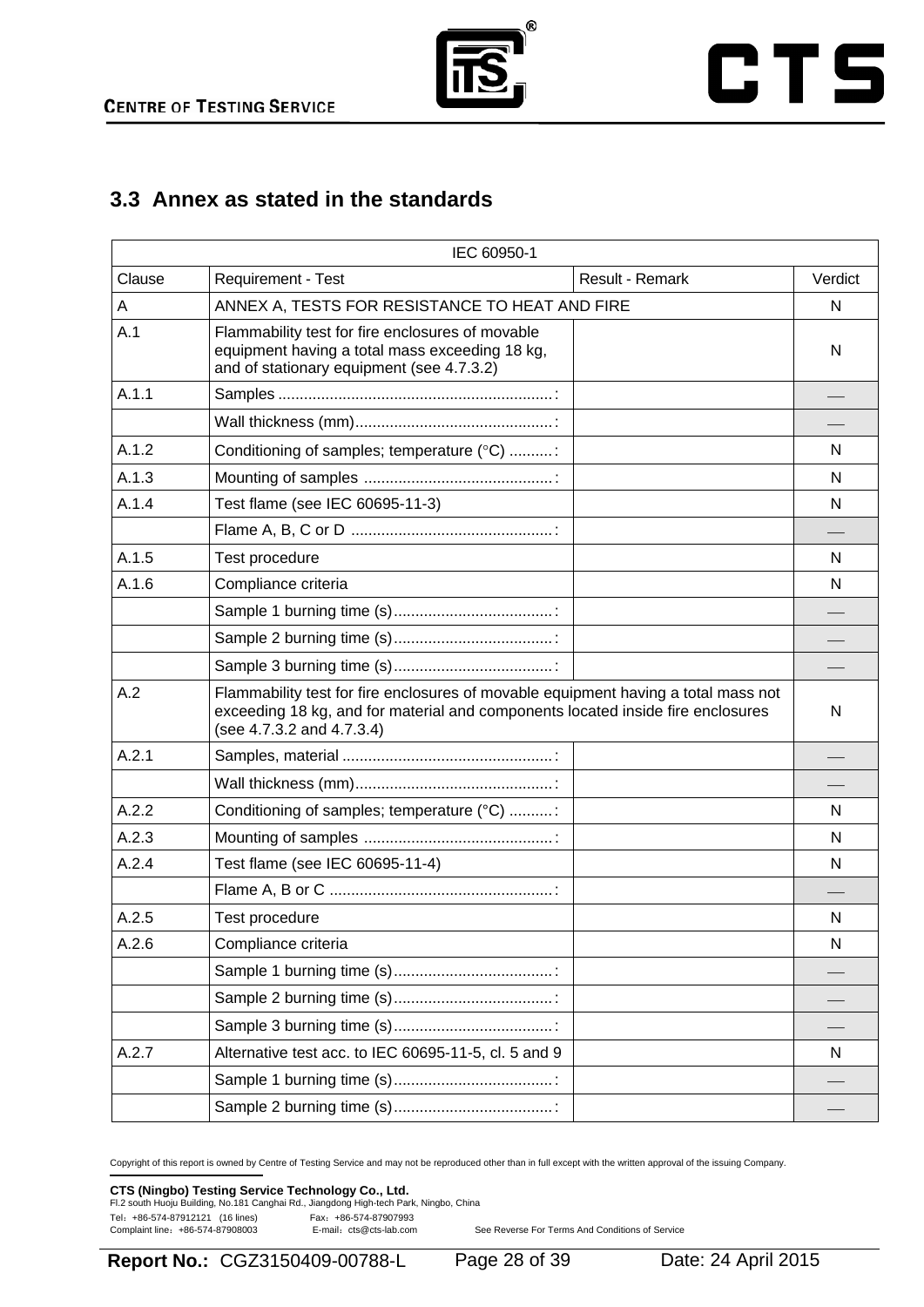



# **3.3 Annex as stated in the standards**

|        | IEC 60950-1                                                                                                                                                                                        |                        |         |
|--------|----------------------------------------------------------------------------------------------------------------------------------------------------------------------------------------------------|------------------------|---------|
| Clause | Requirement - Test                                                                                                                                                                                 | <b>Result - Remark</b> | Verdict |
| A      | ANNEX A, TESTS FOR RESISTANCE TO HEAT AND FIRE                                                                                                                                                     |                        | N       |
| A.1    | Flammability test for fire enclosures of movable<br>equipment having a total mass exceeding 18 kg,<br>and of stationary equipment (see 4.7.3.2)                                                    |                        | N       |
| A.1.1  |                                                                                                                                                                                                    |                        |         |
|        |                                                                                                                                                                                                    |                        |         |
| A.1.2  | Conditioning of samples; temperature (°C) :                                                                                                                                                        |                        | N.      |
| A.1.3  |                                                                                                                                                                                                    |                        | N       |
| A.1.4  | Test flame (see IEC 60695-11-3)                                                                                                                                                                    |                        | N       |
|        |                                                                                                                                                                                                    |                        |         |
| A.1.5  | Test procedure                                                                                                                                                                                     |                        | N       |
| A.1.6  | Compliance criteria                                                                                                                                                                                |                        | N       |
|        |                                                                                                                                                                                                    |                        |         |
|        |                                                                                                                                                                                                    |                        |         |
|        |                                                                                                                                                                                                    |                        |         |
| A.2    | Flammability test for fire enclosures of movable equipment having a total mass not<br>exceeding 18 kg, and for material and components located inside fire enclosures<br>(see 4.7.3.2 and 4.7.3.4) |                        | N       |
| A.2.1  |                                                                                                                                                                                                    |                        |         |
|        |                                                                                                                                                                                                    |                        |         |
| A.2.2  | Conditioning of samples; temperature (°C) :                                                                                                                                                        |                        | N       |
| A.2.3  |                                                                                                                                                                                                    |                        | N       |
| A.2.4  | Test flame (see IEC 60695-11-4)                                                                                                                                                                    |                        | N       |
|        |                                                                                                                                                                                                    |                        |         |
| A.2.5  | Test procedure                                                                                                                                                                                     |                        | N       |
| A.2.6  | Compliance criteria                                                                                                                                                                                |                        | N       |
|        |                                                                                                                                                                                                    |                        |         |
|        |                                                                                                                                                                                                    |                        |         |
|        |                                                                                                                                                                                                    |                        |         |
| A.2.7  | Alternative test acc. to IEC 60695-11-5, cl. 5 and 9                                                                                                                                               |                        | N       |
|        |                                                                                                                                                                                                    |                        |         |
|        |                                                                                                                                                                                                    |                        |         |

Copyright of this report is owned by Centre of Testing Service and may not be reproduced other than in full except with the written approval of the issuing Company.

### **CTS (Ningbo) Testing Service Technology Co., Ltd.**<br>Fl.2 south Huoju Building, No.181 Canghai Rd., Jiangdong High-tech Park, Ningbo, China

Tel: +86-574-87912121 (16 lines)<br>Complaint line: +86-574-87908003 E-mail: cts@cts-lab.com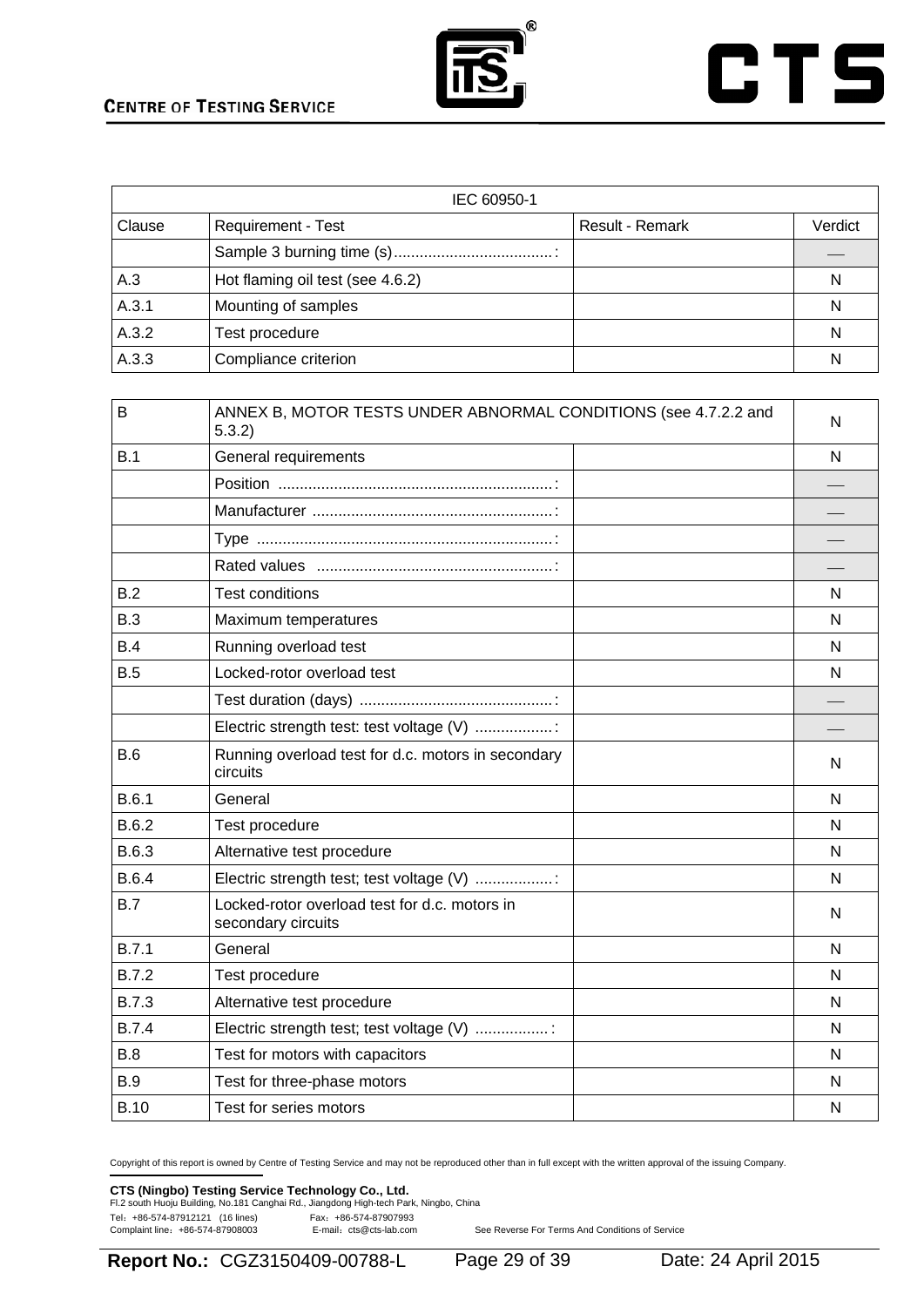



| IEC 60950-1 |                                  |                        |         |
|-------------|----------------------------------|------------------------|---------|
| Clause      | Requirement - Test               | <b>Result - Remark</b> | Verdict |
|             |                                  |                        |         |
| A.3         | Hot flaming oil test (see 4.6.2) |                        | N       |
| A.3.1       | Mounting of samples              |                        | N       |
| A.3.2       | Test procedure                   |                        | N       |
| A.3.3       | Compliance criterion             |                        | N       |

| B            | ANNEX B, MOTOR TESTS UNDER ABNORMAL CONDITIONS (see 4.7.2.2 and<br>5.3.2 | N |
|--------------|--------------------------------------------------------------------------|---|
| B.1          | General requirements                                                     | N |
|              |                                                                          |   |
|              |                                                                          |   |
|              |                                                                          |   |
|              |                                                                          |   |
| B.2          | <b>Test conditions</b>                                                   | N |
| B.3          | Maximum temperatures                                                     | N |
| B.4          | Running overload test                                                    | N |
| B.5          | Locked-rotor overload test                                               | N |
|              |                                                                          |   |
|              | Electric strength test: test voltage (V) :                               |   |
| B.6          | Running overload test for d.c. motors in secondary<br>circuits           | N |
| B.6.1        | General                                                                  | N |
| B.6.2        | Test procedure                                                           | N |
| B.6.3        | Alternative test procedure                                               | N |
| <b>B.6.4</b> | Electric strength test; test voltage (V) :                               | N |
| B.7          | Locked-rotor overload test for d.c. motors in<br>secondary circuits      | N |
| B.7.1        | General                                                                  | N |
| <b>B.7.2</b> | Test procedure                                                           | N |
| <b>B.7.3</b> | Alternative test procedure                                               | N |
| <b>B.7.4</b> | Electric strength test; test voltage (V) :                               | N |
| B.8          | Test for motors with capacitors                                          | N |
| <b>B.9</b>   | Test for three-phase motors                                              | N |
| <b>B.10</b>  | Test for series motors                                                   | N |

Copyright of this report is owned by Centre of Testing Service and may not be reproduced other than in full except with the written approval of the issuing Company.

### **CTS (Ningbo) Testing Service Technology Co., Ltd.**<br>Fl.2 south Huoju Building, No.181 Canghai Rd., Jiangdong High-tech Park, Ningbo, China

Tel: +86-574-87912121 (16 lines) Fax: +86-574-87907993<br>Complaint line: +86-574-87908003 E-mail: cts@cts-lab.com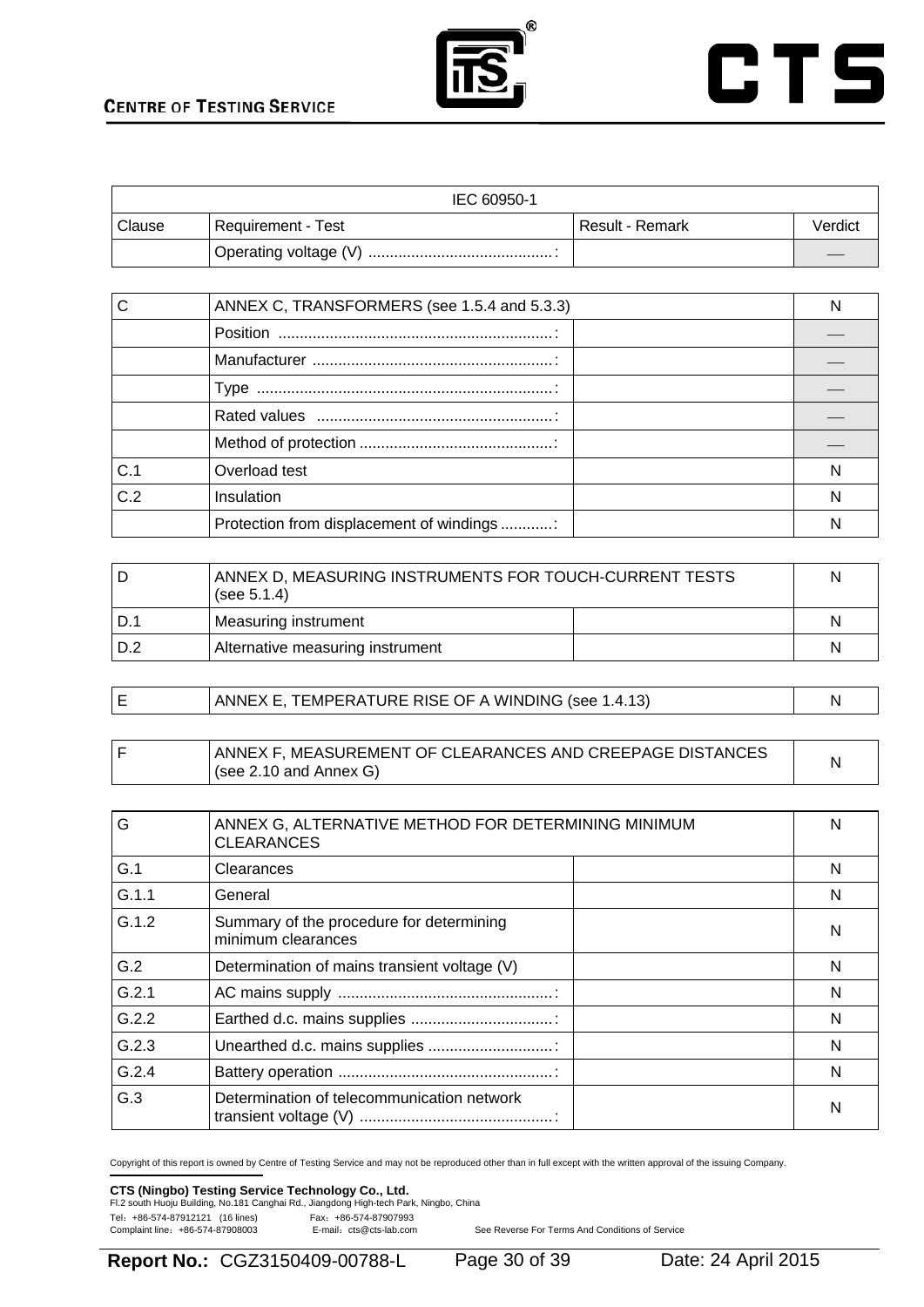



| IEC 60950-1 |                    |                 |         |
|-------------|--------------------|-----------------|---------|
| Clause      | Requirement - Test | Result - Remark | Verdict |
|             |                    |                 |         |

|     | ANNEX C, TRANSFORMERS (see 1.5.4 and 5.3.3) |  |
|-----|---------------------------------------------|--|
|     |                                             |  |
|     |                                             |  |
|     |                                             |  |
|     |                                             |  |
|     |                                             |  |
| C.1 | Overload test                               |  |
| C.2 | Insulation                                  |  |
|     | Protection from displacement of windings    |  |

| D   | ANNEX D, MEASURING INSTRUMENTS FOR TOUCH-CURRENT TESTS<br>(see 5.1.4) |   |
|-----|-----------------------------------------------------------------------|---|
| D.  | Measuring instrument                                                  | N |
| D.2 | Alternative measuring instrument                                      | N |

|  |  | ANNEX E, TEMPERATURE RISE OF A WINDING (see 1.4.13) |  |
|--|--|-----------------------------------------------------|--|
|--|--|-----------------------------------------------------|--|

|  | ANNEX F, MEASUREMENT OF CLEARANCES AND CREEPAGE DISTANCES |  |
|--|-----------------------------------------------------------|--|
|  | $\sqrt{(see 2.10 \text{ and Annex G)}}$                   |  |

| G     | ANNEX G, ALTERNATIVE METHOD FOR DETERMINING MINIMUM<br><b>CLEARANCES</b> | N |
|-------|--------------------------------------------------------------------------|---|
| G.1   | Clearances                                                               | N |
| G.1.1 | General                                                                  | N |
| G.1.2 | Summary of the procedure for determining<br>minimum clearances           | N |
| G.2   | Determination of mains transient voltage (V)                             | N |
| G.2.1 |                                                                          | N |
| G.2.2 |                                                                          | N |
| G.2.3 | Unearthed d.c. mains supplies                                            | N |
| G.2.4 |                                                                          | N |
| G.3   | Determination of telecommunication network                               | N |

Copyright of this report is owned by Centre of Testing Service and may not be reproduced other than in full except with the written approval of the issuing Company.

### **CTS (Ningbo) Testing Service Technology Co., Ltd.**<br>Fl.2 south Huoju Building, No.181 Canghai Rd., Jiangdong High-tech Park, Ningbo, China

Tel: +86-574-87912121 (16 lines) Fax: +86-574-87907993<br>Complaint line: +86-574-87908003 E-mail: cts@cts-lab.com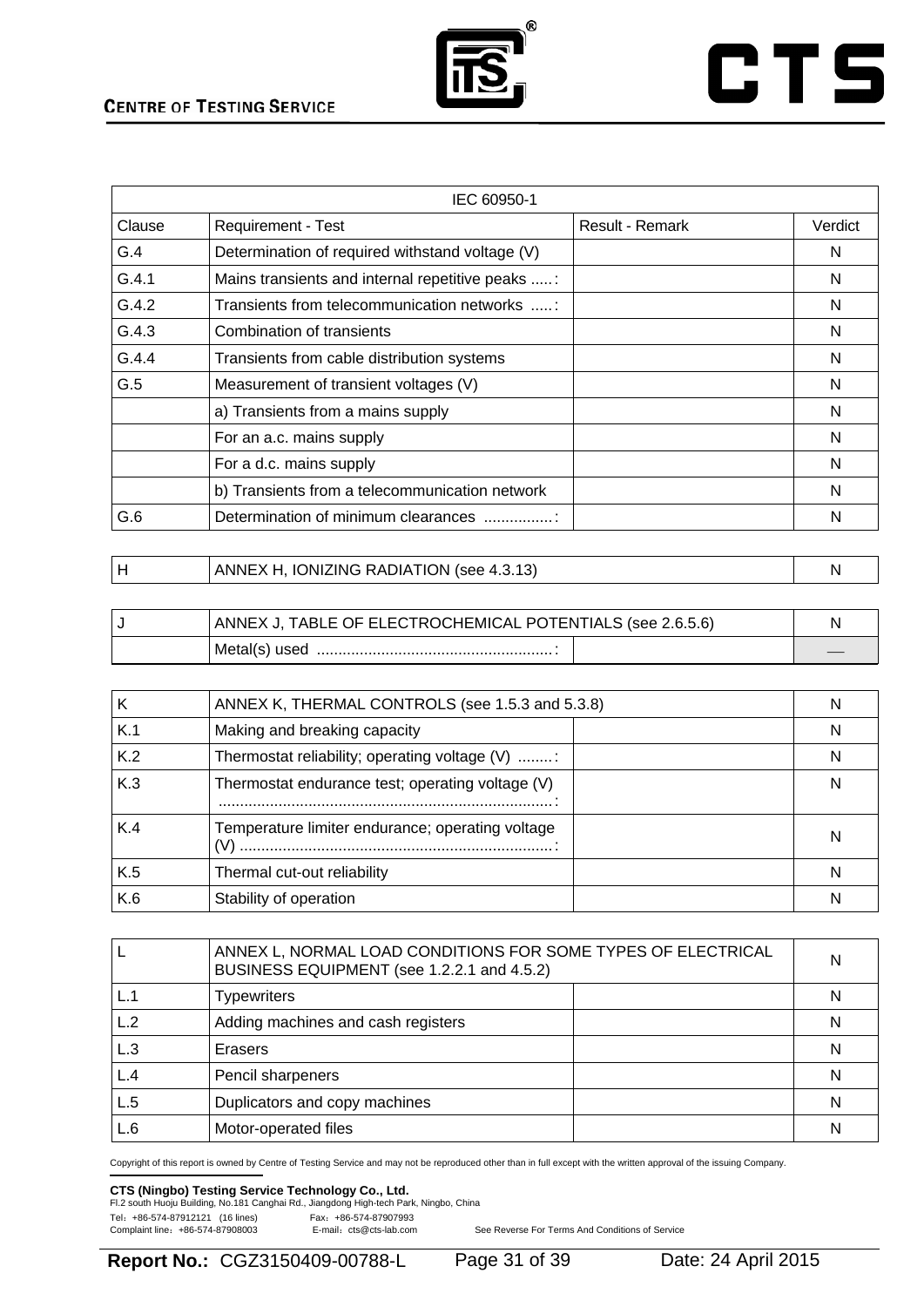

# **CTS**

| IEC 60950-1 |                                                  |                        |         |
|-------------|--------------------------------------------------|------------------------|---------|
| Clause      | <b>Requirement - Test</b>                        | <b>Result - Remark</b> | Verdict |
| G.4         | Determination of required withstand voltage (V)  |                        | N       |
| G.4.1       | Mains transients and internal repetitive peaks : |                        | N       |
| G.4.2       | Transients from telecommunication networks :     |                        | N       |
| G.4.3       | Combination of transients                        |                        | N       |
| G.4.4       | Transients from cable distribution systems       |                        | N       |
| G.5         | Measurement of transient voltages (V)            |                        | N       |
|             | a) Transients from a mains supply                |                        | N       |
|             | For an a.c. mains supply                         |                        | N       |
|             | For a d.c. mains supply                          |                        | N       |
|             | b) Transients from a telecommunication network   |                        | N       |
| G.6         | Determination of minimum clearances              |                        | N       |

| ANNEX H, IONIZING RADIATION (see 4.3.13) |  |
|------------------------------------------|--|
|                                          |  |

| ANNEX J, TABLE OF ELECTROCHEMICAL POTENTIALS (see 2.6.5.6) |  |
|------------------------------------------------------------|--|
| Metal(s) used                                              |  |

| Κ   | ANNEX K, THERMAL CONTROLS (see 1.5.3 and 5.3.8)  |   |
|-----|--------------------------------------------------|---|
| K.1 | Making and breaking capacity                     | N |
| K.2 | Thermostat reliability; operating voltage (V) :  | N |
| K.3 | Thermostat endurance test; operating voltage (V) | N |
| K.4 | Temperature limiter endurance; operating voltage | N |
| K.5 | Thermal cut-out reliability                      |   |
| K.6 | Stability of operation                           |   |

|     | ANNEX L, NORMAL LOAD CONDITIONS FOR SOME TYPES OF ELECTRICAL<br>BUSINESS EQUIPMENT (see 1.2.2.1 and 4.5.2) |   |
|-----|------------------------------------------------------------------------------------------------------------|---|
|     | <b>Typewriters</b>                                                                                         | N |
| L.2 | Adding machines and cash registers                                                                         | N |
| L.3 | Erasers                                                                                                    | N |
| L.4 | Pencil sharpeners                                                                                          | N |
| L.5 | Duplicators and copy machines                                                                              | N |
| L.6 | Motor-operated files                                                                                       | N |

Copyright of this report is owned by Centre of Testing Service and may not be reproduced other than in full except with the written approval of the issuing Company.

### **CTS (Ningbo) Testing Service Technology Co., Ltd.**<br>Fl.2 south Huoju Building, No.181 Canghai Rd., Jiangdong High-tech Park, Ningbo, China

Tel: +86-574-87912121 (16 lines) Fax: +86-574-87907993<br>Complaint line: +86-574-87908003 E-mail: cts@cts-lab.com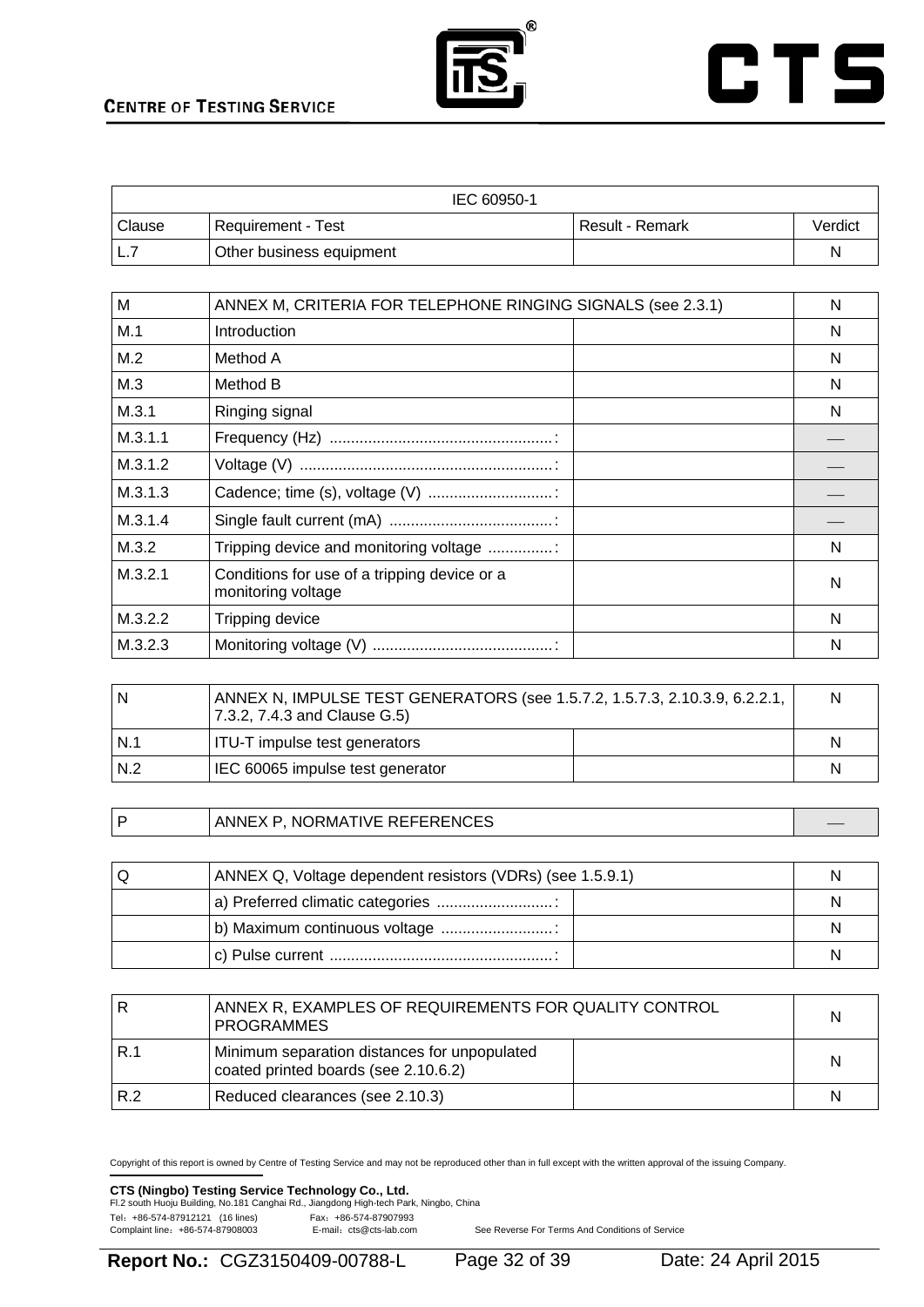



| IEC 60950-1   |                          |                 |         |  |
|---------------|--------------------------|-----------------|---------|--|
| <b>Clause</b> | Requirement - Test       | Result - Remark | Verdict |  |
| L.            | Other business equipment |                 |         |  |

| M       | ANNEX M, CRITERIA FOR TELEPHONE RINGING SIGNALS (see 2.3.1)        | N |
|---------|--------------------------------------------------------------------|---|
| M.1     | Introduction                                                       | N |
| M.2     | Method A                                                           | N |
| M.3     | Method B                                                           | N |
| M.3.1   | Ringing signal                                                     | N |
| M.3.1.1 |                                                                    |   |
| M.3.1.2 |                                                                    |   |
| M.3.1.3 |                                                                    |   |
| M.3.1.4 |                                                                    |   |
| M.3.2   | Tripping device and monitoring voltage                             | N |
| M.3.2.1 | Conditions for use of a tripping device or a<br>monitoring voltage | N |
| M.3.2.2 | Tripping device                                                    | N |
| M.3.2.3 |                                                                    | N |

| N   | ANNEX N, IMPULSE TEST GENERATORS (see 1.5.7.2, 1.5.7.3, 2.10.3.9, 6.2.2.1,<br>7.3.2, 7.4.3 and Clause G.5) |  | N |
|-----|------------------------------------------------------------------------------------------------------------|--|---|
| N.1 | ITU-T impulse test generators                                                                              |  | N |
| N.2 | IEC 60065 impulse test generator                                                                           |  | N |

P ANNEX P, NORMATIVE REFERENCES

| U | ANNEX Q, Voltage dependent resistors (VDRs) (see 1.5.9.1) |  |
|---|-----------------------------------------------------------|--|
|   |                                                           |  |
|   | b) Maximum continuous voltage                             |  |
|   |                                                           |  |

|     | ANNEX R. EXAMPLES OF REQUIREMENTS FOR QUALITY CONTROL<br><b>PROGRAMMES</b>           |  | N |
|-----|--------------------------------------------------------------------------------------|--|---|
| R.1 | Minimum separation distances for unpopulated<br>coated printed boards (see 2.10.6.2) |  | N |
| R.2 | Reduced clearances (see 2.10.3)                                                      |  | N |

Copyright of this report is owned by Centre of Testing Service and may not be reproduced other than in full except with the written approval of the issuing Company.

### **CTS (Ningbo) Testing Service Technology Co., Ltd.**<br>Fl.2 south Huoju Building, No.181 Canghai Rd., Jiangdong High-tech Park, Ningbo, China

Tel: +86-574-87912121 (16 lines) Fax: +86-574-87907993<br>Complaint line: +86-574-87908003 E-mail: cts@cts-lab.com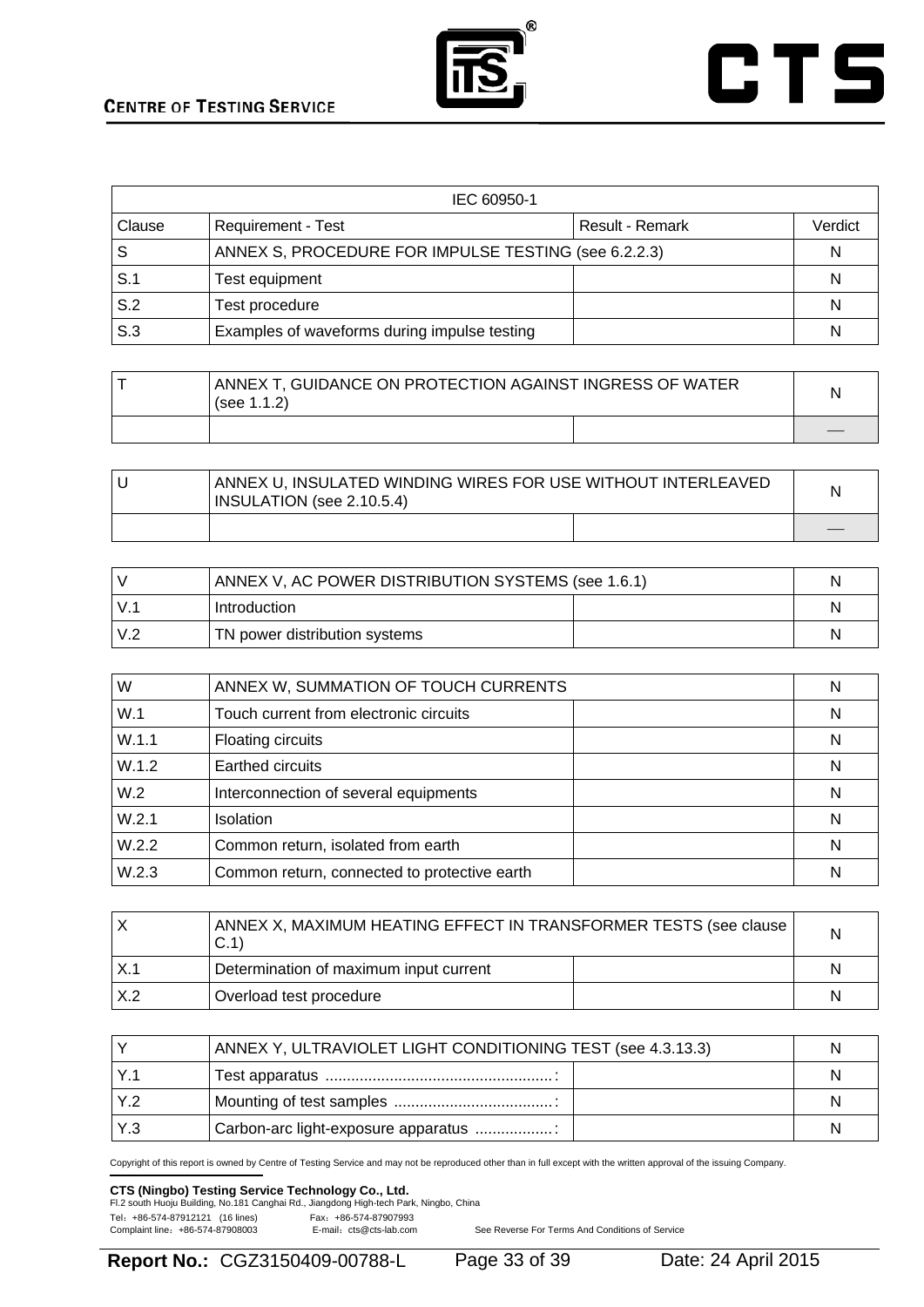



| IEC 60950-1             |                                                      |                 |         |  |
|-------------------------|------------------------------------------------------|-----------------|---------|--|
| <b>Clause</b>           | <b>Requirement - Test</b>                            | Result - Remark | Verdict |  |
| l S                     | ANNEX S, PROCEDURE FOR IMPULSE TESTING (see 6.2.2.3) |                 | N       |  |
| $\mathsf{S}.\mathsf{1}$ | Test equipment                                       |                 | N       |  |
| $\mathsf{S}.\mathsf{2}$ | Test procedure                                       |                 | N       |  |
| $\mathsf{S}.\mathsf{3}$ | Examples of waveforms during impulse testing         |                 | N       |  |

| ANNEX T, GUIDANCE ON PROTECTION AGAINST INGRESS OF WATER<br>(see $1.1.2$ ) |  | N |
|----------------------------------------------------------------------------|--|---|
|                                                                            |  |   |

| ANNEX U, INSULATED WINDING WIRES FOR USE WITHOUT INTERLEAVED<br>INSULATION (see 2.10.5.4) |  |  |
|-------------------------------------------------------------------------------------------|--|--|
|                                                                                           |  |  |

|             | ANNEX V, AC POWER DISTRIBUTION SYSTEMS (see 1.6.1) |  |
|-------------|----------------------------------------------------|--|
| $V_{\cdot}$ | Introduction                                       |  |
| V.2         | TN power distribution systems                      |  |

| W     | ANNEX W, SUMMATION OF TOUCH CURRENTS         | N |
|-------|----------------------------------------------|---|
| W.1   | Touch current from electronic circuits       | N |
| W.1.1 | Floating circuits                            | N |
| W.1.2 | Earthed circuits                             | N |
| W.2   | Interconnection of several equipments        | N |
| W.2.1 | <b>Isolation</b>                             | N |
| W.2.2 | Common return, isolated from earth           | N |
| W.2.3 | Common return, connected to protective earth | N |

|     | ANNEX X, MAXIMUM HEATING EFFECT IN TRANSFORMER TESTS (see clause<br>C.1 |  | N |
|-----|-------------------------------------------------------------------------|--|---|
|     | Determination of maximum input current                                  |  | N |
| X.2 | Overload test procedure                                                 |  | N |

|      | ANNEX Y, ULTRAVIOLET LIGHT CONDITIONING TEST (see 4.3.13.3) |  |
|------|-------------------------------------------------------------|--|
|      |                                                             |  |
|      |                                                             |  |
| IY.3 | Carbon-arc light-exposure apparatus                         |  |

Copyright of this report is owned by Centre of Testing Service and may not be reproduced other than in full except with the written approval of the issuing Company.

# **CTS (Ningbo) Testing Service Technology Co., Ltd.**<br>Fl.2 south Huoju Building, No.181 Canghai Rd., Jiangdong High-tech Park, Ningbo, China

Tel: +86-574-87912121 (16 lines)<br>Complaint line: +86-574-87908003 E-mail: cts@cts-lab.com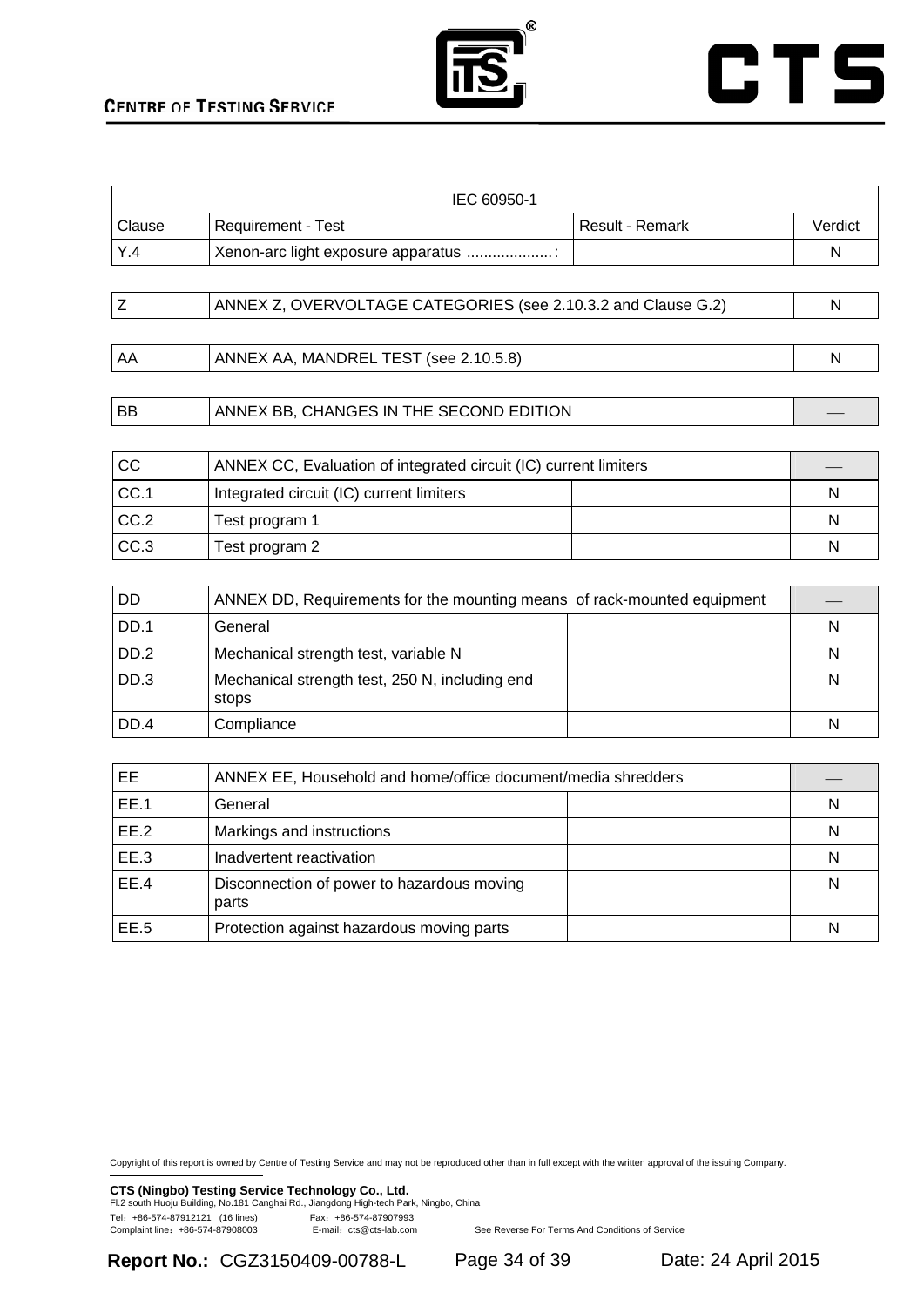



| IEC 60950-1 |                                    |                 |         |  |
|-------------|------------------------------------|-----------------|---------|--|
| l Clause    | Requirement - Test                 | Result - Remark | Verdict |  |
| Y.4         | Xenon-arc light exposure apparatus |                 | N       |  |
|             |                                    |                 |         |  |

| ANNEX Z, OVERVOLTAGE CATEGORIES (see 2.10.3.2 and Clause G.2) |  |
|---------------------------------------------------------------|--|
|                                                               |  |

BB ANNEX BB, CHANGES IN THE SECOND EDITION

| <b>CC</b> | ANNEX CC, Evaluation of integrated circuit (IC) current limiters |  |   |
|-----------|------------------------------------------------------------------|--|---|
| CC.1      | Integrated circuit (IC) current limiters                         |  | N |
| CC.2      | Test program 1                                                   |  | N |
| CC.3      | Test program 2                                                   |  | N |

| DD   | ANNEX DD, Requirements for the mounting means of rack-mounted equipment |   |
|------|-------------------------------------------------------------------------|---|
| DD.1 | General                                                                 | N |
| DD.2 | Mechanical strength test, variable N                                    | N |
| DD.3 | Mechanical strength test, 250 N, including end<br>stops                 | N |
| DD.4 | Compliance                                                              | N |

| EE.  | ANNEX EE, Household and home/office document/media shredders |   |
|------|--------------------------------------------------------------|---|
| EE.1 | General                                                      | N |
| EE.2 | Markings and instructions                                    | N |
| EE.3 | Inadvertent reactivation                                     | N |
| EE.4 | Disconnection of power to hazardous moving<br>parts          | N |
| EE.5 | Protection against hazardous moving parts                    | N |

Copyright of this report is owned by Centre of Testing Service and may not be reproduced other than in full except with the written approval of the issuing Company.

**CTS (Ningbo) Testing Service Technology Co., Ltd.** 

|                                  | Fl.2 south Huoju Building, No.181 Canghai Rd., Jiangdong High-tech Park, Ningbo, China |  |
|----------------------------------|----------------------------------------------------------------------------------------|--|
| Tel: +86-574-87912121 (16 lines) | Fax: +86-574-87907993                                                                  |  |
| Complaint line: +86-574-87908003 | E-mail: cts@cts-lab.com                                                                |  |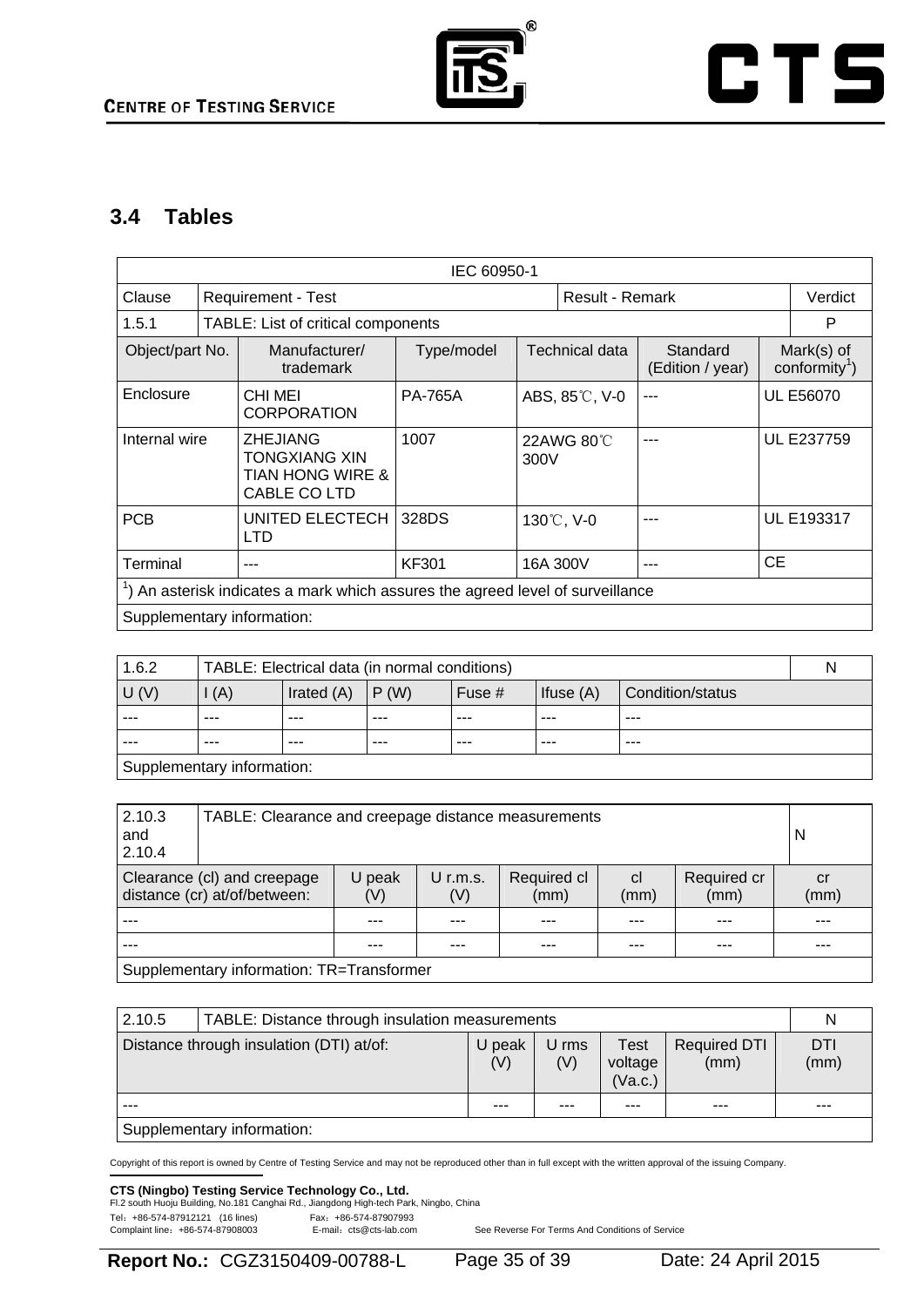

# **CTS**

### **3.4 Tables**

|                                                                                                                      | IEC 60950-1                                                                            |                                                                                        |                |                        |           |                                         |                   |
|----------------------------------------------------------------------------------------------------------------------|----------------------------------------------------------------------------------------|----------------------------------------------------------------------------------------|----------------|------------------------|-----------|-----------------------------------------|-------------------|
| Clause                                                                                                               |                                                                                        | <b>Requirement - Test</b>                                                              |                | <b>Result - Remark</b> |           |                                         | Verdict           |
| TABLE: List of critical components<br>1.5.1                                                                          |                                                                                        |                                                                                        |                |                        |           |                                         | P                 |
| <b>Technical data</b><br>Standard<br>Object/part No.<br>Manufacturer/<br>Type/model<br>(Edition / year)<br>trademark |                                                                                        |                                                                                        |                |                        |           | Mark(s) of<br>conformity <sup>1</sup> ) |                   |
| Enclosure                                                                                                            |                                                                                        | <b>CHI MEI</b><br><b>CORPORATION</b>                                                   | <b>PA-765A</b> | ABS, 85°C, V-0         | ---       | <b>UL E56070</b>                        |                   |
| Internal wire                                                                                                        |                                                                                        | <b>ZHEJIANG</b><br><b>TONGXIANG XIN</b><br><b>TIAN HONG WIRE &amp;</b><br>CABLE CO LTD | 1007           | 22AWG 80℃<br>300V      | --        |                                         | <b>UL E237759</b> |
| <b>PCB</b>                                                                                                           |                                                                                        | UNITED ELECTECH<br><b>LTD</b>                                                          | 328DS          | 130°C, V-0             |           | UL E193317                              |                   |
| Terminal                                                                                                             |                                                                                        | <b>KF301</b>                                                                           | 16A 300V       | ---                    | <b>CE</b> |                                         |                   |
|                                                                                                                      | $\alpha$ ) An asterisk indicates a mark which assures the agreed level of surveillance |                                                                                        |                |                        |           |                                         |                   |
|                                                                                                                      |                                                                                        | Supplementary information:                                                             |                |                        |           |                                         |                   |

| 1.6.2<br>TABLE: Electrical data (in normal conditions) |                                                                                               |     |         |       |         |         | N |
|--------------------------------------------------------|-----------------------------------------------------------------------------------------------|-----|---------|-------|---------|---------|---|
| U(V)                                                   | $\mathsf{I}(\mathsf{A})$<br>Irated (A)<br>P(W)<br>Ifuse $(A)$<br>Fuse $#$<br>Condition/status |     |         |       |         |         |   |
| $- - -$                                                | $- - -$                                                                                       | --- | $- - -$ | $---$ | ---     | $- - -$ |   |
|                                                        | ---                                                                                           |     | ---     | ---   | $- - -$ | ---     |   |
| Supplementary information:                             |                                                                                               |     |         |       |         |         |   |

| 2.10.3<br>and<br>2.10.4                                                                                                                                                | TABLE: Clearance and creepage distance measurements |                                           |  |  |            |     | N |  |
|------------------------------------------------------------------------------------------------------------------------------------------------------------------------|-----------------------------------------------------|-------------------------------------------|--|--|------------|-----|---|--|
| Required cl<br>Required cr<br>Clearance (cl) and creepage<br>U peak<br>U r.m.s.<br><sub>cl</sub><br>distance (cr) at/of/between:<br>(mm)<br>(mm)<br>(V)<br>(V)<br>(mm) |                                                     |                                           |  |  | cr<br>(mm) |     |   |  |
|                                                                                                                                                                        |                                                     |                                           |  |  |            | --- |   |  |
| ---                                                                                                                                                                    |                                                     |                                           |  |  |            |     |   |  |
|                                                                                                                                                                        |                                                     | Supplementary information: TR=Transformer |  |  |            |     |   |  |

| 2.10.5<br>TABLE: Distance through insulation measurements |                            |               |              |                            | N                           |             |
|-----------------------------------------------------------|----------------------------|---------------|--------------|----------------------------|-----------------------------|-------------|
| Distance through insulation (DTI) at/of:                  |                            | U peak<br>(V) | U rms<br>(V) | Test<br>voltage<br>(Va.c.) | <b>Required DTI</b><br>(mm) | DTI<br>(mm) |
|                                                           |                            | ---           | $- - -$      |                            | ---                         | ---         |
|                                                           | Supplementary information: |               |              |                            |                             |             |

Copyright of this report is owned by Centre of Testing Service and may not be reproduced other than in full except with the written approval of the issuing Company.

### **CTS (Ningbo) Testing Service Technology Co., Ltd.**<br>Fl.2 south Huoju Building, No.181 Canghai Rd., Jiangdong High-tech Park, Ningbo, China

Tel: +86-574-87912121 (16 lines) Fax: +86-574-87907993<br>Complaint line: +86-574-87908003 E-mail: cts@cts-lab.com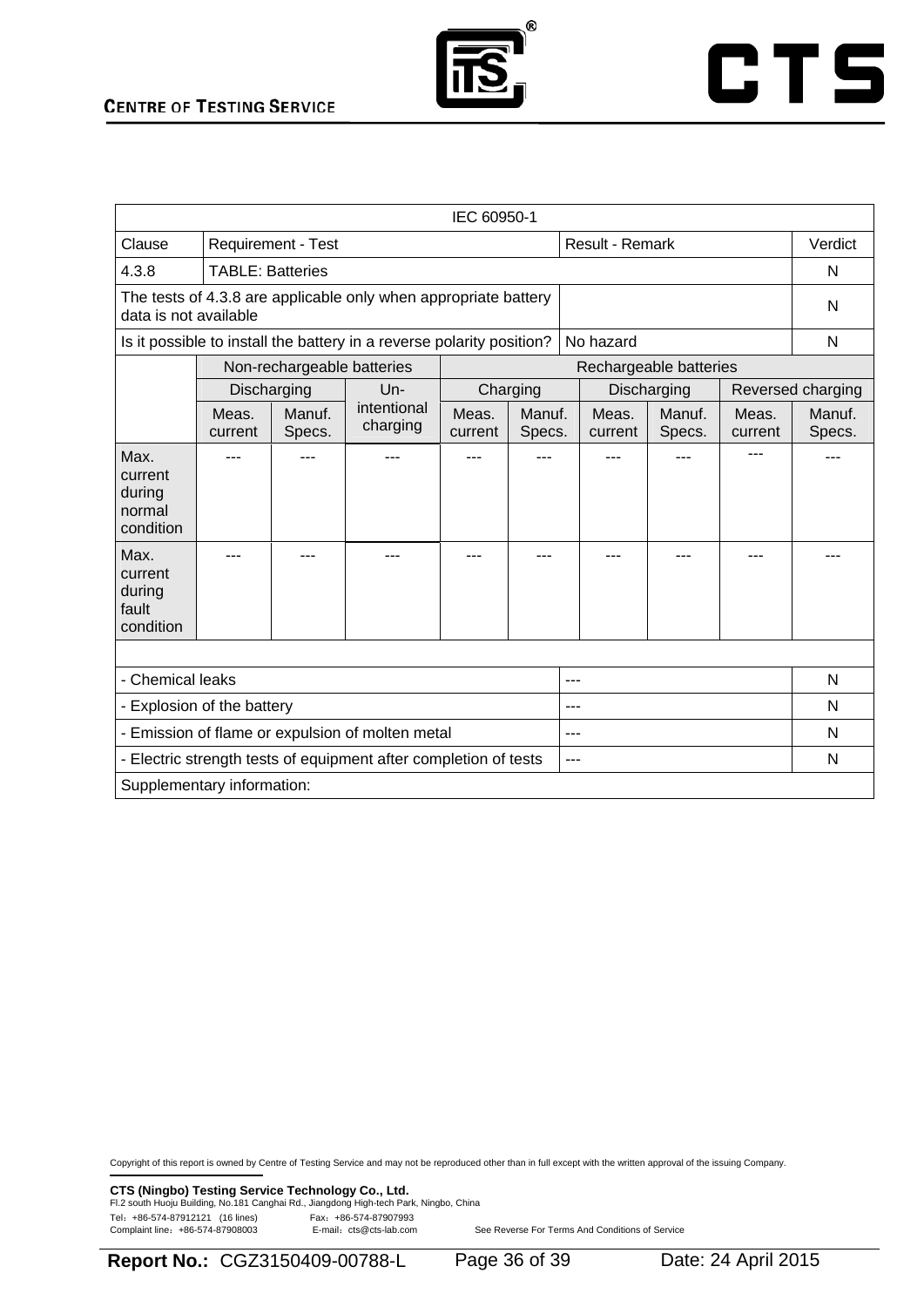

| IEC 60950-1                                                                              |                                                                                    |                            |                         |                  |                  |   |                  |                        |                  |                   |
|------------------------------------------------------------------------------------------|------------------------------------------------------------------------------------|----------------------------|-------------------------|------------------|------------------|---|------------------|------------------------|------------------|-------------------|
| Clause                                                                                   | Requirement - Test                                                                 |                            |                         |                  | Result - Remark  |   |                  | Verdict                |                  |                   |
| 4.3.8                                                                                    | <b>TABLE: Batteries</b>                                                            |                            |                         |                  |                  |   |                  | N                      |                  |                   |
| The tests of 4.3.8 are applicable only when appropriate battery<br>data is not available |                                                                                    |                            |                         |                  |                  | N |                  |                        |                  |                   |
|                                                                                          | No hazard<br>Is it possible to install the battery in a reverse polarity position? |                            |                         |                  |                  |   | N                |                        |                  |                   |
|                                                                                          |                                                                                    | Non-rechargeable batteries |                         |                  |                  |   |                  | Rechargeable batteries |                  |                   |
|                                                                                          |                                                                                    | Discharging                | $Un-$                   |                  | Charging         |   |                  | Discharging            |                  | Reversed charging |
|                                                                                          | Meas.<br>current                                                                   | Manuf.<br>Specs.           | intentional<br>charging | Meas.<br>current | Manuf.<br>Specs. |   | Meas.<br>current | Manuf.<br>Specs.       | Meas.<br>current | Manuf.<br>Specs.  |
| Max.<br>current<br>during<br>normal<br>condition                                         |                                                                                    |                            |                         |                  |                  |   |                  |                        |                  |                   |
| Max.<br>current<br>during<br>fault<br>condition                                          |                                                                                    |                            |                         |                  |                  |   |                  |                        |                  |                   |
|                                                                                          |                                                                                    |                            |                         |                  |                  |   |                  |                        |                  |                   |
| - Chemical leaks                                                                         |                                                                                    |                            |                         |                  |                  | N |                  |                        |                  |                   |
| - Explosion of the battery                                                               |                                                                                    |                            |                         |                  |                  | N |                  |                        |                  |                   |
| - Emission of flame or expulsion of molten metal<br>---                                  |                                                                                    |                            |                         |                  |                  |   | N                |                        |                  |                   |
|                                                                                          | - Electric strength tests of equipment after completion of tests<br>---            |                            |                         |                  |                  |   |                  | N                      |                  |                   |
| Supplementary information:                                                               |                                                                                    |                            |                         |                  |                  |   |                  |                        |                  |                   |

Copyright of this report is owned by Centre of Testing Service and may not be reproduced other than in full except with the written approval of the issuing Company.

**CTS (Ningbo) Testing Service Technology Co., Ltd.**<br>Fl.2 south Huoju Building, No.181 Canghai Rd., Jiangdong High-tech Park, Ningbo, China

Tel: +86-574-87912121 (16 lines) Fax: +86-574-87907993<br>Complaint line: +86-574-87908003 E-mail: cts@cts-lab.com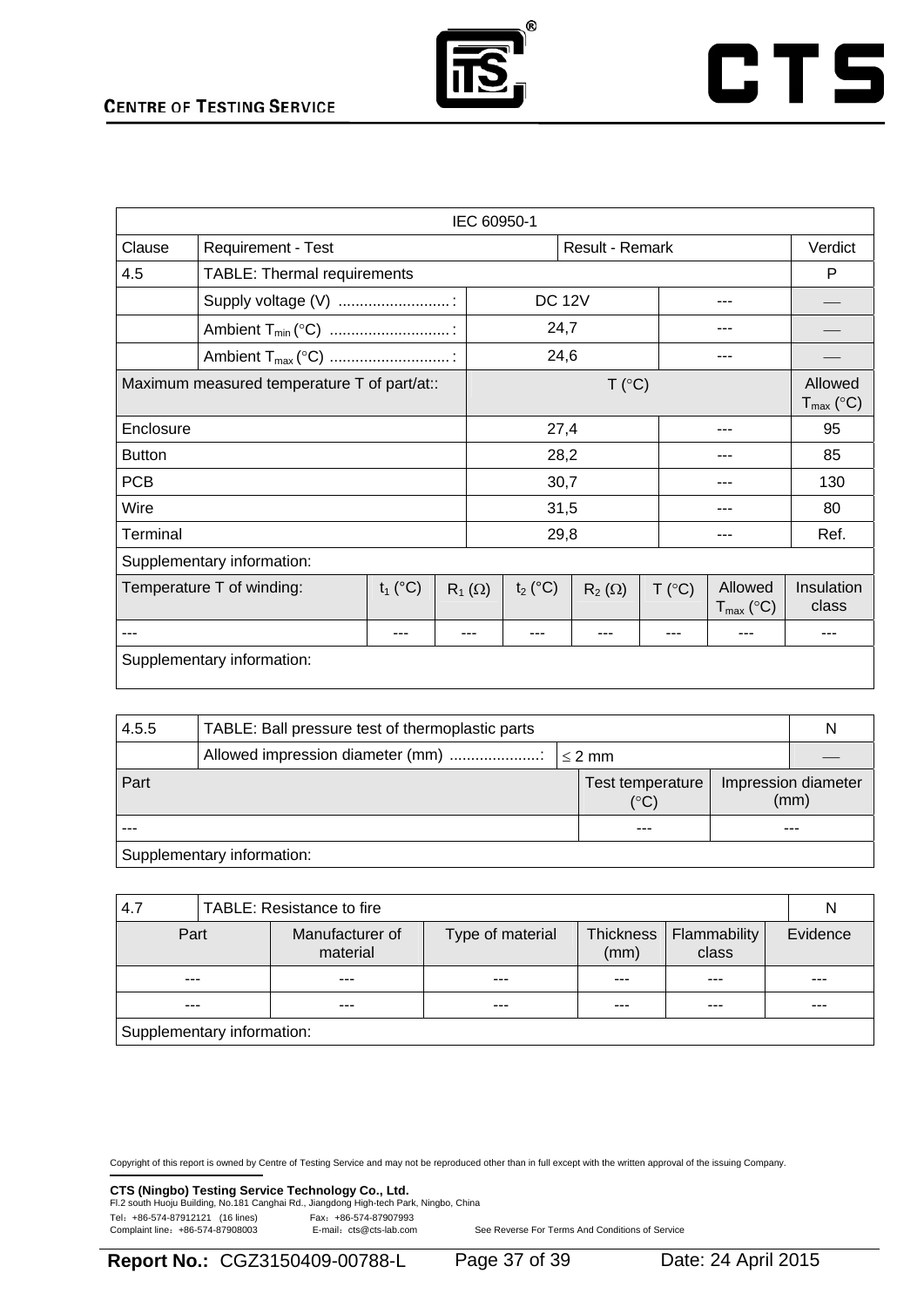

# **CTS**

| IEC 60950-1                                 |                                    |  |                 |            |               |        |                                  |                                  |
|---------------------------------------------|------------------------------------|--|-----------------|------------|---------------|--------|----------------------------------|----------------------------------|
| Clause                                      | <b>Requirement - Test</b>          |  | Result - Remark |            |               |        | Verdict                          |                                  |
| 4.5                                         | <b>TABLE: Thermal requirements</b> |  |                 |            |               |        |                                  | P                                |
|                                             | Supply voltage (V)                 |  | <b>DC 12V</b>   |            |               |        |                                  |                                  |
|                                             |                                    |  |                 |            | 24,7          |        |                                  |                                  |
|                                             |                                    |  |                 |            | 24,6          |        |                                  |                                  |
| Maximum measured temperature T of part/at:: |                                    |  |                 | T (°C)     |               |        |                                  | Allowed<br>$T_{\text{max}}$ (°C) |
| Enclosure                                   |                                    |  |                 | 27,4       |               |        |                                  | 95                               |
| <b>Button</b>                               |                                    |  |                 | 28,2       |               |        |                                  | 85                               |
| <b>PCB</b>                                  |                                    |  |                 | 30,7       |               |        | 130                              |                                  |
| Wire                                        |                                    |  |                 | 31,5       |               |        |                                  | 80                               |
| Terminal                                    |                                    |  |                 | 29,8       |               |        |                                  | Ref.                             |
|                                             | Supplementary information:         |  |                 |            |               |        |                                  |                                  |
| Temperature T of winding:<br>$t_1$ (°C)     |                                    |  | $R_1(\Omega)$   | $t_2$ (°C) | $R_2(\Omega)$ | T (°C) | Allowed<br>$T_{\text{max}}$ (°C) | Insulation<br>class              |
| ---                                         |                                    |  |                 |            | ---           |        |                                  |                                  |
| Supplementary information:                  |                                    |  |                 |            |               |        |                                  |                                  |

| 4.5.5                      | TABLE: Ball pressure test of thermoplastic parts |  |                                   |  |                             |  |
|----------------------------|--------------------------------------------------|--|-----------------------------------|--|-----------------------------|--|
|                            |                                                  |  |                                   |  |                             |  |
| Part                       |                                                  |  | Test temperature<br>$(^{\circ}C)$ |  | Impression diameter<br>(mm) |  |
|                            |                                                  |  | ---                               |  | ---                         |  |
| Supplementary information: |                                                  |  |                                   |  |                             |  |

| 4.7                        | TABLE: Resistance to fire |                             |                  |                   |                       |          |  |
|----------------------------|---------------------------|-----------------------------|------------------|-------------------|-----------------------|----------|--|
| Part                       |                           | Manufacturer of<br>material | Type of material | Thickness<br>(mm) | Flammability<br>class | Evidence |  |
| $- - -$                    |                           | $- - -$                     | $- - -$          | ---               | ---                   | ---      |  |
|                            |                           | $- - -$                     | $- - -$          | ---               |                       | ---      |  |
| Supplementary information: |                           |                             |                  |                   |                       |          |  |

Copyright of this report is owned by Centre of Testing Service and may not be reproduced other than in full except with the written approval of the issuing Company.

**CTS (Ningbo) Testing Service Technology Co., Ltd.** 

| Fl.2 south Huoju Building, No.181 Canghai Rd., Jiangdong High-tech Park, Ningbo, China |                         |  |
|----------------------------------------------------------------------------------------|-------------------------|--|
| Tel: +86-574-87912121 (16 lines)                                                       | Fax: +86-574-87907993   |  |
| Complaint line: +86-574-87908003                                                       | E-mail: cts@cts-lab.com |  |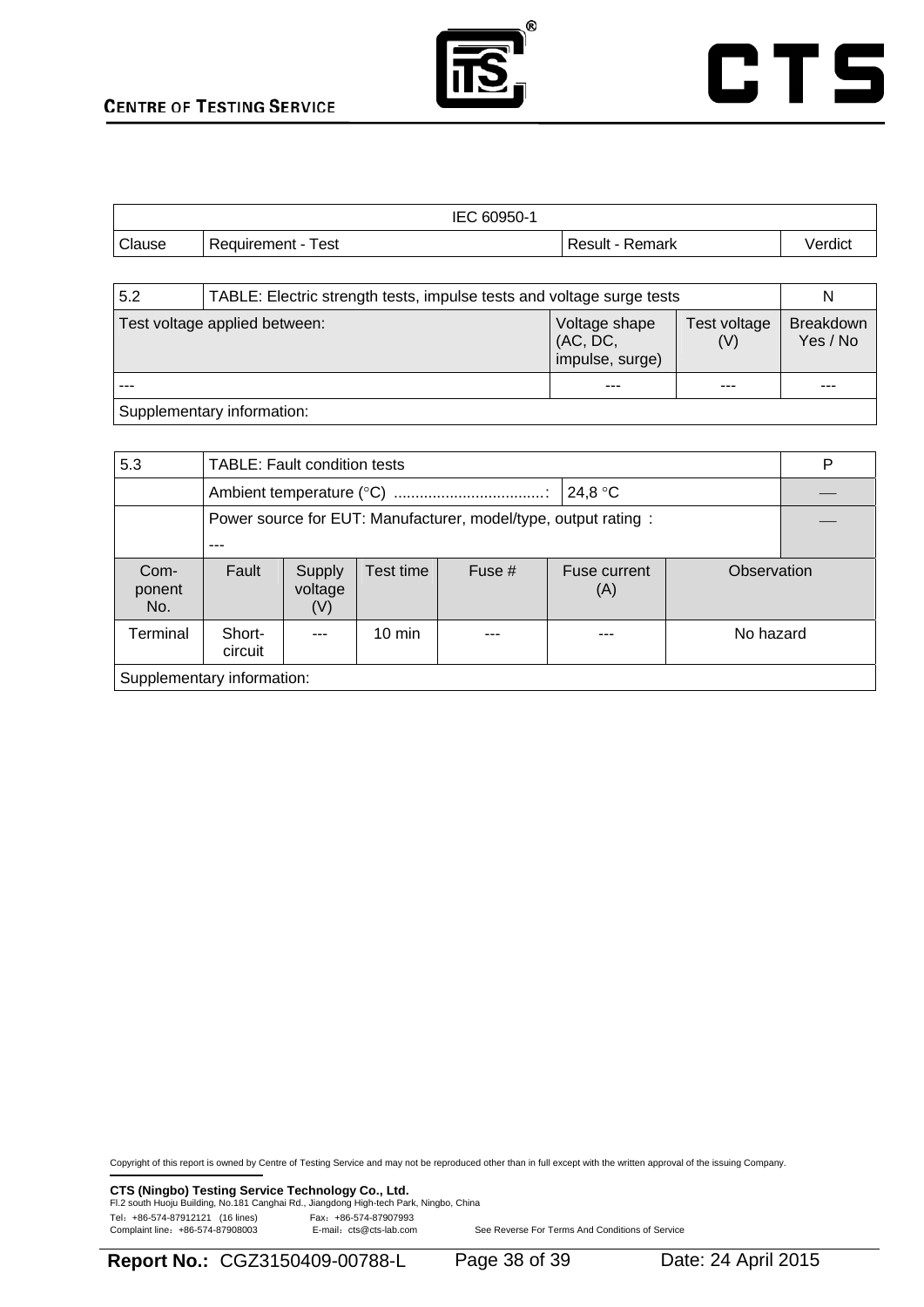

|               | IEC 60950-1        |                 |         |
|---------------|--------------------|-----------------|---------|
| <b>Clause</b> | Requirement - Test | Result - Remark | Verdict |

| 5.2                           | TABLE: Electric strength tests, impulse tests and voltage surge tests |                                              |                     |                              |  |  |  |  |
|-------------------------------|-----------------------------------------------------------------------|----------------------------------------------|---------------------|------------------------------|--|--|--|--|
| Test voltage applied between: |                                                                       | Voltage shape<br>(AC, DC,<br>impulse, surge) | Test voltage<br>(V) | <b>Breakdown</b><br>Yes / No |  |  |  |  |
|                               |                                                                       | ---                                          | ---                 | ---                          |  |  |  |  |
|                               | Supplementary information:                                            |                                              |                     |                              |  |  |  |  |

5.3 TABLE: Fault condition tests P Ambient temperature (°C) ...................................: 24,8 °C ⎯ Power source for EUT: Manufacturer, model/type, output rating : ---  $\overline{\phantom{0}}$ Component No. Fault | Supply voltage (V) Test time  $\left| \right|$  Fuse #  $\left| \right|$  Fuse current (A) **Observation** Terminal Shortcircuit --- | 10 min | --- | --- | No hazard Supplementary information:

Copyright of this report is owned by Centre of Testing Service and may not be reproduced other than in full except with the written approval of the issuing Company.

**CTS (Ningbo) Testing Service Technology Co., Ltd.**<br>Fl.2 south Huoju Building, No.181 Canghai Rd., Jiangdong High-tech Park, Ningbo, China Tel: +86-574-87912121 (16 lines) Fax: +86-574-87907993<br>Complaint line: +86-574-87908003 E-mail: cts@cts-lab.com

**Report No.:** CGZ3150409-00788-L Page 38 of 39 Date: 24 April 2015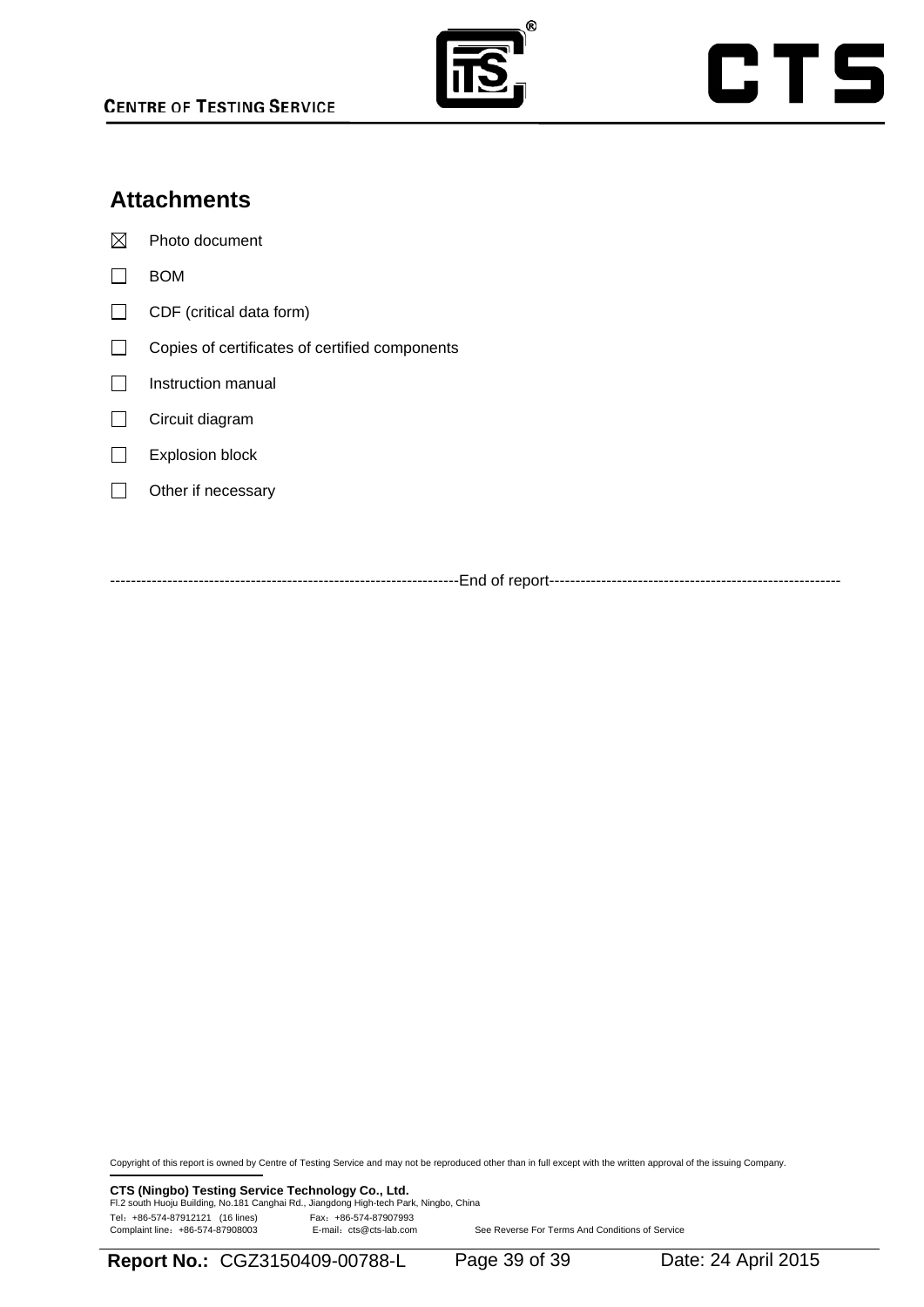

# CTS

# **Attachments**

 $\boxtimes$  Photo document

- $\Box$  BOM
- $\Box$  CDF (critical data form)
- Copies of certificates of certified components
- $\Box$  Instruction manual
- Circuit diagram
- Explosion block
- $\Box$  Other if necessary

-------------------------------------------------------------------End of report--------------------------------------------------------

Copyright of this report is owned by Centre of Testing Service and may not be reproduced other than in full except with the written approval of the issuing Company.

**CTS (Ningbo) Testing Service Technology Co., Ltd.**<br>Fl.2 south Huoju Building, No.181 Canghai Rd., Jiangdong High-tech Park, Ningbo, China Tel: +86-574-87912121 (16 lines) Fax: +86-574-87907993<br>Complaint line: +86-574-87908003 E-mail: cts@cts-lab.com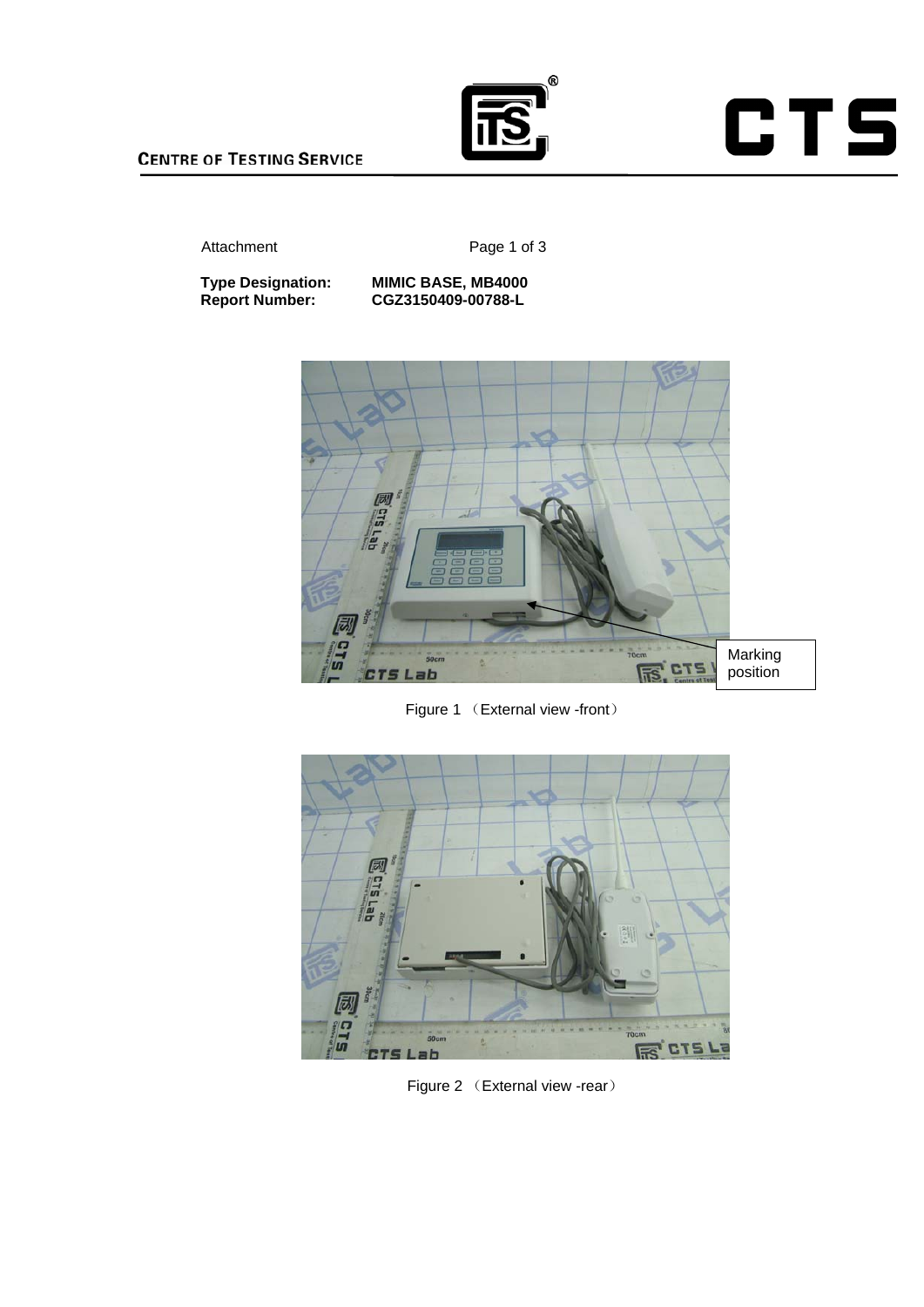

**CTS** 

#### Attachment Page 1 of 3

**Type Designation: MIMIC BASE, MB4000<br>Report Number: CGZ3150409-00788-L** 

**Type Designation: MIMIC BASE, MB4000** 



Figure 1 (External view -front)



Figure 2 (External view -rear)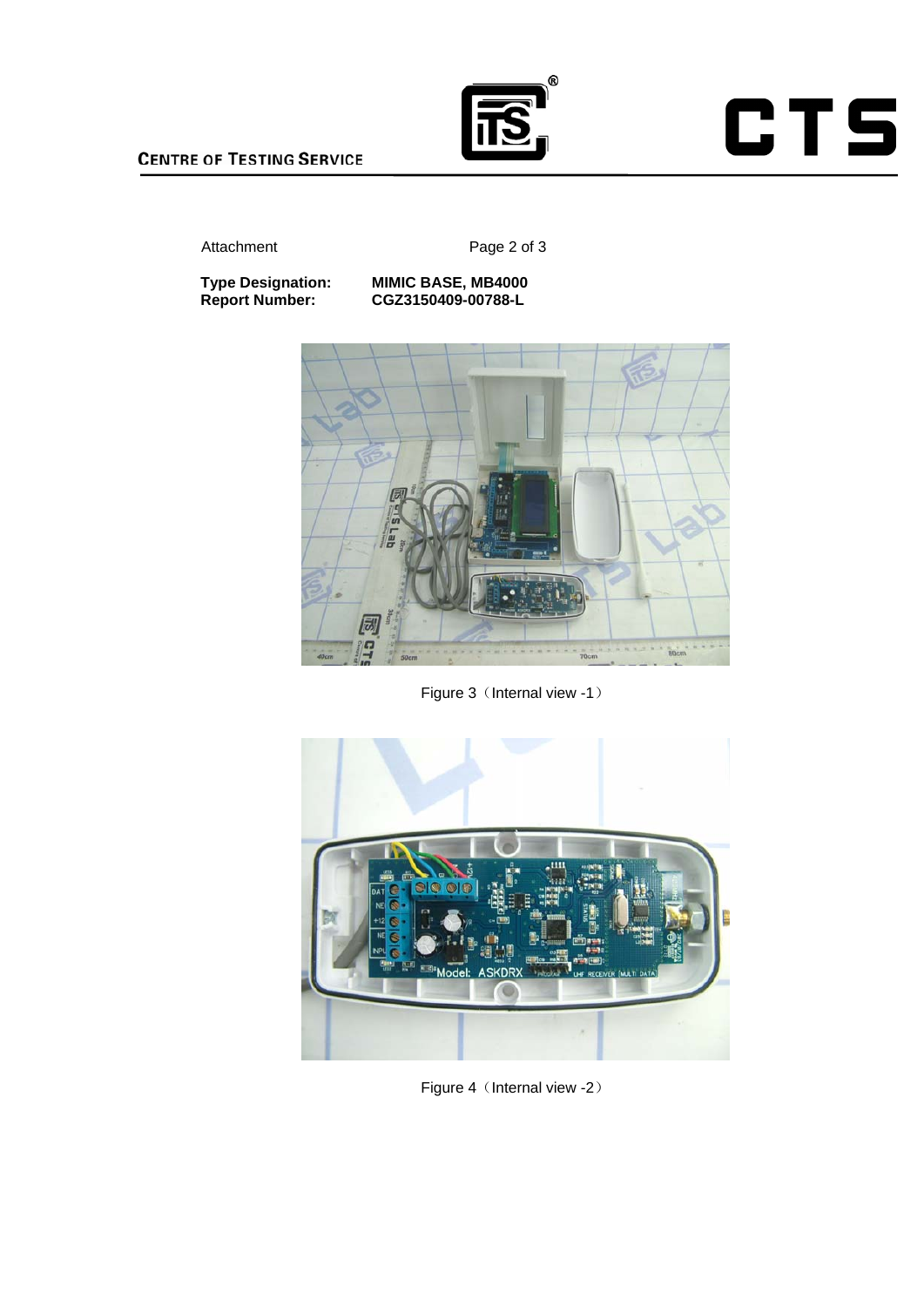

**CTS** 

#### Attachment Page 2 of 3

**Type Designation: MIMIC BASE, MB4000 Type Designation: MIMIC BASE, MB4000<br>Report Number: CGZ3150409-00788-L** 



Figure 3 (Internal view -1)



Figure 4 (Internal view -2)